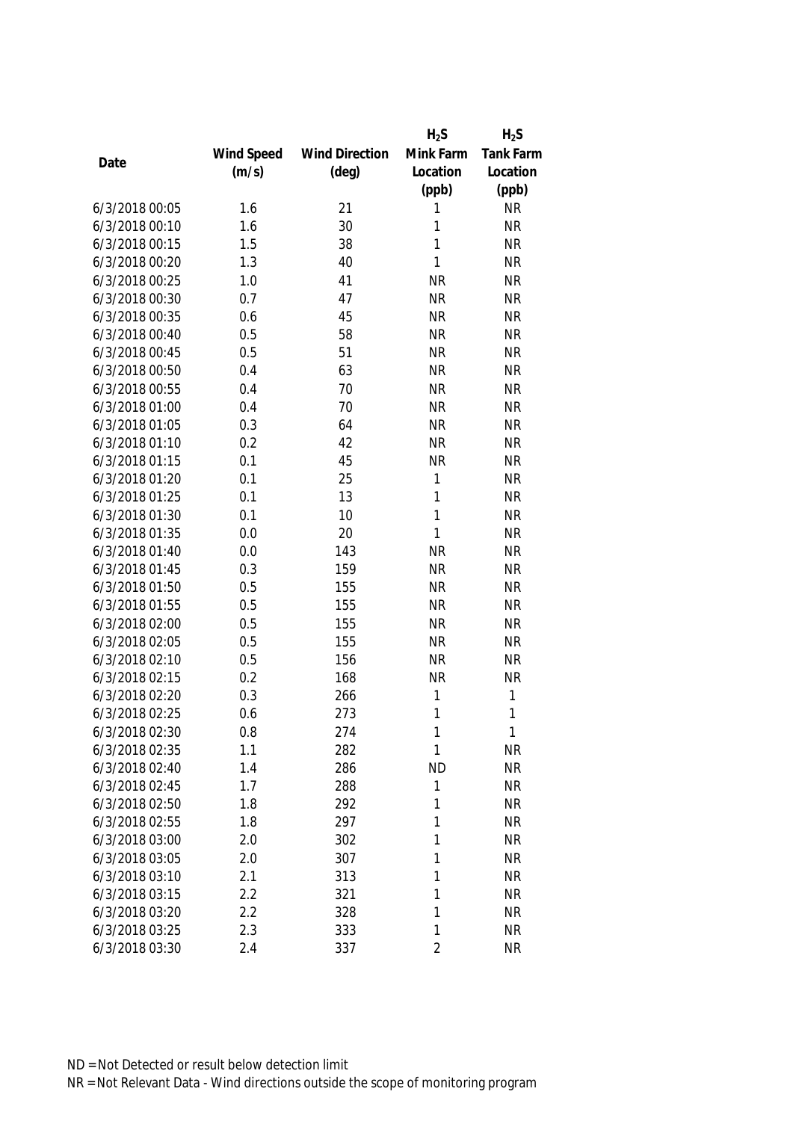|                |            |                       | $H_2S$         | $H_2S$           |
|----------------|------------|-----------------------|----------------|------------------|
|                | Wind Speed | <b>Wind Direction</b> | Mink Farm      | <b>Tank Farm</b> |
| Date           | (m/s)      | $(\text{deg})$        | Location       | Location         |
|                |            |                       | (ppb)          | (ppb)            |
| 6/3/2018 00:05 | 1.6        | 21                    | 1              | <b>NR</b>        |
| 6/3/2018 00:10 | 1.6        | 30                    | 1              | <b>NR</b>        |
| 6/3/2018 00:15 | 1.5        | 38                    | 1              | <b>NR</b>        |
| 6/3/2018 00:20 | 1.3        | 40                    | $\mathbf{1}$   | <b>NR</b>        |
| 6/3/2018 00:25 | 1.0        | 41                    | <b>NR</b>      | <b>NR</b>        |
| 6/3/2018 00:30 | 0.7        | 47                    | <b>NR</b>      | <b>NR</b>        |
| 6/3/2018 00:35 | 0.6        | 45                    | <b>NR</b>      | <b>NR</b>        |
| 6/3/2018 00:40 | 0.5        | 58                    | <b>NR</b>      | <b>NR</b>        |
| 6/3/2018 00:45 | 0.5        | 51                    | <b>NR</b>      | <b>NR</b>        |
| 6/3/2018 00:50 | 0.4        | 63                    | <b>NR</b>      | <b>NR</b>        |
| 6/3/2018 00:55 | 0.4        | 70                    | <b>NR</b>      | <b>NR</b>        |
| 6/3/2018 01:00 | 0.4        | 70                    | <b>NR</b>      | <b>NR</b>        |
| 6/3/2018 01:05 | 0.3        | 64                    | <b>NR</b>      | <b>NR</b>        |
| 6/3/2018 01:10 | 0.2        | 42                    | <b>NR</b>      | <b>NR</b>        |
| 6/3/2018 01:15 | 0.1        | 45                    | <b>NR</b>      | <b>NR</b>        |
| 6/3/2018 01:20 | 0.1        | 25                    | $\mathbf{1}$   | <b>NR</b>        |
| 6/3/2018 01:25 | 0.1        | 13                    | $\mathbf{1}$   | <b>NR</b>        |
| 6/3/2018 01:30 | 0.1        | 10                    | $\mathbf{1}$   | <b>NR</b>        |
| 6/3/2018 01:35 | 0.0        | 20                    | $\mathbf{1}$   | <b>NR</b>        |
| 6/3/2018 01:40 | 0.0        | 143                   | <b>NR</b>      | <b>NR</b>        |
| 6/3/2018 01:45 | 0.3        | 159                   | <b>NR</b>      | <b>NR</b>        |
| 6/3/2018 01:50 | 0.5        | 155                   | <b>NR</b>      | <b>NR</b>        |
| 6/3/2018 01:55 | 0.5        | 155                   | <b>NR</b>      | <b>NR</b>        |
| 6/3/2018 02:00 | 0.5        | 155                   | <b>NR</b>      | <b>NR</b>        |
| 6/3/2018 02:05 | 0.5        | 155                   | <b>NR</b>      | <b>NR</b>        |
| 6/3/2018 02:10 | 0.5        | 156                   | <b>NR</b>      | <b>NR</b>        |
| 6/3/2018 02:15 | 0.2        | 168                   | <b>NR</b>      | <b>NR</b>        |
| 6/3/2018 02:20 | 0.3        | 266                   | $\mathbf{1}$   | 1                |
| 6/3/2018 02:25 | 0.6        | 273                   | 1              | 1                |
| 6/3/2018 02:30 | 0.8        | 274                   | 1              | 1                |
| 6/3/2018 02:35 | 1.1        | 282                   | 1              | <b>NR</b>        |
| 6/3/2018 02:40 | 1.4        | 286                   | <b>ND</b>      | <b>NR</b>        |
| 6/3/2018 02:45 | 1.7        | 288                   | 1              | <b>NR</b>        |
| 6/3/2018 02:50 | 1.8        | 292                   | 1              | <b>NR</b>        |
| 6/3/2018 02:55 | 1.8        | 297                   | 1              | <b>NR</b>        |
| 6/3/2018 03:00 | 2.0        | 302                   | 1              | <b>NR</b>        |
| 6/3/2018 03:05 | 2.0        | 307                   | 1              | <b>NR</b>        |
| 6/3/2018 03:10 | 2.1        | 313                   | 1              | <b>NR</b>        |
| 6/3/2018 03:15 | 2.2        | 321                   | 1              | <b>NR</b>        |
| 6/3/2018 03:20 | 2.2        | 328                   | 1              | <b>NR</b>        |
| 6/3/2018 03:25 | 2.3        | 333                   | 1              | <b>NR</b>        |
| 6/3/2018 03:30 | 2.4        | 337                   | $\overline{2}$ | <b>NR</b>        |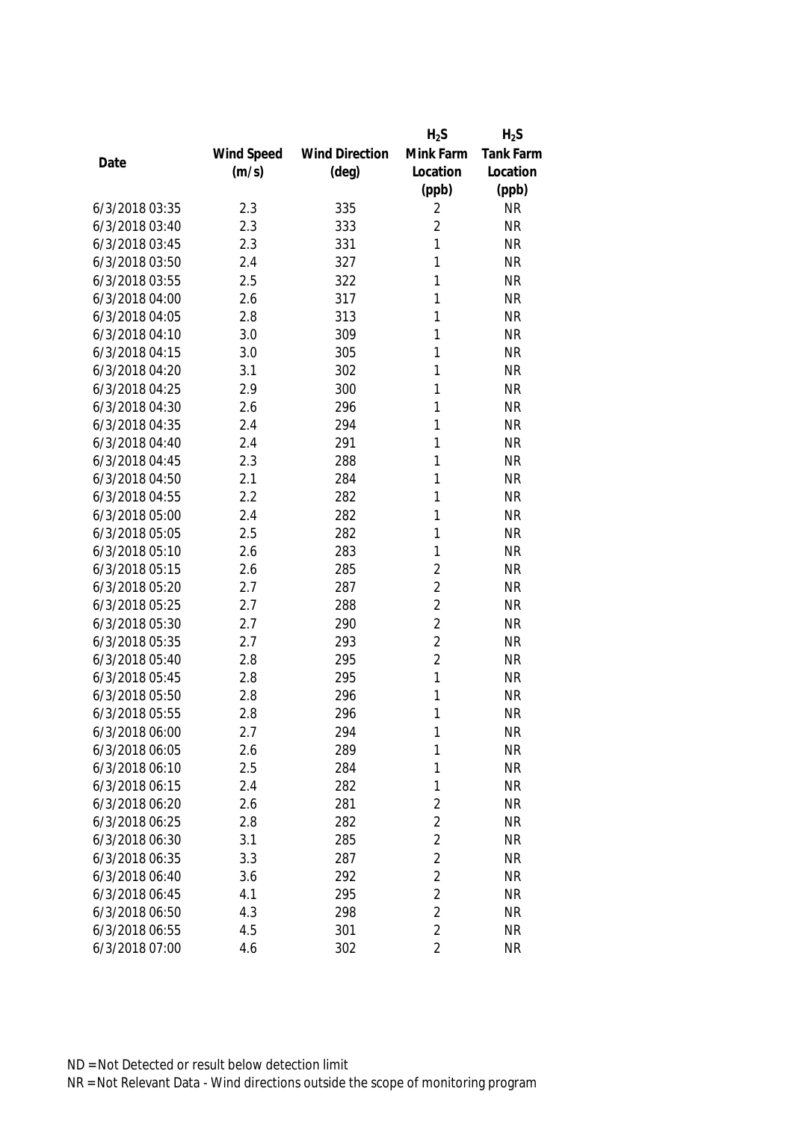|                |            |                       | $H_2S$         | $H_2S$           |
|----------------|------------|-----------------------|----------------|------------------|
|                | Wind Speed | <b>Wind Direction</b> | Mink Farm      | <b>Tank Farm</b> |
| Date           | (m/s)      | $(\text{deg})$        | Location       | Location         |
|                |            |                       | (ppb)          | (ppb)            |
| 6/3/2018 03:35 | 2.3        | 335                   | 2              | <b>NR</b>        |
| 6/3/2018 03:40 | 2.3        | 333                   | $\overline{2}$ | <b>NR</b>        |
| 6/3/2018 03:45 | 2.3        | 331                   | 1              | <b>NR</b>        |
| 6/3/2018 03:50 | 2.4        | 327                   | 1              | <b>NR</b>        |
| 6/3/2018 03:55 | 2.5        | 322                   | 1              | <b>NR</b>        |
| 6/3/2018 04:00 | 2.6        | 317                   | 1              | <b>NR</b>        |
| 6/3/2018 04:05 | 2.8        | 313                   | 1              | <b>NR</b>        |
| 6/3/2018 04:10 | 3.0        | 309                   | 1              | <b>NR</b>        |
| 6/3/2018 04:15 | 3.0        | 305                   | 1              | <b>NR</b>        |
| 6/3/2018 04:20 | 3.1        | 302                   | 1              | <b>NR</b>        |
| 6/3/2018 04:25 | 2.9        | 300                   | 1              | <b>NR</b>        |
| 6/3/2018 04:30 | 2.6        | 296                   | 1              | <b>NR</b>        |
| 6/3/2018 04:35 | 2.4        | 294                   | 1              | <b>NR</b>        |
| 6/3/2018 04:40 | 2.4        | 291                   | 1              | <b>NR</b>        |
| 6/3/2018 04:45 | 2.3        | 288                   | 1              | <b>NR</b>        |
| 6/3/2018 04:50 | 2.1        | 284                   | 1              | <b>NR</b>        |
| 6/3/2018 04:55 | 2.2        | 282                   | 1              | <b>NR</b>        |
| 6/3/2018 05:00 | 2.4        | 282                   | 1              | <b>NR</b>        |
| 6/3/2018 05:05 | 2.5        | 282                   | 1              | <b>NR</b>        |
| 6/3/2018 05:10 | 2.6        | 283                   | 1              | <b>NR</b>        |
| 6/3/2018 05:15 | 2.6        | 285                   | $\overline{2}$ | <b>NR</b>        |
| 6/3/2018 05:20 | 2.7        | 287                   | $\overline{2}$ | <b>NR</b>        |
| 6/3/2018 05:25 | 2.7        | 288                   | $\overline{2}$ | <b>NR</b>        |
| 6/3/2018 05:30 | 2.7        | 290                   | $\overline{2}$ | <b>NR</b>        |
| 6/3/2018 05:35 | 2.7        | 293                   | $\overline{2}$ | <b>NR</b>        |
| 6/3/2018 05:40 | 2.8        | 295                   | $\overline{2}$ | <b>NR</b>        |
| 6/3/2018 05:45 | 2.8        | 295                   | 1              | <b>NR</b>        |
| 6/3/2018 05:50 | 2.8        | 296                   | 1              | <b>NR</b>        |
| 6/3/2018 05:55 | 2.8        | 296                   | 1              | <b>NR</b>        |
| 6/3/2018 06:00 | 2.7        | 294                   | 1              | <b>NR</b>        |
| 6/3/2018 06:05 | 2.6        | 289                   | 1              | <b>NR</b>        |
| 6/3/2018 06:10 | 2.5        | 284                   | 1              | <b>NR</b>        |
| 6/3/2018 06:15 | 2.4        | 282                   | 1              | <b>NR</b>        |
| 6/3/2018 06:20 | 2.6        | 281                   | $\overline{2}$ | <b>NR</b>        |
| 6/3/2018 06:25 | 2.8        | 282                   | $\overline{2}$ | <b>NR</b>        |
| 6/3/2018 06:30 | 3.1        | 285                   | $\overline{2}$ | <b>NR</b>        |
| 6/3/2018 06:35 | 3.3        | 287                   | $\overline{2}$ | <b>NR</b>        |
| 6/3/2018 06:40 | 3.6        | 292                   | $\overline{2}$ | <b>NR</b>        |
| 6/3/2018 06:45 | 4.1        | 295                   | $\overline{2}$ | <b>NR</b>        |
| 6/3/2018 06:50 | 4.3        | 298                   | $\overline{2}$ | <b>NR</b>        |
| 6/3/2018 06:55 | 4.5        | 301                   | $\overline{2}$ | <b>NR</b>        |
| 6/3/2018 07:00 | 4.6        | 302                   | $\overline{2}$ | <b>NR</b>        |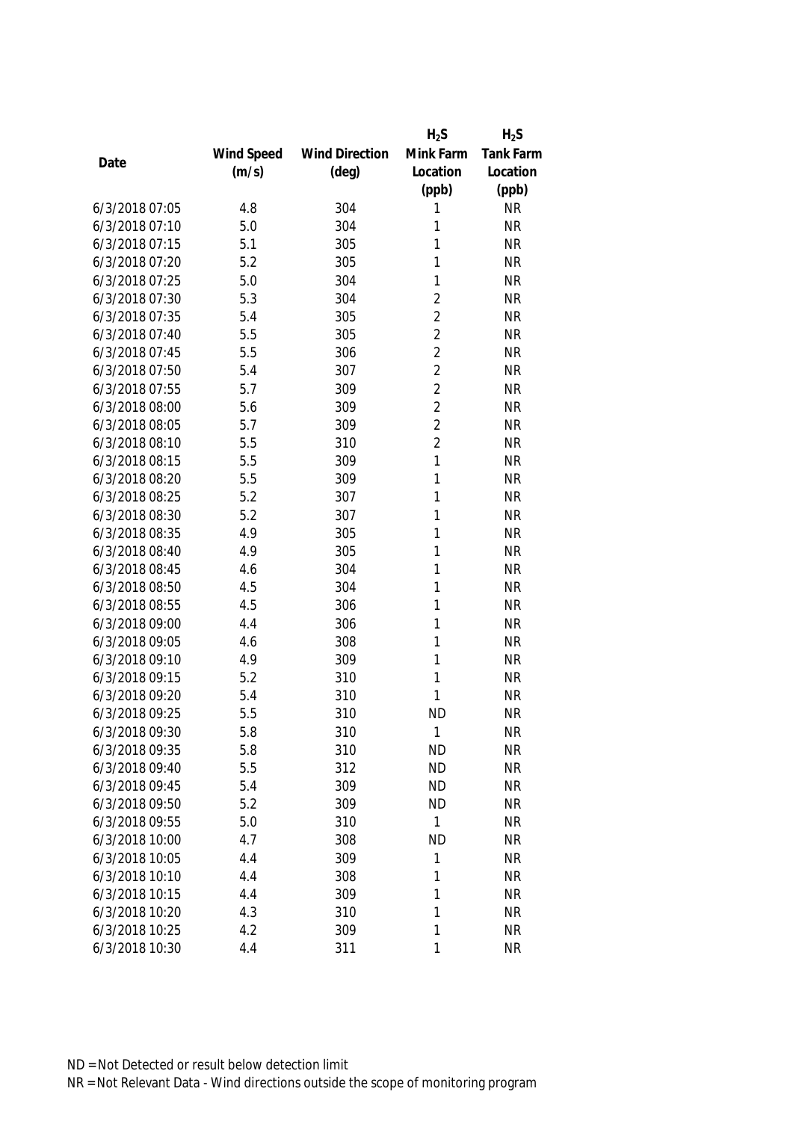|                |            |                       | $H_2S$         | $H_2S$    |
|----------------|------------|-----------------------|----------------|-----------|
|                | Wind Speed | <b>Wind Direction</b> | Mink Farm      | Tank Farm |
| Date           | (m/s)      | $(\text{deg})$        | Location       | Location  |
|                |            |                       | (ppb)          | (ppb)     |
| 6/3/2018 07:05 | 4.8        | 304                   | 1              | <b>NR</b> |
| 6/3/2018 07:10 | 5.0        | 304                   | 1              | <b>NR</b> |
| 6/3/2018 07:15 | 5.1        | 305                   | 1              | <b>NR</b> |
| 6/3/2018 07:20 | 5.2        | 305                   | 1              | <b>NR</b> |
| 6/3/2018 07:25 | 5.0        | 304                   | 1              | <b>NR</b> |
| 6/3/2018 07:30 | 5.3        | 304                   | $\overline{2}$ | <b>NR</b> |
| 6/3/2018 07:35 | 5.4        | 305                   | $\overline{2}$ | <b>NR</b> |
| 6/3/2018 07:40 | 5.5        | 305                   | $\overline{2}$ | <b>NR</b> |
| 6/3/2018 07:45 | 5.5        | 306                   | $\overline{2}$ | <b>NR</b> |
| 6/3/2018 07:50 | 5.4        | 307                   | $\overline{2}$ | <b>NR</b> |
| 6/3/2018 07:55 | 5.7        | 309                   | $\overline{2}$ | <b>NR</b> |
| 6/3/2018 08:00 | 5.6        | 309                   | $\overline{2}$ | <b>NR</b> |
| 6/3/2018 08:05 | 5.7        | 309                   | $\overline{2}$ | <b>NR</b> |
| 6/3/2018 08:10 | 5.5        | 310                   | $\overline{2}$ | <b>NR</b> |
| 6/3/2018 08:15 | 5.5        | 309                   | 1              | <b>NR</b> |
| 6/3/2018 08:20 | 5.5        | 309                   | 1              | <b>NR</b> |
| 6/3/2018 08:25 | 5.2        | 307                   | 1              | <b>NR</b> |
| 6/3/2018 08:30 | 5.2        | 307                   | $\mathbf{1}$   | <b>NR</b> |
| 6/3/2018 08:35 | 4.9        | 305                   | 1              | <b>NR</b> |
| 6/3/2018 08:40 | 4.9        | 305                   | 1              | <b>NR</b> |
| 6/3/2018 08:45 | 4.6        | 304                   | 1              | <b>NR</b> |
| 6/3/2018 08:50 | 4.5        | 304                   | 1              | <b>NR</b> |
| 6/3/2018 08:55 | 4.5        | 306                   | 1              | <b>NR</b> |
| 6/3/2018 09:00 | 4.4        | 306                   | 1              | <b>NR</b> |
| 6/3/2018 09:05 | 4.6        | 308                   | 1              | <b>NR</b> |
| 6/3/2018 09:10 | 4.9        | 309                   | 1              | <b>NR</b> |
| 6/3/2018 09:15 | 5.2        | 310                   | 1              | <b>NR</b> |
| 6/3/2018 09:20 | 5.4        | 310                   | 1              | <b>NR</b> |
| 6/3/2018 09:25 | 5.5        | 310                   | <b>ND</b>      | <b>NR</b> |
| 6/3/2018 09:30 | 5.8        | 310                   | 1              | <b>NR</b> |
| 6/3/2018 09:35 | 5.8        | 310                   | <b>ND</b>      | <b>NR</b> |
| 6/3/2018 09:40 | 5.5        | 312                   | <b>ND</b>      | <b>NR</b> |
| 6/3/2018 09:45 | 5.4        | 309                   | <b>ND</b>      | <b>NR</b> |
| 6/3/2018 09:50 | 5.2        | 309                   | <b>ND</b>      | <b>NR</b> |
| 6/3/2018 09:55 | 5.0        | 310                   | 1              | <b>NR</b> |
| 6/3/2018 10:00 | 4.7        | 308                   | <b>ND</b>      | <b>NR</b> |
| 6/3/2018 10:05 | 4.4        | 309                   | 1              | <b>NR</b> |
| 6/3/2018 10:10 | 4.4        | 308                   | 1              | <b>NR</b> |
| 6/3/2018 10:15 | 4.4        | 309                   | 1              | <b>NR</b> |
| 6/3/2018 10:20 | 4.3        | 310                   | 1              | <b>NR</b> |
| 6/3/2018 10:25 | 4.2        | 309                   | 1              | <b>NR</b> |
| 6/3/2018 10:30 | 4.4        | 311                   | 1              | <b>NR</b> |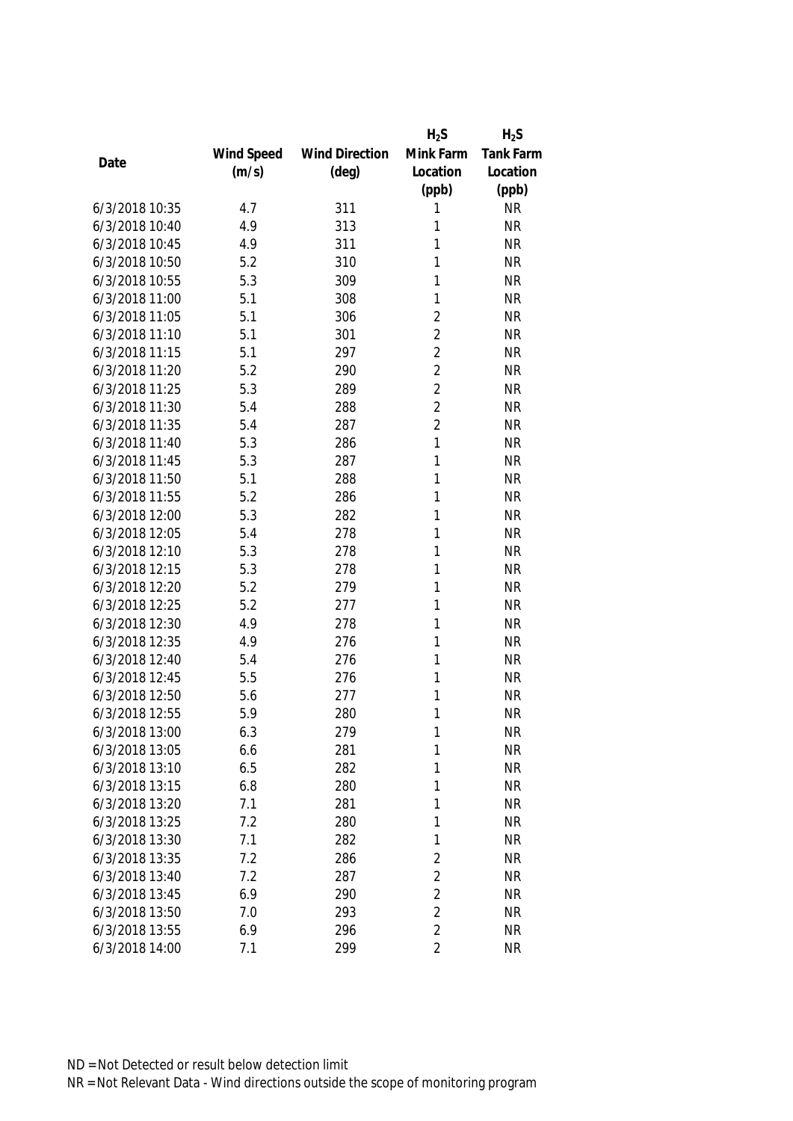| Mink Farm<br>Wind Speed<br><b>Wind Direction</b> |           |
|--------------------------------------------------|-----------|
|                                                  | Tank Farm |
| Date<br>(m/s)<br>$(\text{deg})$<br>Location      | Location  |
| (ppb)                                            | (ppb)     |
| 6/3/2018 10:35<br>4.7<br>311<br>1                | <b>NR</b> |
| 6/3/2018 10:40<br>4.9<br>313<br>1                | <b>NR</b> |
| 6/3/2018 10:45<br>4.9<br>1<br>311                | <b>NR</b> |
| 6/3/2018 10:50<br>1<br>5.2<br>310                | <b>NR</b> |
| 6/3/2018 10:55<br>5.3<br>309<br>1                | <b>NR</b> |
| 5.1<br>308<br>1<br>6/3/2018 11:00                | <b>NR</b> |
| $\overline{2}$<br>6/3/2018 11:05<br>5.1<br>306   | <b>NR</b> |
| $\overline{2}$<br>6/3/2018 11:10<br>5.1<br>301   | <b>NR</b> |
| $\overline{2}$<br>6/3/2018 11:15<br>5.1<br>297   | <b>NR</b> |
| $\overline{2}$<br>6/3/2018 11:20<br>5.2<br>290   | <b>NR</b> |
| $\overline{2}$<br>6/3/2018 11:25<br>5.3<br>289   | <b>NR</b> |
| $\overline{2}$<br>6/3/2018 11:30<br>5.4<br>288   | <b>NR</b> |
| $\overline{2}$<br>6/3/2018 11:35<br>5.4<br>287   | <b>NR</b> |
| 1<br>6/3/2018 11:40<br>5.3<br>286                | <b>NR</b> |
| 6/3/2018 11:45<br>5.3<br>287<br>1                | <b>NR</b> |
| 1<br>6/3/2018 11:50<br>5.1<br>288                | <b>NR</b> |
| 6/3/2018 11:55<br>5.2<br>1<br>286                | <b>NR</b> |
| 5.3<br>282<br>1<br>6/3/2018 12:00                | <b>NR</b> |
| 6/3/2018 12:05<br>5.4<br>278<br>1                | <b>NR</b> |
| 6/3/2018 12:10<br>278<br>1<br>5.3                | <b>NR</b> |
| 6/3/2018 12:15<br>5.3<br>278<br>1                | <b>NR</b> |
| 5.2<br>279<br>1<br>6/3/2018 12:20                | <b>NR</b> |
| 6/3/2018 12:25<br>5.2<br>1<br>277                | <b>NR</b> |
| 6/3/2018 12:30<br>4.9<br>1<br>278                | <b>NR</b> |
| 6/3/2018 12:35<br>1<br>4.9<br>276                | <b>NR</b> |
| 6/3/2018 12:40<br>5.4<br>1<br>276                | <b>NR</b> |
| 6/3/2018 12:45<br>1<br>5.5<br>276                | <b>NR</b> |
| 6/3/2018 12:50<br>1<br>5.6<br>277                | <b>NR</b> |
| 280<br>1<br>6/3/2018 12:55<br>5.9                | <b>NR</b> |
| 1<br>6/3/2018 13:00<br>6.3<br>279                | <b>NR</b> |
| 1<br>6/3/2018 13:05<br>6.6<br>281                | <b>NR</b> |
| 6/3/2018 13:10<br>6.5<br>282<br>1                | <b>NR</b> |
| 6/3/2018 13:15<br>6.8<br>280<br>1                | <b>NR</b> |
| 6/3/2018 13:20<br>7.1<br>281<br>1                | <b>NR</b> |
| 1<br>6/3/2018 13:25<br>7.2<br>280                | <b>NR</b> |
| 1<br>6/3/2018 13:30<br>7.1<br>282                | <b>NR</b> |
| 7.2<br>$\overline{2}$<br>6/3/2018 13:35<br>286   | <b>NR</b> |
| $\overline{2}$<br>6/3/2018 13:40<br>7.2<br>287   | <b>NR</b> |
| $\overline{2}$<br>6/3/2018 13:45<br>6.9<br>290   | <b>NR</b> |
| $\overline{2}$<br>6/3/2018 13:50<br>7.0<br>293   | <b>NR</b> |
| $\overline{2}$<br>6/3/2018 13:55<br>6.9<br>296   | <b>NR</b> |
| 6/3/2018 14:00<br>299<br>2<br>7.1                | <b>NR</b> |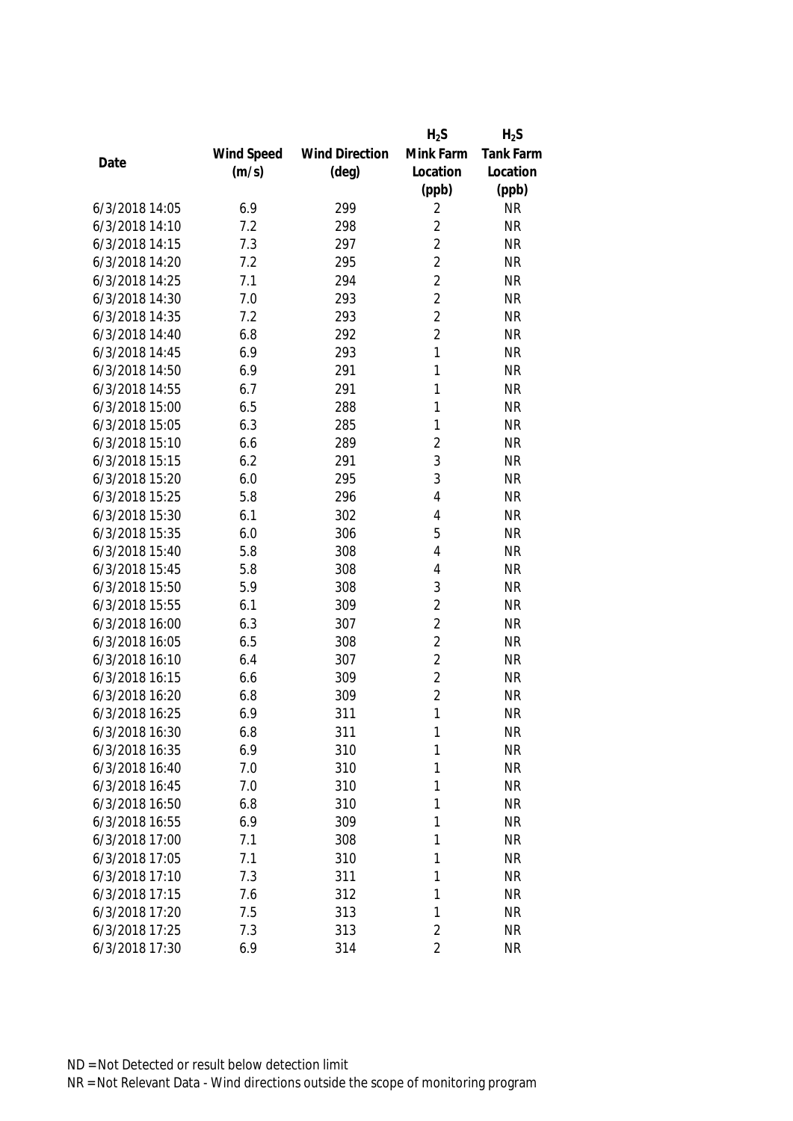|                |            |                       | $H_2S$         | $H_2S$           |
|----------------|------------|-----------------------|----------------|------------------|
|                | Wind Speed | <b>Wind Direction</b> | Mink Farm      | <b>Tank Farm</b> |
| Date           | (m/s)      | $(\text{deg})$        | Location       | Location         |
|                |            |                       | (ppb)          | (ppb)            |
| 6/3/2018 14:05 | 6.9        | 299                   | 2              | <b>NR</b>        |
| 6/3/2018 14:10 | 7.2        | 298                   | $\overline{2}$ | <b>NR</b>        |
| 6/3/2018 14:15 | 7.3        | 297                   | $\overline{2}$ | <b>NR</b>        |
| 6/3/2018 14:20 | 7.2        | 295                   | $\overline{2}$ | <b>NR</b>        |
| 6/3/2018 14:25 | 7.1        | 294                   | $\overline{2}$ | <b>NR</b>        |
| 6/3/2018 14:30 | 7.0        | 293                   | $\overline{2}$ | <b>NR</b>        |
| 6/3/2018 14:35 | 7.2        | 293                   | $\overline{2}$ | <b>NR</b>        |
| 6/3/2018 14:40 | 6.8        | 292                   | $\overline{2}$ | <b>NR</b>        |
| 6/3/2018 14:45 | 6.9        | 293                   | 1              | <b>NR</b>        |
| 6/3/2018 14:50 | 6.9        | 291                   | $\mathbf{1}$   | <b>NR</b>        |
| 6/3/2018 14:55 | 6.7        | 291                   | 1              | <b>NR</b>        |
| 6/3/2018 15:00 | 6.5        | 288                   | 1              | <b>NR</b>        |
| 6/3/2018 15:05 | 6.3        | 285                   | 1              | <b>NR</b>        |
| 6/3/2018 15:10 | 6.6        | 289                   | $\overline{2}$ | <b>NR</b>        |
| 6/3/2018 15:15 | 6.2        | 291                   | 3              | <b>NR</b>        |
| 6/3/2018 15:20 | 6.0        | 295                   | 3              | <b>NR</b>        |
| 6/3/2018 15:25 | 5.8        | 296                   | 4              | <b>NR</b>        |
| 6/3/2018 15:30 | 6.1        | 302                   | 4              | <b>NR</b>        |
| 6/3/2018 15:35 | 6.0        | 306                   | 5              | <b>NR</b>        |
| 6/3/2018 15:40 | 5.8        | 308                   | 4              | <b>NR</b>        |
| 6/3/2018 15:45 | 5.8        | 308                   | 4              | <b>NR</b>        |
| 6/3/2018 15:50 | 5.9        | 308                   | 3              | <b>NR</b>        |
| 6/3/2018 15:55 | 6.1        | 309                   | $\overline{2}$ | <b>NR</b>        |
| 6/3/2018 16:00 | 6.3        | 307                   | $\overline{2}$ | <b>NR</b>        |
| 6/3/2018 16:05 | 6.5        | 308                   | $\overline{2}$ | <b>NR</b>        |
| 6/3/2018 16:10 | 6.4        | 307                   | $\overline{2}$ | <b>NR</b>        |
| 6/3/2018 16:15 | 6.6        | 309                   | $\overline{2}$ | <b>NR</b>        |
| 6/3/2018 16:20 | 6.8        | 309                   | $\overline{2}$ | <b>NR</b>        |
| 6/3/2018 16:25 | 6.9        | 311                   | 1              | <b>NR</b>        |
| 6/3/2018 16:30 | 6.8        | 311                   | 1              | <b>NR</b>        |
| 6/3/2018 16:35 | 6.9        | 310                   | 1              | <b>NR</b>        |
| 6/3/2018 16:40 | 7.0        | 310                   | 1              | <b>NR</b>        |
| 6/3/2018 16:45 | 7.0        | 310                   | 1              | <b>NR</b>        |
| 6/3/2018 16:50 | 6.8        | 310                   | 1              | <b>NR</b>        |
| 6/3/2018 16:55 | 6.9        | 309                   | 1              | <b>NR</b>        |
| 6/3/2018 17:00 | 7.1        | 308                   | 1              | <b>NR</b>        |
| 6/3/2018 17:05 | 7.1        | 310                   | 1              | <b>NR</b>        |
| 6/3/2018 17:10 | 7.3        | 311                   | 1              | <b>NR</b>        |
| 6/3/2018 17:15 | 7.6        | 312                   | 1              | <b>NR</b>        |
| 6/3/2018 17:20 | 7.5        | 313                   | 1              | <b>NR</b>        |
| 6/3/2018 17:25 | 7.3        | 313                   | $\overline{2}$ | <b>NR</b>        |
| 6/3/2018 17:30 | 6.9        | 314                   | $\overline{2}$ | <b>NR</b>        |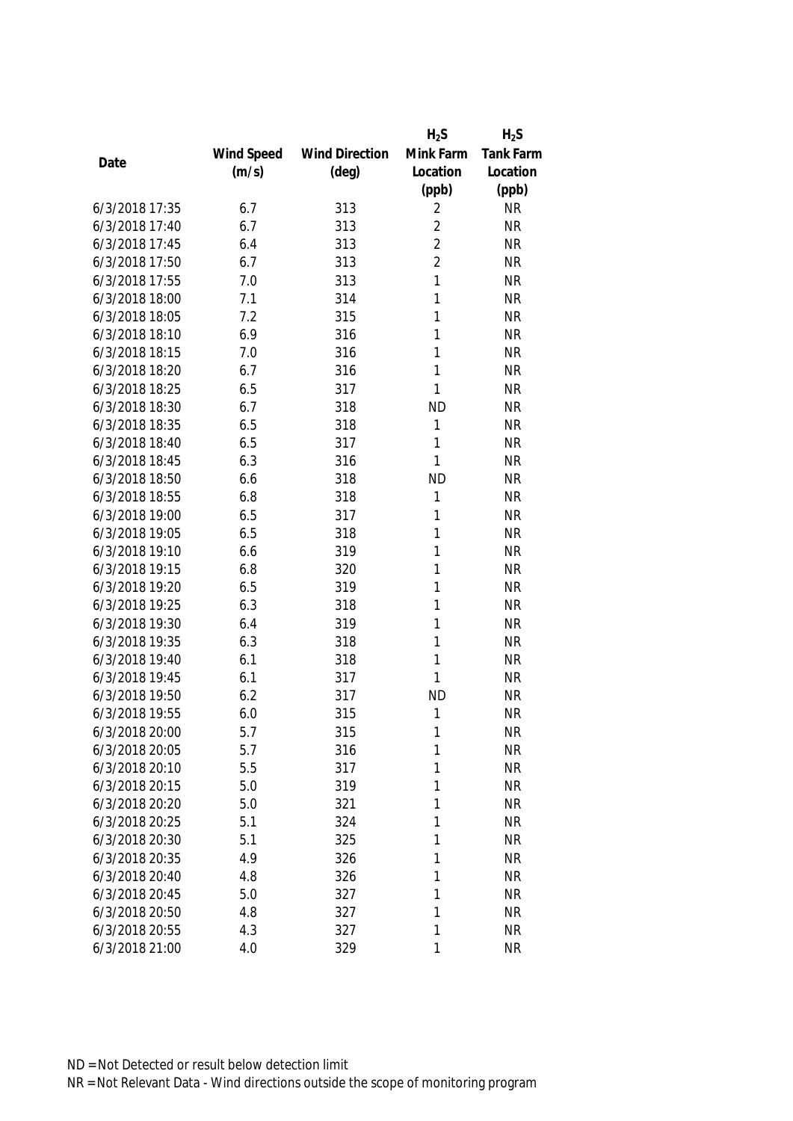|                |            |                       | $H_2S$         | $H_2S$           |
|----------------|------------|-----------------------|----------------|------------------|
|                | Wind Speed | <b>Wind Direction</b> | Mink Farm      | <b>Tank Farm</b> |
| Date           | (m/s)      | $(\text{deg})$        | Location       | Location         |
|                |            |                       | (ppb)          | (ppb)            |
| 6/3/2018 17:35 | 6.7        | 313                   | 2              | <b>NR</b>        |
| 6/3/2018 17:40 | 6.7        | 313                   | $\overline{2}$ | <b>NR</b>        |
| 6/3/2018 17:45 | 6.4        | 313                   | $\overline{2}$ | <b>NR</b>        |
| 6/3/2018 17:50 | 6.7        | 313                   | $\overline{2}$ | <b>NR</b>        |
| 6/3/2018 17:55 | 7.0        | 313                   | 1              | <b>NR</b>        |
| 6/3/2018 18:00 | 7.1        | 314                   | 1              | <b>NR</b>        |
| 6/3/2018 18:05 | 7.2        | 315                   | 1              | <b>NR</b>        |
| 6/3/2018 18:10 | 6.9        | 316                   | 1              | <b>NR</b>        |
| 6/3/2018 18:15 | 7.0        | 316                   | 1              | <b>NR</b>        |
| 6/3/2018 18:20 | 6.7        | 316                   | $\mathbf{1}$   | <b>NR</b>        |
| 6/3/2018 18:25 | 6.5        | 317                   | 1              | <b>NR</b>        |
| 6/3/2018 18:30 | 6.7        | 318                   | <b>ND</b>      | <b>NR</b>        |
| 6/3/2018 18:35 | 6.5        | 318                   | 1              | <b>NR</b>        |
| 6/3/2018 18:40 | 6.5        | 317                   | 1              | <b>NR</b>        |
| 6/3/2018 18:45 | 6.3        | 316                   | 1              | <b>NR</b>        |
| 6/3/2018 18:50 | 6.6        | 318                   | <b>ND</b>      | <b>NR</b>        |
| 6/3/2018 18:55 | 6.8        | 318                   | $\mathbf{1}$   | <b>NR</b>        |
| 6/3/2018 19:00 | 6.5        | 317                   | 1              | <b>NR</b>        |
| 6/3/2018 19:05 | 6.5        | 318                   | 1              | <b>NR</b>        |
| 6/3/2018 19:10 | 6.6        | 319                   | 1              | <b>NR</b>        |
| 6/3/2018 19:15 | 6.8        | 320                   | 1              | <b>NR</b>        |
| 6/3/2018 19:20 | 6.5        | 319                   | 1              | <b>NR</b>        |
| 6/3/2018 19:25 | 6.3        | 318                   | 1              | <b>NR</b>        |
| 6/3/2018 19:30 | 6.4        | 319                   | $\mathbf{1}$   | <b>NR</b>        |
| 6/3/2018 19:35 | 6.3        | 318                   | 1              | <b>NR</b>        |
| 6/3/2018 19:40 | 6.1        | 318                   | 1              | <b>NR</b>        |
| 6/3/2018 19:45 | 6.1        | 317                   | 1              | <b>NR</b>        |
| 6/3/2018 19:50 | 6.2        | 317                   | <b>ND</b>      | <b>NR</b>        |
| 6/3/2018 19:55 | 6.0        | 315                   | 1              | <b>NR</b>        |
| 6/3/2018 20:00 | 5.7        | 315                   | 1              | <b>NR</b>        |
| 6/3/2018 20:05 | 5.7        | 316                   | 1              | <b>NR</b>        |
| 6/3/2018 20:10 | 5.5        | 317                   | 1              | <b>NR</b>        |
| 6/3/2018 20:15 | 5.0        | 319                   | 1              | <b>NR</b>        |
| 6/3/2018 20:20 | 5.0        | 321                   | 1              | <b>NR</b>        |
| 6/3/2018 20:25 | 5.1        | 324                   | 1              | <b>NR</b>        |
| 6/3/2018 20:30 | 5.1        | 325                   | 1              | <b>NR</b>        |
| 6/3/2018 20:35 | 4.9        | 326                   | 1              | <b>NR</b>        |
| 6/3/2018 20:40 | 4.8        | 326                   | 1              | <b>NR</b>        |
| 6/3/2018 20:45 | 5.0        | 327                   | 1              | <b>NR</b>        |
| 6/3/2018 20:50 | 4.8        | 327                   | 1              | <b>NR</b>        |
| 6/3/2018 20:55 | 4.3        | 327                   | 1              | <b>NR</b>        |
| 6/3/2018 21:00 | 4.0        | 329                   | 1              | <b>NR</b>        |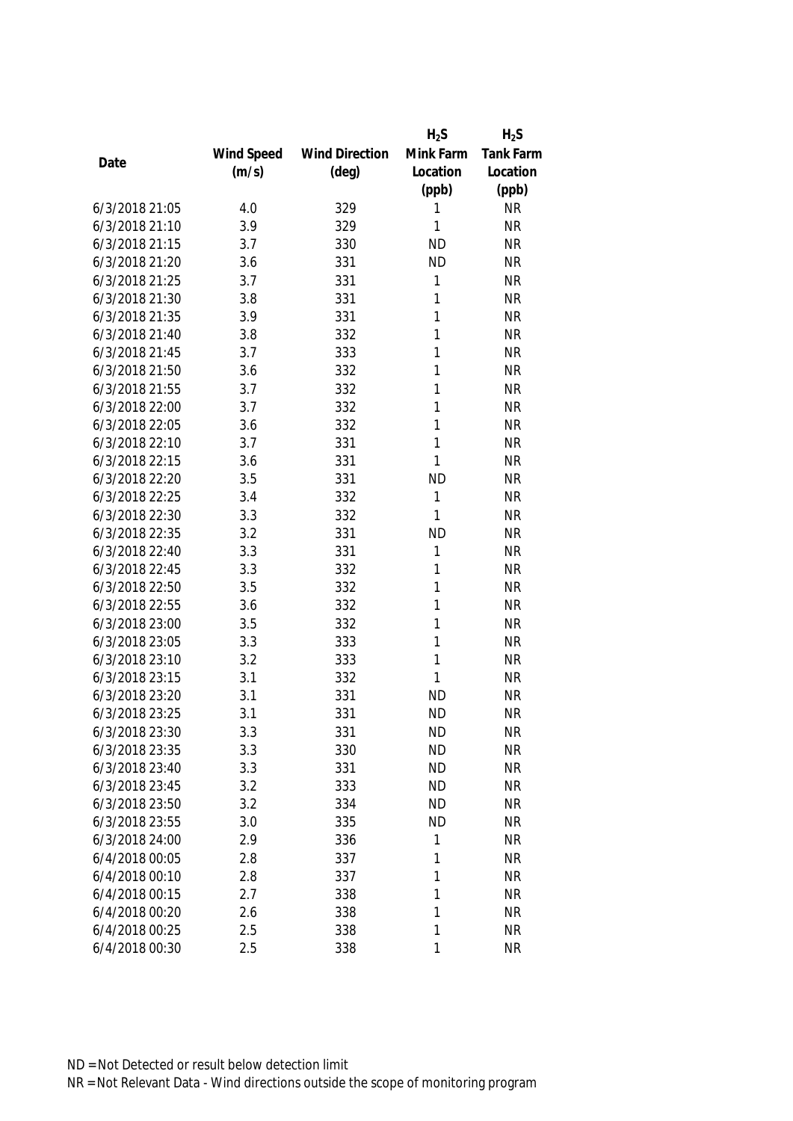|                |            |                       | $H_2S$    | $H_2S$           |
|----------------|------------|-----------------------|-----------|------------------|
|                | Wind Speed | <b>Wind Direction</b> | Mink Farm | <b>Tank Farm</b> |
| Date           | (m/s)      | $(\text{deg})$        | Location  | Location         |
|                |            |                       | (ppb)     | (ppb)            |
| 6/3/2018 21:05 | 4.0        | 329                   | 1         | <b>NR</b>        |
| 6/3/2018 21:10 | 3.9        | 329                   | 1         | <b>NR</b>        |
| 6/3/2018 21:15 | 3.7        | 330                   | <b>ND</b> | <b>NR</b>        |
| 6/3/2018 21:20 | 3.6        | 331                   | <b>ND</b> | <b>NR</b>        |
| 6/3/2018 21:25 | 3.7        | 331                   | 1         | <b>NR</b>        |
| 6/3/2018 21:30 | 3.8        | 331                   | 1         | <b>NR</b>        |
| 6/3/2018 21:35 | 3.9        | 331                   | 1         | <b>NR</b>        |
| 6/3/2018 21:40 | 3.8        | 332                   | 1         | <b>NR</b>        |
| 6/3/2018 21:45 | 3.7        | 333                   | 1         | <b>NR</b>        |
| 6/3/2018 21:50 | 3.6        | 332                   | 1         | <b>NR</b>        |
| 6/3/2018 21:55 | 3.7        | 332                   | 1         | <b>NR</b>        |
| 6/3/2018 22:00 | 3.7        | 332                   | 1         | <b>NR</b>        |
| 6/3/2018 22:05 | 3.6        | 332                   | 1         | <b>NR</b>        |
| 6/3/2018 22:10 | 3.7        | 331                   | 1         | <b>NR</b>        |
| 6/3/2018 22:15 | 3.6        | 331                   | 1         | <b>NR</b>        |
| 6/3/2018 22:20 | 3.5        | 331                   | <b>ND</b> | <b>NR</b>        |
| 6/3/2018 22:25 | 3.4        | 332                   | 1         | <b>NR</b>        |
| 6/3/2018 22:30 | 3.3        | 332                   | 1         | <b>NR</b>        |
| 6/3/2018 22:35 | 3.2        | 331                   | <b>ND</b> | <b>NR</b>        |
| 6/3/2018 22:40 | 3.3        | 331                   | 1         | <b>NR</b>        |
| 6/3/2018 22:45 | 3.3        | 332                   | 1         | <b>NR</b>        |
| 6/3/2018 22:50 | 3.5        | 332                   | 1         | <b>NR</b>        |
| 6/3/2018 22:55 | 3.6        | 332                   | 1         | <b>NR</b>        |
| 6/3/2018 23:00 | 3.5        | 332                   | 1         | <b>NR</b>        |
| 6/3/2018 23:05 | 3.3        | 333                   | 1         | <b>NR</b>        |
| 6/3/2018 23:10 | 3.2        | 333                   | 1         | <b>NR</b>        |
| 6/3/2018 23:15 | 3.1        | 332                   | 1         | <b>NR</b>        |
| 6/3/2018 23:20 | 3.1        | 331                   | <b>ND</b> | <b>NR</b>        |
| 6/3/2018 23:25 | 3.1        | 331                   | <b>ND</b> | <b>NR</b>        |
| 6/3/2018 23:30 | 3.3        | 331                   | <b>ND</b> | <b>NR</b>        |
| 6/3/2018 23:35 | 3.3        | 330                   | <b>ND</b> | <b>NR</b>        |
| 6/3/2018 23:40 | 3.3        | 331                   | <b>ND</b> | <b>NR</b>        |
| 6/3/2018 23:45 | 3.2        | 333                   | <b>ND</b> | <b>NR</b>        |
| 6/3/2018 23:50 | 3.2        | 334                   | <b>ND</b> | <b>NR</b>        |
| 6/3/2018 23:55 | 3.0        | 335                   | <b>ND</b> | <b>NR</b>        |
| 6/3/2018 24:00 | 2.9        | 336                   | 1         | <b>NR</b>        |
| 6/4/2018 00:05 | 2.8        | 337                   | 1         | <b>NR</b>        |
| 6/4/2018 00:10 | 2.8        | 337                   | 1         | <b>NR</b>        |
| 6/4/2018 00:15 | 2.7        | 338                   | 1         | <b>NR</b>        |
| 6/4/2018 00:20 | 2.6        | 338                   | 1         | <b>NR</b>        |
| 6/4/2018 00:25 | 2.5        | 338                   | 1         | <b>NR</b>        |
| 6/4/2018 00:30 | 2.5        | 338                   | 1         | <b>NR</b>        |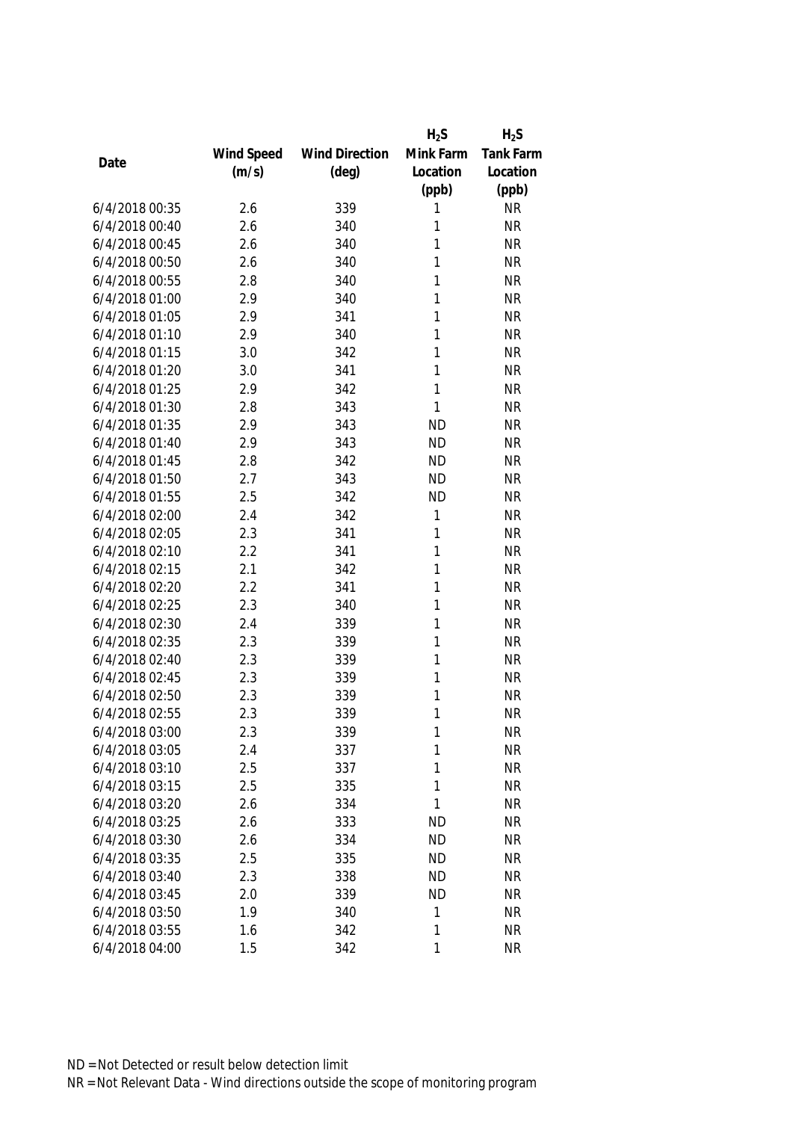|                |            |                       | $H_2S$       | $H_2S$           |
|----------------|------------|-----------------------|--------------|------------------|
|                | Wind Speed | <b>Wind Direction</b> | Mink Farm    | <b>Tank Farm</b> |
| Date           | (m/s)      | $(\text{deg})$        | Location     | Location         |
|                |            |                       | (ppb)        | (ppb)            |
| 6/4/2018 00:35 | 2.6        | 339                   | 1            | <b>NR</b>        |
| 6/4/2018 00:40 | 2.6        | 340                   | 1            | <b>NR</b>        |
| 6/4/2018 00:45 | 2.6        | 340                   | 1            | <b>NR</b>        |
| 6/4/2018 00:50 | 2.6        | 340                   | 1            | <b>NR</b>        |
| 6/4/2018 00:55 | 2.8        | 340                   | 1            | <b>NR</b>        |
| 6/4/2018 01:00 | 2.9        | 340                   | 1            | <b>NR</b>        |
| 6/4/2018 01:05 | 2.9        | 341                   | 1            | <b>NR</b>        |
| 6/4/2018 01:10 | 2.9        | 340                   | 1            | <b>NR</b>        |
| 6/4/2018 01:15 | 3.0        | 342                   | 1            | <b>NR</b>        |
| 6/4/2018 01:20 | 3.0        | 341                   | 1            | <b>NR</b>        |
| 6/4/2018 01:25 | 2.9        | 342                   | 1            | <b>NR</b>        |
| 6/4/2018 01:30 | 2.8        | 343                   | 1            | <b>NR</b>        |
| 6/4/2018 01:35 | 2.9        | 343                   | <b>ND</b>    | <b>NR</b>        |
| 6/4/2018 01:40 | 2.9        | 343                   | <b>ND</b>    | <b>NR</b>        |
| 6/4/2018 01:45 | 2.8        | 342                   | <b>ND</b>    | <b>NR</b>        |
| 6/4/2018 01:50 | 2.7        | 343                   | <b>ND</b>    | <b>NR</b>        |
| 6/4/2018 01:55 | 2.5        | 342                   | <b>ND</b>    | <b>NR</b>        |
| 6/4/2018 02:00 | 2.4        | 342                   | 1            | <b>NR</b>        |
| 6/4/2018 02:05 | 2.3        | 341                   | 1            | <b>NR</b>        |
| 6/4/2018 02:10 | 2.2        | 341                   | 1            | <b>NR</b>        |
| 6/4/2018 02:15 | 2.1        | 342                   | 1            | <b>NR</b>        |
| 6/4/2018 02:20 | 2.2        | 341                   | 1            | <b>NR</b>        |
| 6/4/2018 02:25 | 2.3        | 340                   | 1            | <b>NR</b>        |
| 6/4/2018 02:30 | 2.4        | 339                   | 1            | <b>NR</b>        |
| 6/4/2018 02:35 | 2.3        | 339                   | 1            | <b>NR</b>        |
| 6/4/2018 02:40 | 2.3        | 339                   | 1            | <b>NR</b>        |
| 6/4/2018 02:45 | 2.3        | 339                   | 1            | <b>NR</b>        |
| 6/4/2018 02:50 | 2.3        | 339                   | 1            | <b>NR</b>        |
| 6/4/2018 02:55 | 2.3        | 339                   | 1            | <b>NR</b>        |
| 6/4/2018 03:00 | 2.3        | 339                   | 1            | <b>NR</b>        |
| 6/4/2018 03:05 | 2.4        | 337                   | 1            | <b>NR</b>        |
| 6/4/2018 03:10 | 2.5        | 337                   | 1            | <b>NR</b>        |
| 6/4/2018 03:15 | 2.5        | 335                   | 1            | <b>NR</b>        |
| 6/4/2018 03:20 | 2.6        | 334                   | 1            | <b>NR</b>        |
| 6/4/2018 03:25 | 2.6        | 333                   | <b>ND</b>    | <b>NR</b>        |
| 6/4/2018 03:30 | 2.6        | 334                   | <b>ND</b>    | <b>NR</b>        |
| 6/4/2018 03:35 | 2.5        | 335                   | <b>ND</b>    | <b>NR</b>        |
| 6/4/2018 03:40 | 2.3        | 338                   | <b>ND</b>    | <b>NR</b>        |
| 6/4/2018 03:45 | 2.0        | 339                   | <b>ND</b>    | <b>NR</b>        |
| 6/4/2018 03:50 | 1.9        | 340                   | 1            | <b>NR</b>        |
| 6/4/2018 03:55 | 1.6        | 342                   | 1            | <b>NR</b>        |
| 6/4/2018 04:00 | 1.5        | 342                   | $\mathbf{1}$ | <b>NR</b>        |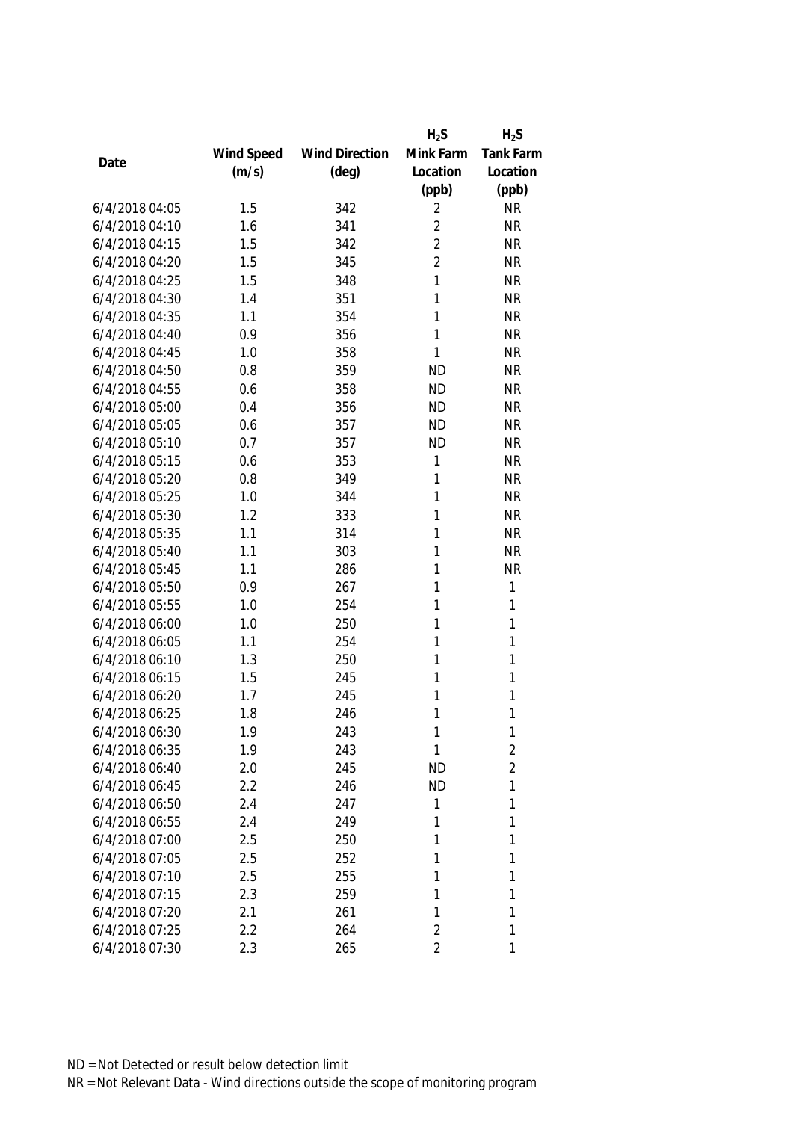|                |            |                       | $H_2S$         | $H_2S$           |
|----------------|------------|-----------------------|----------------|------------------|
|                | Wind Speed | <b>Wind Direction</b> | Mink Farm      | <b>Tank Farm</b> |
| Date           | (m/s)      | $(\text{deg})$        | Location       | Location         |
|                |            |                       | (ppb)          | (ppb)            |
| 6/4/2018 04:05 | 1.5        | 342                   | 2              | <b>NR</b>        |
| 6/4/2018 04:10 | 1.6        | 341                   | $\overline{2}$ | <b>NR</b>        |
| 6/4/2018 04:15 | 1.5        | 342                   | $\overline{2}$ | <b>NR</b>        |
| 6/4/2018 04:20 | 1.5        | 345                   | $\overline{2}$ | <b>NR</b>        |
| 6/4/2018 04:25 | 1.5        | 348                   | 1              | <b>NR</b>        |
| 6/4/2018 04:30 | 1.4        | 351                   | 1              | <b>NR</b>        |
| 6/4/2018 04:35 | 1.1        | 354                   | 1              | <b>NR</b>        |
| 6/4/2018 04:40 | 0.9        | 356                   | 1              | <b>NR</b>        |
| 6/4/2018 04:45 | 1.0        | 358                   | 1              | <b>NR</b>        |
| 6/4/2018 04:50 | 0.8        | 359                   | <b>ND</b>      | <b>NR</b>        |
| 6/4/2018 04:55 | 0.6        | 358                   | <b>ND</b>      | <b>NR</b>        |
| 6/4/2018 05:00 | 0.4        | 356                   | <b>ND</b>      | <b>NR</b>        |
| 6/4/2018 05:05 | 0.6        | 357                   | <b>ND</b>      | <b>NR</b>        |
| 6/4/2018 05:10 | 0.7        | 357                   | <b>ND</b>      | <b>NR</b>        |
| 6/4/2018 05:15 | 0.6        | 353                   | 1              | <b>NR</b>        |
| 6/4/2018 05:20 | 0.8        | 349                   | 1              | <b>NR</b>        |
| 6/4/2018 05:25 | 1.0        | 344                   | 1              | <b>NR</b>        |
| 6/4/2018 05:30 | 1.2        | 333                   | 1              | <b>NR</b>        |
| 6/4/2018 05:35 | 1.1        | 314                   | 1              | <b>NR</b>        |
| 6/4/2018 05:40 | 1.1        | 303                   | 1              | <b>NR</b>        |
| 6/4/2018 05:45 | 1.1        | 286                   | 1              | <b>NR</b>        |
| 6/4/2018 05:50 | 0.9        | 267                   | 1              | 1                |
| 6/4/2018 05:55 | 1.0        | 254                   | 1              | 1                |
| 6/4/2018 06:00 | 1.0        | 250                   | 1              | 1                |
| 6/4/2018 06:05 | 1.1        | 254                   | 1              | 1                |
| 6/4/2018 06:10 | 1.3        | 250                   | 1              | 1                |
| 6/4/2018 06:15 | 1.5        | 245                   | 1              | 1                |
| 6/4/2018 06:20 | 1.7        | 245                   | 1              | 1                |
| 6/4/2018 06:25 | 1.8        | 246                   | 1              | 1                |
| 6/4/2018 06:30 | 1.9        | 243                   | 1              | 1                |
| 6/4/2018 06:35 | 1.9        | 243                   | 1              | $\overline{c}$   |
| 6/4/2018 06:40 | 2.0        | 245                   | <b>ND</b>      | $\overline{2}$   |
| 6/4/2018 06:45 | 2.2        | 246                   | <b>ND</b>      | 1                |
| 6/4/2018 06:50 | 2.4        | 247                   | 1              | 1                |
| 6/4/2018 06:55 | 2.4        | 249                   | 1              | 1                |
| 6/4/2018 07:00 | 2.5        | 250                   | 1              | 1                |
| 6/4/2018 07:05 | 2.5        | 252                   | 1              | 1                |
| 6/4/2018 07:10 | 2.5        | 255                   | 1              | 1                |
| 6/4/2018 07:15 | 2.3        | 259                   | 1              | 1                |
| 6/4/2018 07:20 | 2.1        | 261                   | 1              | 1                |
| 6/4/2018 07:25 | 2.2        | 264                   | $\overline{2}$ | 1                |
| 6/4/2018 07:30 | 2.3        | 265                   | $\overline{2}$ | 1                |
|                |            |                       |                |                  |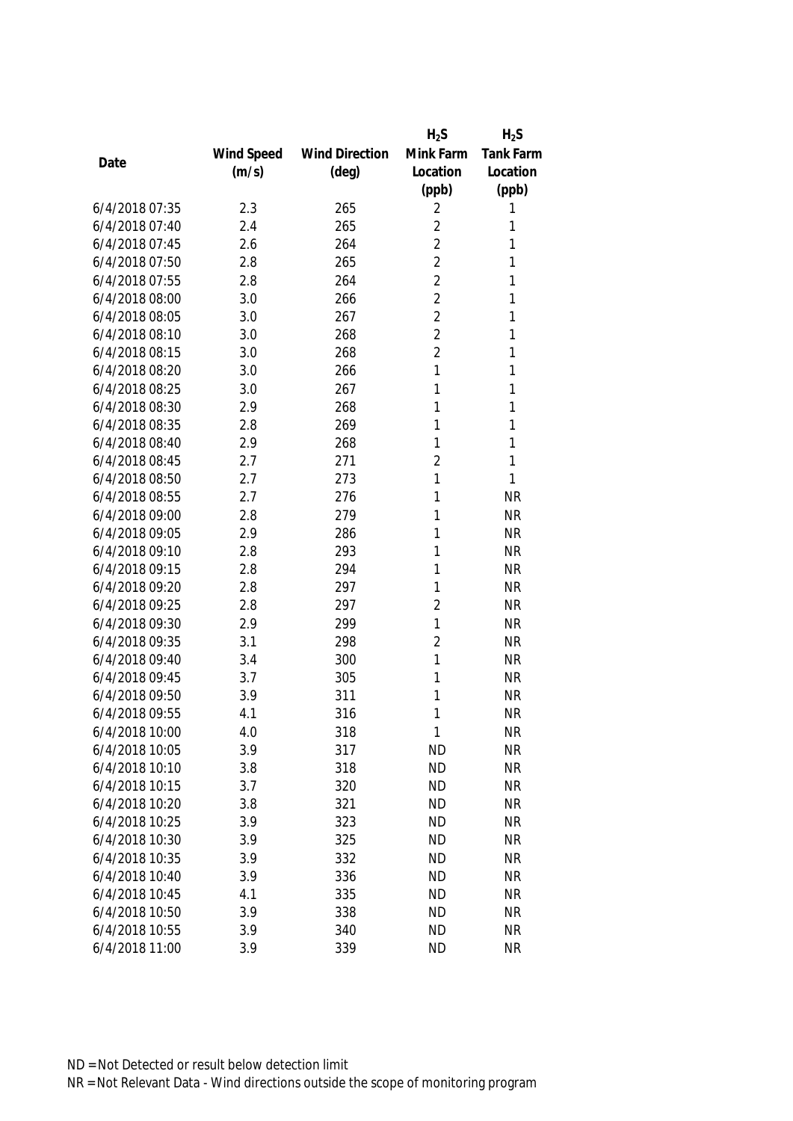|                |            |                       | $H_2S$         | $H_2S$           |
|----------------|------------|-----------------------|----------------|------------------|
|                | Wind Speed | <b>Wind Direction</b> | Mink Farm      | <b>Tank Farm</b> |
| Date           | (m/s)      | $(\text{deg})$        | Location       | Location         |
|                |            |                       | (ppb)          | (ppb)            |
| 6/4/2018 07:35 | 2.3        | 265                   | 2              | 1                |
| 6/4/2018 07:40 | 2.4        | 265                   | $\overline{2}$ | 1                |
| 6/4/2018 07:45 | 2.6        | 264                   | $\overline{2}$ | 1                |
| 6/4/2018 07:50 | 2.8        | 265                   | $\overline{2}$ | 1                |
| 6/4/2018 07:55 | 2.8        | 264                   | $\overline{2}$ | 1                |
| 6/4/2018 08:00 | 3.0        | 266                   | $\overline{2}$ | 1                |
| 6/4/2018 08:05 | 3.0        | 267                   | $\overline{2}$ | 1                |
| 6/4/2018 08:10 | 3.0        | 268                   | $\overline{2}$ | 1                |
| 6/4/2018 08:15 | 3.0        | 268                   | $\overline{2}$ | 1                |
| 6/4/2018 08:20 | 3.0        | 266                   | 1              | 1                |
| 6/4/2018 08:25 | 3.0        | 267                   | 1              | 1                |
| 6/4/2018 08:30 | 2.9        | 268                   | 1              | 1                |
| 6/4/2018 08:35 | 2.8        | 269                   | 1              | 1                |
| 6/4/2018 08:40 | 2.9        | 268                   | 1              | 1                |
| 6/4/2018 08:45 | 2.7        | 271                   | $\overline{2}$ | 1                |
| 6/4/2018 08:50 | 2.7        | 273                   | 1              | 1                |
| 6/4/2018 08:55 | 2.7        | 276                   | 1              | <b>NR</b>        |
| 6/4/2018 09:00 | 2.8        | 279                   | 1              | <b>NR</b>        |
| 6/4/2018 09:05 | 2.9        | 286                   | 1              | <b>NR</b>        |
| 6/4/2018 09:10 | 2.8        | 293                   | 1              | <b>NR</b>        |
| 6/4/2018 09:15 | 2.8        | 294                   | 1              | <b>NR</b>        |
| 6/4/2018 09:20 | 2.8        | 297                   | 1              | <b>NR</b>        |
| 6/4/2018 09:25 | 2.8        | 297                   | $\overline{2}$ | <b>NR</b>        |
| 6/4/2018 09:30 | 2.9        | 299                   | 1              | <b>NR</b>        |
| 6/4/2018 09:35 | 3.1        | 298                   | $\overline{2}$ | <b>NR</b>        |
| 6/4/2018 09:40 | 3.4        | 300                   | 1              | <b>NR</b>        |
| 6/4/2018 09:45 | 3.7        | 305                   | 1              | <b>NR</b>        |
| 6/4/2018 09:50 | 3.9        | 311                   | 1              | <b>NR</b>        |
| 6/4/2018 09:55 | 4.1        | 316                   | 1              | <b>NR</b>        |
| 6/4/2018 10:00 | 4.0        | 318                   | 1              | <b>NR</b>        |
| 6/4/2018 10:05 | 3.9        | 317                   | <b>ND</b>      | <b>NR</b>        |
| 6/4/2018 10:10 | 3.8        | 318                   | <b>ND</b>      | <b>NR</b>        |
| 6/4/2018 10:15 | 3.7        | 320                   | <b>ND</b>      | <b>NR</b>        |
| 6/4/2018 10:20 | 3.8        | 321                   | <b>ND</b>      | <b>NR</b>        |
| 6/4/2018 10:25 | 3.9        | 323                   | <b>ND</b>      | <b>NR</b>        |
| 6/4/2018 10:30 | 3.9        | 325                   | <b>ND</b>      | <b>NR</b>        |
| 6/4/2018 10:35 | 3.9        | 332                   | <b>ND</b>      | <b>NR</b>        |
| 6/4/2018 10:40 | 3.9        | 336                   | <b>ND</b>      | <b>NR</b>        |
| 6/4/2018 10:45 | 4.1        | 335                   | <b>ND</b>      | <b>NR</b>        |
| 6/4/2018 10:50 | 3.9        | 338                   | <b>ND</b>      | <b>NR</b>        |
| 6/4/2018 10:55 | 3.9        | 340                   | <b>ND</b>      | <b>NR</b>        |
| 6/4/2018 11:00 | 3.9        | 339                   | <b>ND</b>      | <b>NR</b>        |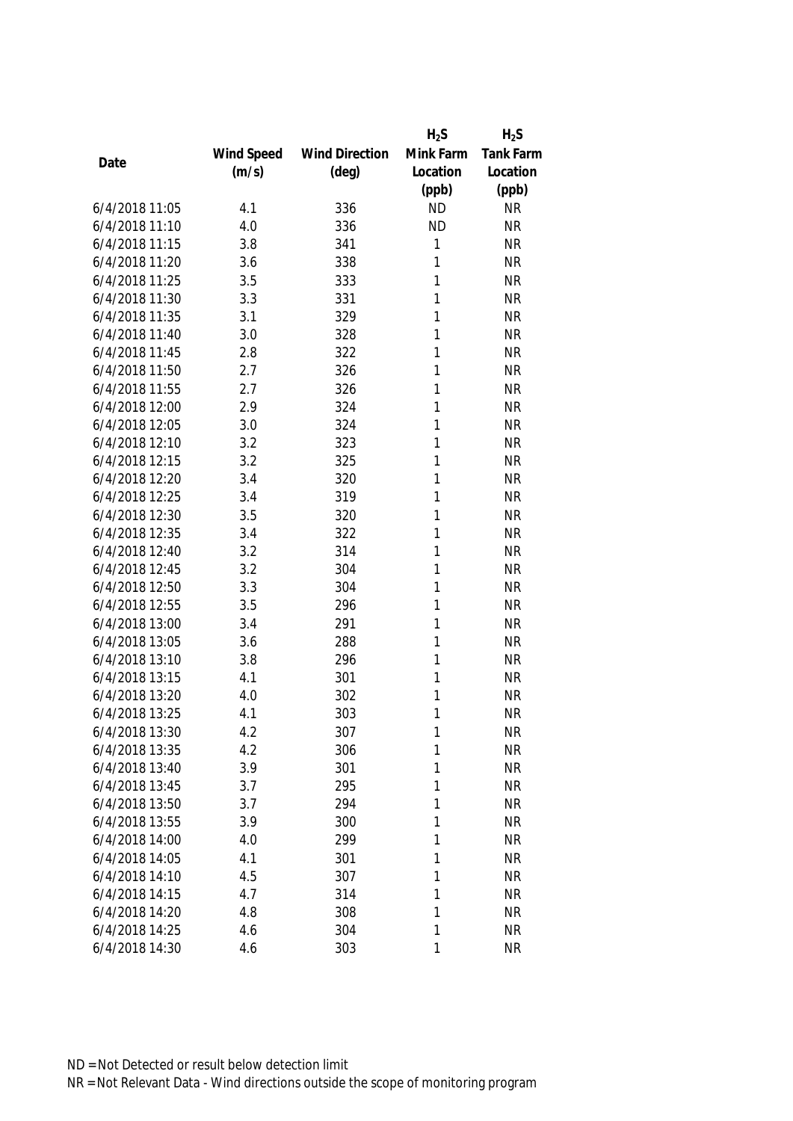|                |            |                       | $H_2S$    | $H_2S$           |
|----------------|------------|-----------------------|-----------|------------------|
|                | Wind Speed | <b>Wind Direction</b> | Mink Farm | <b>Tank Farm</b> |
| Date           | (m/s)      | $(\text{deg})$        | Location  | Location         |
|                |            |                       | (ppb)     | (ppb)            |
| 6/4/2018 11:05 | 4.1        | 336                   | <b>ND</b> | <b>NR</b>        |
| 6/4/2018 11:10 | 4.0        | 336                   | <b>ND</b> | <b>NR</b>        |
| 6/4/2018 11:15 | 3.8        | 341                   | 1         | <b>NR</b>        |
| 6/4/2018 11:20 | 3.6        | 338                   | 1         | <b>NR</b>        |
| 6/4/2018 11:25 | 3.5        | 333                   | 1         | <b>NR</b>        |
| 6/4/2018 11:30 | 3.3        | 331                   | 1         | <b>NR</b>        |
| 6/4/2018 11:35 | 3.1        | 329                   | 1         | <b>NR</b>        |
| 6/4/2018 11:40 | 3.0        | 328                   | 1         | <b>NR</b>        |
| 6/4/2018 11:45 | 2.8        | 322                   | 1         | <b>NR</b>        |
| 6/4/2018 11:50 | 2.7        | 326                   | 1         | <b>NR</b>        |
| 6/4/2018 11:55 | 2.7        | 326                   | 1         | <b>NR</b>        |
| 6/4/2018 12:00 | 2.9        | 324                   | 1         | <b>NR</b>        |
| 6/4/2018 12:05 | 3.0        | 324                   | 1         | <b>NR</b>        |
| 6/4/2018 12:10 | 3.2        | 323                   | 1         | <b>NR</b>        |
| 6/4/2018 12:15 | 3.2        | 325                   | 1         | <b>NR</b>        |
| 6/4/2018 12:20 | 3.4        | 320                   | 1         | <b>NR</b>        |
| 6/4/2018 12:25 | 3.4        | 319                   | 1         | <b>NR</b>        |
| 6/4/2018 12:30 | 3.5        | 320                   | 1         | <b>NR</b>        |
| 6/4/2018 12:35 | 3.4        | 322                   | 1         | <b>NR</b>        |
| 6/4/2018 12:40 | 3.2        | 314                   | 1         | <b>NR</b>        |
| 6/4/2018 12:45 | 3.2        | 304                   | 1         | <b>NR</b>        |
| 6/4/2018 12:50 | 3.3        | 304                   | 1         | <b>NR</b>        |
| 6/4/2018 12:55 | 3.5        | 296                   | 1         | <b>NR</b>        |
| 6/4/2018 13:00 | 3.4        | 291                   | 1         | <b>NR</b>        |
| 6/4/2018 13:05 | 3.6        | 288                   | 1         | <b>NR</b>        |
| 6/4/2018 13:10 | 3.8        | 296                   | 1         | <b>NR</b>        |
| 6/4/2018 13:15 | 4.1        | 301                   | 1         | <b>NR</b>        |
| 6/4/2018 13:20 | 4.0        | 302                   | 1         | <b>NR</b>        |
| 6/4/2018 13:25 | 4.1        | 303                   | 1         | <b>NR</b>        |
| 6/4/2018 13:30 | 4.2        | 307                   | 1         | <b>NR</b>        |
| 6/4/2018 13:35 | 4.2        | 306                   | 1         | <b>NR</b>        |
| 6/4/2018 13:40 | 3.9        | 301                   | 1         | <b>NR</b>        |
| 6/4/2018 13:45 | 3.7        | 295                   | 1         | <b>NR</b>        |
| 6/4/2018 13:50 | 3.7        | 294                   | 1         | <b>NR</b>        |
| 6/4/2018 13:55 | 3.9        | 300                   | 1         | <b>NR</b>        |
| 6/4/2018 14:00 | 4.0        | 299                   | 1         | <b>NR</b>        |
| 6/4/2018 14:05 | 4.1        | 301                   | 1         | <b>NR</b>        |
| 6/4/2018 14:10 | 4.5        | 307                   | 1         | <b>NR</b>        |
| 6/4/2018 14:15 | 4.7        | 314                   | 1         | <b>NR</b>        |
| 6/4/2018 14:20 | 4.8        | 308                   | 1         | <b>NR</b>        |
| 6/4/2018 14:25 | 4.6        | 304                   | 1         | <b>NR</b>        |
| 6/4/2018 14:30 | 4.6        | 303                   | 1         | <b>NR</b>        |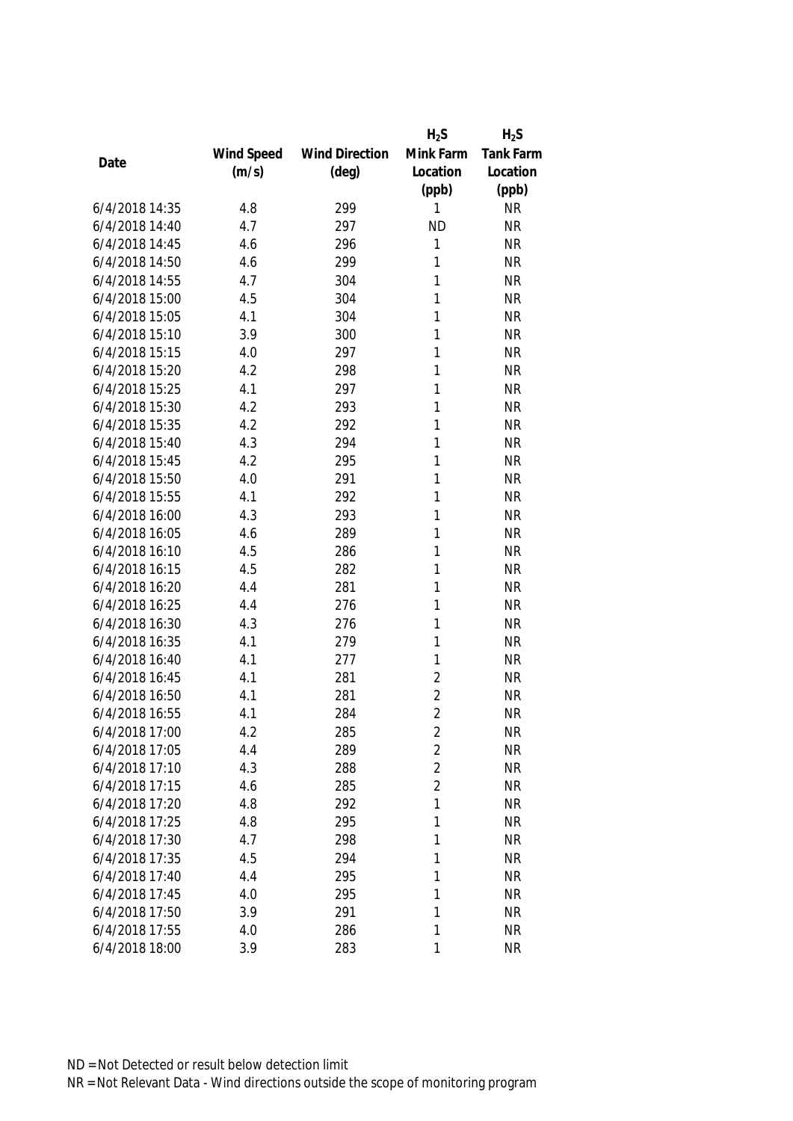|                |            |                       | $H_2S$         | $H_2S$           |
|----------------|------------|-----------------------|----------------|------------------|
|                | Wind Speed | <b>Wind Direction</b> | Mink Farm      | <b>Tank Farm</b> |
| Date           | (m/s)      | $(\text{deg})$        | Location       | Location         |
|                |            |                       | (ppb)          | (ppb)            |
| 6/4/2018 14:35 | 4.8        | 299                   | 1              | <b>NR</b>        |
| 6/4/2018 14:40 | 4.7        | 297                   | <b>ND</b>      | <b>NR</b>        |
| 6/4/2018 14:45 | 4.6        | 296                   | 1              | <b>NR</b>        |
| 6/4/2018 14:50 | 4.6        | 299                   | 1              | <b>NR</b>        |
| 6/4/2018 14:55 | 4.7        | 304                   | 1              | <b>NR</b>        |
| 6/4/2018 15:00 | 4.5        | 304                   | 1              | <b>NR</b>        |
| 6/4/2018 15:05 | 4.1        | 304                   | 1              | <b>NR</b>        |
| 6/4/2018 15:10 | 3.9        | 300                   | 1              | <b>NR</b>        |
| 6/4/2018 15:15 | 4.0        | 297                   | 1              | <b>NR</b>        |
| 6/4/2018 15:20 | 4.2        | 298                   | 1              | <b>NR</b>        |
| 6/4/2018 15:25 | 4.1        | 297                   | 1              | <b>NR</b>        |
| 6/4/2018 15:30 | 4.2        | 293                   | 1              | <b>NR</b>        |
| 6/4/2018 15:35 | 4.2        | 292                   | 1              | <b>NR</b>        |
| 6/4/2018 15:40 | 4.3        | 294                   | 1              | <b>NR</b>        |
| 6/4/2018 15:45 | 4.2        | 295                   | 1              | <b>NR</b>        |
| 6/4/2018 15:50 | 4.0        | 291                   | 1              | <b>NR</b>        |
| 6/4/2018 15:55 | 4.1        | 292                   | 1              | <b>NR</b>        |
| 6/4/2018 16:00 | 4.3        | 293                   | 1              | <b>NR</b>        |
| 6/4/2018 16:05 | 4.6        | 289                   | 1              | <b>NR</b>        |
| 6/4/2018 16:10 | 4.5        | 286                   | 1              | <b>NR</b>        |
| 6/4/2018 16:15 | 4.5        | 282                   | 1              | <b>NR</b>        |
| 6/4/2018 16:20 | 4.4        | 281                   | 1              | <b>NR</b>        |
| 6/4/2018 16:25 | 4.4        | 276                   | 1              | <b>NR</b>        |
| 6/4/2018 16:30 | 4.3        | 276                   | 1              | <b>NR</b>        |
| 6/4/2018 16:35 | 4.1        | 279                   | 1              | <b>NR</b>        |
| 6/4/2018 16:40 | 4.1        | 277                   | 1              | <b>NR</b>        |
| 6/4/2018 16:45 | 4.1        | 281                   | $\overline{2}$ | <b>NR</b>        |
| 6/4/2018 16:50 | 4.1        | 281                   | $\overline{2}$ | <b>NR</b>        |
| 6/4/2018 16:55 | 4.1        | 284                   | $\overline{2}$ | <b>NR</b>        |
| 6/4/2018 17:00 | 4.2        | 285                   | 2              | <b>NR</b>        |
| 6/4/2018 17:05 | 4.4        | 289                   | $\overline{2}$ | <b>NR</b>        |
| 6/4/2018 17:10 | 4.3        | 288                   | $\overline{2}$ | <b>NR</b>        |
| 6/4/2018 17:15 | 4.6        | 285                   | $\overline{2}$ | <b>NR</b>        |
| 6/4/2018 17:20 | 4.8        | 292                   | 1              | <b>NR</b>        |
| 6/4/2018 17:25 | 4.8        | 295                   | 1              | <b>NR</b>        |
| 6/4/2018 17:30 | 4.7        | 298                   | 1              | <b>NR</b>        |
| 6/4/2018 17:35 | 4.5        | 294                   | 1              | <b>NR</b>        |
| 6/4/2018 17:40 | 4.4        | 295                   | 1              | <b>NR</b>        |
| 6/4/2018 17:45 | 4.0        | 295                   | 1              | <b>NR</b>        |
| 6/4/2018 17:50 | 3.9        | 291                   | 1              | <b>NR</b>        |
| 6/4/2018 17:55 | 4.0        | 286                   | 1              | <b>NR</b>        |
| 6/4/2018 18:00 | 3.9        | 283                   | 1              | <b>NR</b>        |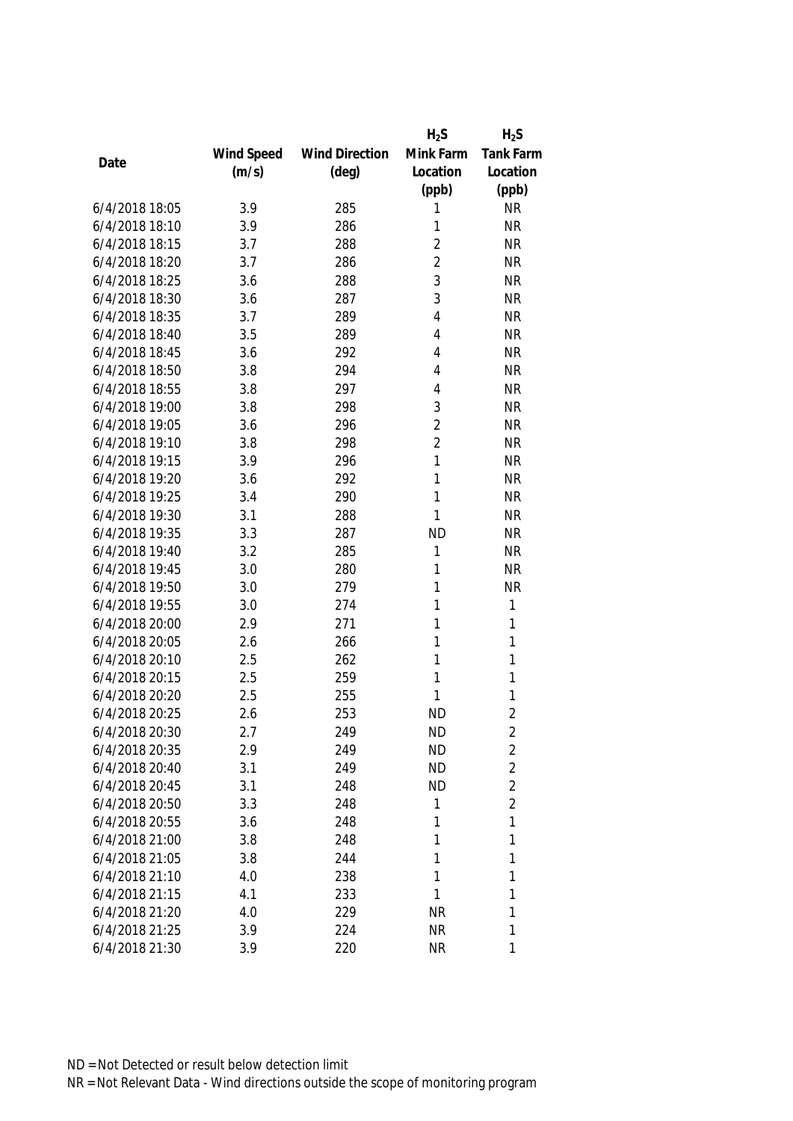|                |            |                       | $H_2S$         | $H_2S$           |
|----------------|------------|-----------------------|----------------|------------------|
|                | Wind Speed | <b>Wind Direction</b> | Mink Farm      | <b>Tank Farm</b> |
| Date           | (m/s)      | $(\text{deg})$        | Location       | Location         |
|                |            |                       | (ppb)          | (ppb)            |
| 6/4/2018 18:05 | 3.9        | 285                   | 1              | <b>NR</b>        |
| 6/4/2018 18:10 | 3.9        | 286                   | 1              | <b>NR</b>        |
| 6/4/2018 18:15 | 3.7        | 288                   | $\overline{2}$ | <b>NR</b>        |
| 6/4/2018 18:20 | 3.7        | 286                   | $\overline{2}$ | <b>NR</b>        |
| 6/4/2018 18:25 | 3.6        | 288                   | 3              | <b>NR</b>        |
| 6/4/2018 18:30 | 3.6        | 287                   | 3              | <b>NR</b>        |
| 6/4/2018 18:35 | 3.7        | 289                   | $\overline{4}$ | <b>NR</b>        |
| 6/4/2018 18:40 | 3.5        | 289                   | 4              | <b>NR</b>        |
| 6/4/2018 18:45 | 3.6        | 292                   | 4              | <b>NR</b>        |
| 6/4/2018 18:50 | 3.8        | 294                   | 4              | <b>NR</b>        |
| 6/4/2018 18:55 | 3.8        | 297                   | 4              | <b>NR</b>        |
| 6/4/2018 19:00 | 3.8        | 298                   | 3              | <b>NR</b>        |
| 6/4/2018 19:05 | 3.6        | 296                   | $\overline{2}$ | <b>NR</b>        |
| 6/4/2018 19:10 | 3.8        | 298                   | $\overline{2}$ | <b>NR</b>        |
| 6/4/2018 19:15 | 3.9        | 296                   | 1              | <b>NR</b>        |
| 6/4/2018 19:20 | 3.6        | 292                   | 1              | <b>NR</b>        |
| 6/4/2018 19:25 | 3.4        | 290                   | 1              | <b>NR</b>        |
| 6/4/2018 19:30 | 3.1        | 288                   | 1              | <b>NR</b>        |
| 6/4/2018 19:35 | 3.3        | 287                   | <b>ND</b>      | <b>NR</b>        |
| 6/4/2018 19:40 | 3.2        | 285                   | 1              | <b>NR</b>        |
| 6/4/2018 19:45 | 3.0        | 280                   | 1              | <b>NR</b>        |
| 6/4/2018 19:50 | 3.0        | 279                   | 1              | <b>NR</b>        |
| 6/4/2018 19:55 | 3.0        | 274                   | 1              | $\mathbf{1}$     |
| 6/4/2018 20:00 | 2.9        | 271                   | 1              | $\mathbf{1}$     |
| 6/4/2018 20:05 | 2.6        | 266                   | 1              | $\mathbf{1}$     |
| 6/4/2018 20:10 | 2.5        | 262                   | 1              | 1                |
| 6/4/2018 20:15 | 2.5        | 259                   | 1              | 1                |
| 6/4/2018 20:20 | 2.5        | 255                   | 1              | 1                |
| 6/4/2018 20:25 | 2.6        | 253                   | <b>ND</b>      | $\overline{2}$   |
| 6/4/2018 20:30 | 2.7        | 249                   | <b>ND</b>      | 2                |
| 6/4/2018 20:35 | 2.9        | 249                   | <b>ND</b>      | $\overline{2}$   |
| 6/4/2018 20:40 | 3.1        | 249                   | <b>ND</b>      | $\overline{2}$   |
| 6/4/2018 20:45 | 3.1        | 248                   | <b>ND</b>      | $\overline{2}$   |
| 6/4/2018 20:50 | 3.3        | 248                   | 1              | $\overline{2}$   |
| 6/4/2018 20:55 | 3.6        | 248                   | 1              | 1                |
| 6/4/2018 21:00 | 3.8        | 248                   | 1              | 1                |
| 6/4/2018 21:05 | 3.8        | 244                   | 1              | 1                |
| 6/4/2018 21:10 | 4.0        | 238                   | 1              | 1                |
| 6/4/2018 21:15 | 4.1        | 233                   | 1              | 1                |
| 6/4/2018 21:20 | 4.0        | 229                   | <b>NR</b>      | 1                |
| 6/4/2018 21:25 | 3.9        | 224                   | <b>NR</b>      | 1                |
| 6/4/2018 21:30 | 3.9        | 220                   | <b>NR</b>      | 1                |
|                |            |                       |                |                  |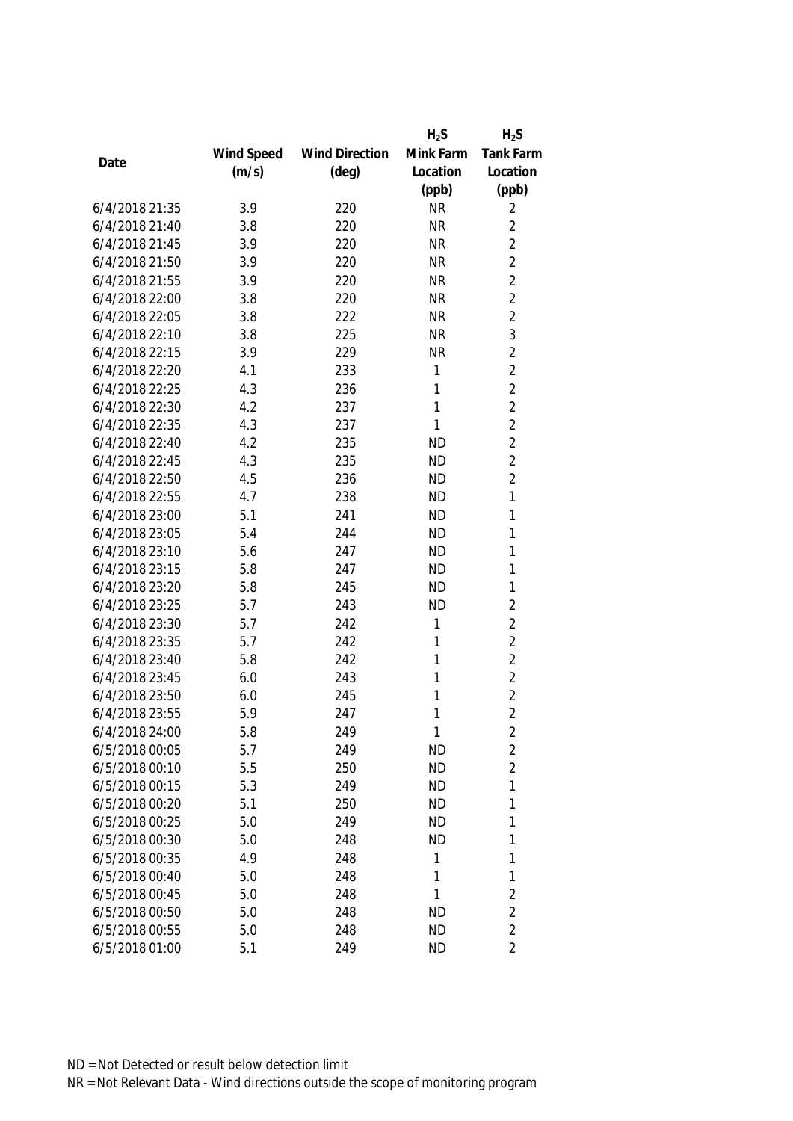|                |            |                       | $H_2S$    | $H_2S$           |
|----------------|------------|-----------------------|-----------|------------------|
|                | Wind Speed | <b>Wind Direction</b> | Mink Farm | <b>Tank Farm</b> |
| Date           | (m/s)      | $(\text{deg})$        | Location  | Location         |
|                |            |                       | (ppb)     | (ppb)            |
| 6/4/2018 21:35 | 3.9        | 220                   | <b>NR</b> | 2                |
| 6/4/2018 21:40 | 3.8        | 220                   | <b>NR</b> | $\overline{2}$   |
| 6/4/2018 21:45 | 3.9        | 220                   | <b>NR</b> | $\overline{2}$   |
| 6/4/2018 21:50 | 3.9        | 220                   | <b>NR</b> | $\overline{2}$   |
| 6/4/2018 21:55 | 3.9        | 220                   | <b>NR</b> | $\overline{2}$   |
| 6/4/2018 22:00 | 3.8        | 220                   | <b>NR</b> | $\overline{2}$   |
| 6/4/2018 22:05 | 3.8        | 222                   | <b>NR</b> | $\overline{2}$   |
| 6/4/2018 22:10 | 3.8        | 225                   | <b>NR</b> | 3                |
| 6/4/2018 22:15 | 3.9        | 229                   | <b>NR</b> | $\overline{2}$   |
| 6/4/2018 22:20 | 4.1        | 233                   | 1         | $\overline{2}$   |
| 6/4/2018 22:25 | 4.3        | 236                   | 1         | $\overline{2}$   |
| 6/4/2018 22:30 | 4.2        | 237                   | 1         | $\overline{2}$   |
| 6/4/2018 22:35 | 4.3        | 237                   | 1         | $\overline{2}$   |
| 6/4/2018 22:40 | 4.2        | 235                   | <b>ND</b> | $\overline{2}$   |
| 6/4/2018 22:45 | 4.3        | 235                   | <b>ND</b> | $\overline{2}$   |
| 6/4/2018 22:50 | 4.5        | 236                   | <b>ND</b> | $\overline{2}$   |
| 6/4/2018 22:55 | 4.7        | 238                   | <b>ND</b> | 1                |
| 6/4/2018 23:00 | 5.1        | 241                   | <b>ND</b> | 1                |
| 6/4/2018 23:05 | 5.4        | 244                   | <b>ND</b> | 1                |
| 6/4/2018 23:10 | 5.6        | 247                   | <b>ND</b> | 1                |
| 6/4/2018 23:15 | 5.8        | 247                   | <b>ND</b> | 1                |
| 6/4/2018 23:20 | 5.8        | 245                   | <b>ND</b> | 1                |
| 6/4/2018 23:25 | 5.7        | 243                   | <b>ND</b> | $\overline{2}$   |
| 6/4/2018 23:30 | 5.7        | 242                   | 1         | $\overline{2}$   |
| 6/4/2018 23:35 | 5.7        | 242                   | 1         | $\overline{2}$   |
| 6/4/2018 23:40 | 5.8        | 242                   | 1         | $\overline{2}$   |
| 6/4/2018 23:45 | 6.0        | 243                   | 1         | $\overline{2}$   |
| 6/4/2018 23:50 | 6.0        | 245                   | 1         | $\overline{2}$   |
| 6/4/2018 23:55 | 5.9        | 247                   | 1         | $\overline{2}$   |
| 6/4/2018 24:00 | 5.8        | 249                   | 1         | 2                |
| 6/5/2018 00:05 | 5.7        | 249                   | <b>ND</b> | $\overline{2}$   |
| 6/5/2018 00:10 | 5.5        | 250                   | <b>ND</b> | $\overline{2}$   |
| 6/5/2018 00:15 | 5.3        | 249                   | <b>ND</b> | 1                |
| 6/5/2018 00:20 | 5.1        | 250                   | <b>ND</b> | 1                |
| 6/5/2018 00:25 | 5.0        | 249                   | <b>ND</b> | 1                |
| 6/5/2018 00:30 | 5.0        | 248                   | <b>ND</b> | 1                |
| 6/5/2018 00:35 | 4.9        | 248                   | 1         | 1                |
| 6/5/2018 00:40 | 5.0        | 248                   | 1         | 1                |
| 6/5/2018 00:45 | 5.0        | 248                   | 1         | $\overline{2}$   |
| 6/5/2018 00:50 | 5.0        | 248                   | <b>ND</b> | $\overline{2}$   |
| 6/5/2018 00:55 | 5.0        | 248                   | <b>ND</b> | $\overline{2}$   |
| 6/5/2018 01:00 | 5.1        | 249                   | <b>ND</b> | $\overline{2}$   |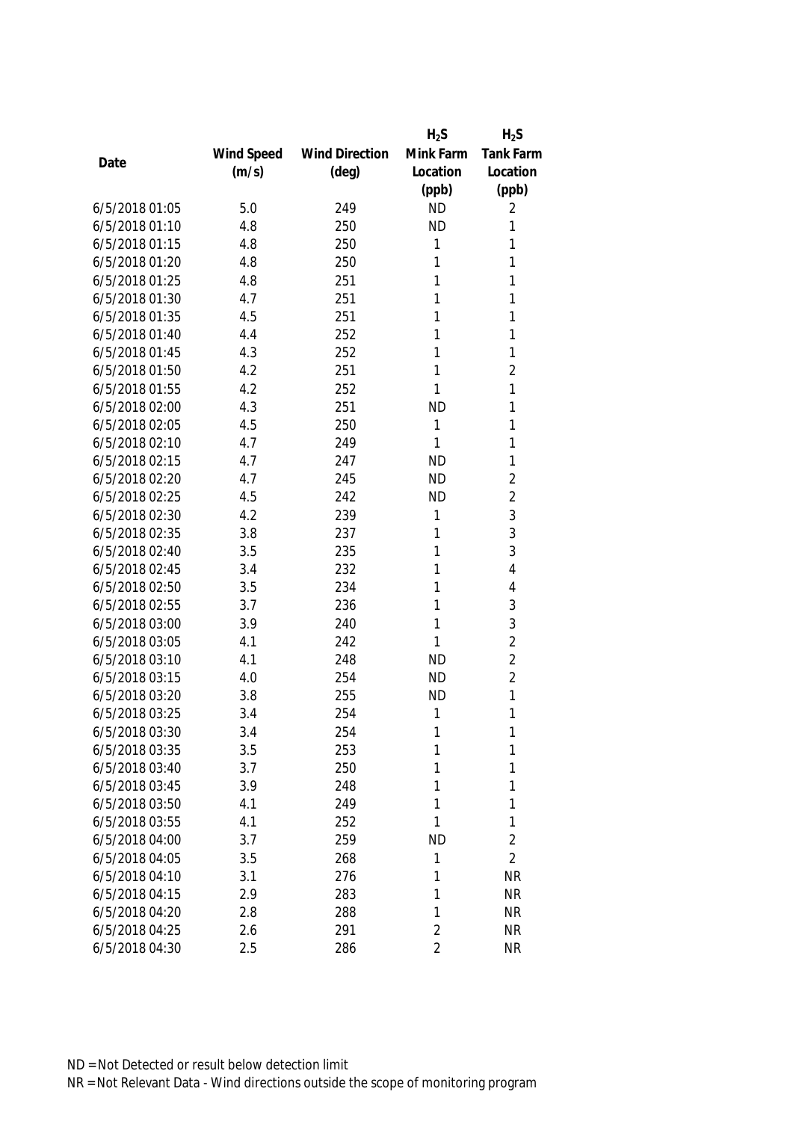|                |            |                       | $H_2S$         | $H_2S$         |
|----------------|------------|-----------------------|----------------|----------------|
|                | Wind Speed | <b>Wind Direction</b> | Mink Farm      | Tank Farm      |
| Date           | (m/s)      | $(\text{deg})$        | Location       | Location       |
|                |            |                       | (ppb)          | (ppb)          |
| 6/5/2018 01:05 | 5.0        | 249                   | <b>ND</b>      | 2              |
| 6/5/2018 01:10 | 4.8        | 250                   | <b>ND</b>      | 1              |
| 6/5/2018 01:15 | 4.8        | 250                   | 1              | 1              |
| 6/5/2018 01:20 | 4.8        | 250                   | 1              | 1              |
| 6/5/2018 01:25 | 4.8        | 251                   | 1              | 1              |
| 6/5/2018 01:30 | 4.7        | 251                   | 1              | 1              |
| 6/5/2018 01:35 | 4.5        | 251                   | 1              | 1              |
| 6/5/2018 01:40 | 4.4        | 252                   | 1              | 1              |
| 6/5/2018 01:45 | 4.3        | 252                   | 1              | 1              |
| 6/5/2018 01:50 | 4.2        | 251                   | 1              | $\overline{2}$ |
| 6/5/2018 01:55 | 4.2        | 252                   | 1              | 1              |
| 6/5/2018 02:00 | 4.3        | 251                   | <b>ND</b>      | 1              |
| 6/5/2018 02:05 | 4.5        | 250                   | 1              | 1              |
| 6/5/2018 02:10 | 4.7        | 249                   | 1              | 1              |
| 6/5/2018 02:15 | 4.7        | 247                   | <b>ND</b>      | 1              |
| 6/5/2018 02:20 | 4.7        | 245                   | <b>ND</b>      | $\overline{2}$ |
| 6/5/2018 02:25 | 4.5        | 242                   | <b>ND</b>      | $\overline{2}$ |
| 6/5/2018 02:30 | 4.2        | 239                   | 1              | 3              |
| 6/5/2018 02:35 | 3.8        | 237                   | 1              | 3              |
| 6/5/2018 02:40 | 3.5        | 235                   | 1              | 3              |
| 6/5/2018 02:45 | 3.4        | 232                   | 1              | 4              |
| 6/5/2018 02:50 | 3.5        | 234                   | 1              | 4              |
| 6/5/2018 02:55 | 3.7        | 236                   | 1              | 3              |
| 6/5/2018 03:00 | 3.9        | 240                   | 1              | 3              |
| 6/5/2018 03:05 | 4.1        | 242                   | 1              | $\overline{2}$ |
| 6/5/2018 03:10 | 4.1        | 248                   | <b>ND</b>      | $\overline{2}$ |
| 6/5/2018 03:15 | 4.0        | 254                   | <b>ND</b>      | $\overline{2}$ |
| 6/5/2018 03:20 | 3.8        | 255                   | <b>ND</b>      | 1              |
| 6/5/2018 03:25 | 3.4        | 254                   | 1              | 1              |
| 6/5/2018 03:30 | 3.4        | 254                   | 1              | 1              |
| 6/5/2018 03:35 | 3.5        | 253                   | 1              | 1              |
| 6/5/2018 03:40 | 3.7        | 250                   | 1              | 1              |
| 6/5/2018 03:45 | 3.9        | 248                   | 1              | 1              |
| 6/5/2018 03:50 | 4.1        | 249                   | 1              | 1              |
| 6/5/2018 03:55 | 4.1        | 252                   | 1              | 1              |
| 6/5/2018 04:00 | 3.7        | 259                   | <b>ND</b>      | $\overline{2}$ |
| 6/5/2018 04:05 | 3.5        | 268                   | 1              | $\overline{2}$ |
| 6/5/2018 04:10 | 3.1        | 276                   | 1              | <b>NR</b>      |
| 6/5/2018 04:15 | 2.9        | 283                   | 1              | <b>NR</b>      |
| 6/5/2018 04:20 | 2.8        | 288                   | 1              | <b>NR</b>      |
| 6/5/2018 04:25 | 2.6        | 291                   | $\overline{2}$ | <b>NR</b>      |
| 6/5/2018 04:30 | 2.5        | 286                   | $\overline{2}$ | <b>NR</b>      |
|                |            |                       |                |                |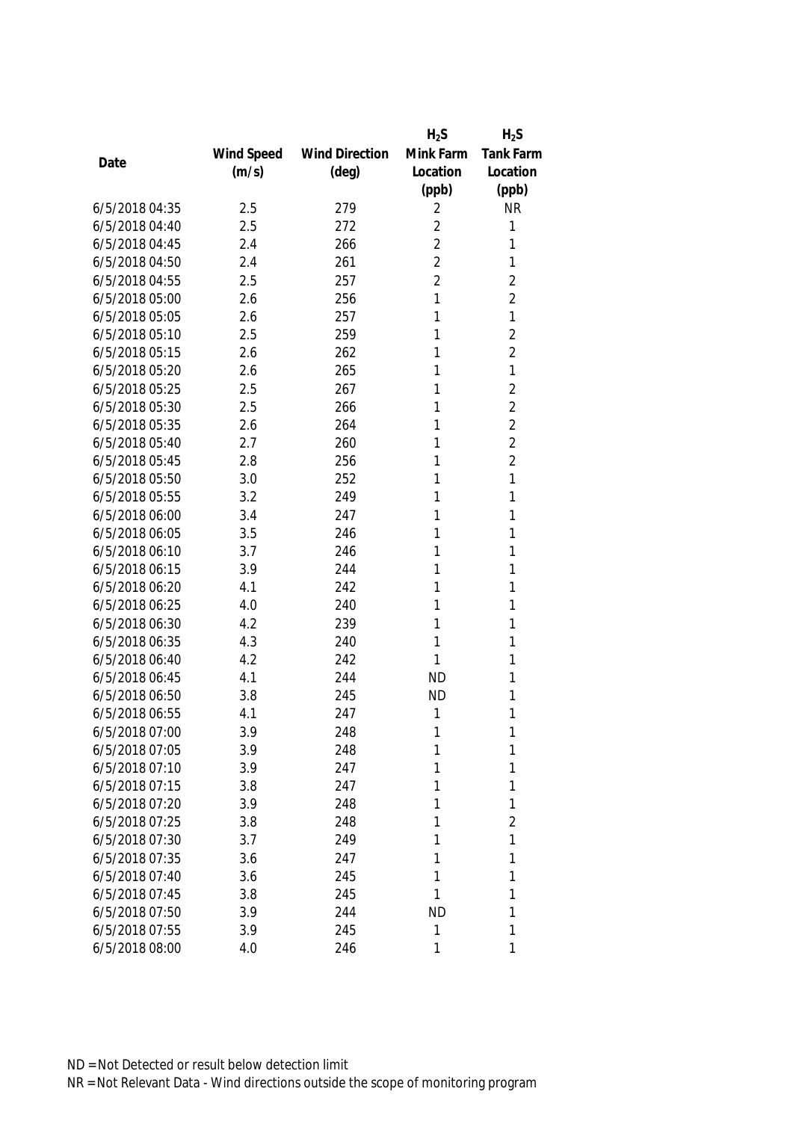|                |            |                       | $H_2S$         | $H_2S$           |
|----------------|------------|-----------------------|----------------|------------------|
|                | Wind Speed | <b>Wind Direction</b> | Mink Farm      | <b>Tank Farm</b> |
| Date           | (m/s)      | $(\text{deg})$        | Location       | Location         |
|                |            |                       | (ppb)          | (ppb)            |
| 6/5/2018 04:35 | 2.5        | 279                   | 2              | <b>NR</b>        |
| 6/5/2018 04:40 | 2.5        | 272                   | $\overline{2}$ | 1                |
| 6/5/2018 04:45 | 2.4        | 266                   | $\overline{2}$ | 1                |
| 6/5/2018 04:50 | 2.4        | 261                   | $\overline{2}$ | 1                |
| 6/5/2018 04:55 | 2.5        | 257                   | $\overline{2}$ | $\overline{2}$   |
| 6/5/2018 05:00 | 2.6        | 256                   | 1              | $\overline{2}$   |
| 6/5/2018 05:05 | 2.6        | 257                   | 1              | 1                |
| 6/5/2018 05:10 | 2.5        | 259                   | 1              | $\overline{2}$   |
| 6/5/2018 05:15 | 2.6        | 262                   | 1              | $\overline{2}$   |
| 6/5/2018 05:20 | 2.6        | 265                   | 1              | 1                |
| 6/5/2018 05:25 | 2.5        | 267                   | 1              | $\overline{2}$   |
| 6/5/2018 05:30 | 2.5        | 266                   | 1              | $\overline{2}$   |
| 6/5/2018 05:35 | 2.6        | 264                   | 1              | $\overline{2}$   |
| 6/5/2018 05:40 | 2.7        | 260                   | 1              | $\overline{2}$   |
| 6/5/2018 05:45 | 2.8        | 256                   | 1              | $\overline{2}$   |
| 6/5/2018 05:50 | 3.0        | 252                   | 1              | 1                |
| 6/5/2018 05:55 | 3.2        | 249                   | 1              | 1                |
| 6/5/2018 06:00 | 3.4        | 247                   | 1              | 1                |
| 6/5/2018 06:05 | 3.5        | 246                   | 1              | 1                |
| 6/5/2018 06:10 | 3.7        | 246                   | 1              | 1                |
| 6/5/2018 06:15 | 3.9        | 244                   | 1              | 1                |
| 6/5/2018 06:20 | 4.1        | 242                   | 1              | 1                |
| 6/5/2018 06:25 | 4.0        | 240                   | 1              | 1                |
| 6/5/2018 06:30 | 4.2        | 239                   | 1              | 1                |
| 6/5/2018 06:35 | 4.3        | 240                   | 1              | 1                |
| 6/5/2018 06:40 | 4.2        | 242                   | 1              | 1                |
| 6/5/2018 06:45 | 4.1        | 244                   | <b>ND</b>      | 1                |
| 6/5/2018 06:50 | 3.8        | 245                   | <b>ND</b>      | 1                |
| 6/5/2018 06:55 | 4.1        | 247                   | 1              | 1                |
| 6/5/2018 07:00 | 3.9        | 248                   | 1              | 1                |
| 6/5/2018 07:05 | 3.9        | 248                   | 1              | 1                |
| 6/5/2018 07:10 | 3.9        | 247                   | 1              | 1                |
| 6/5/2018 07:15 | 3.8        | 247                   | 1              | 1                |
| 6/5/2018 07:20 | 3.9        | 248                   | 1              | 1                |
| 6/5/2018 07:25 | 3.8        | 248                   | 1              | $\overline{2}$   |
| 6/5/2018 07:30 | 3.7        | 249                   | 1              | 1                |
| 6/5/2018 07:35 | 3.6        | 247                   | 1              | 1                |
| 6/5/2018 07:40 | 3.6        | 245                   | 1              | 1                |
| 6/5/2018 07:45 | 3.8        | 245                   | 1              | 1                |
| 6/5/2018 07:50 | 3.9        | 244                   | ND             | 1                |
| 6/5/2018 07:55 | 3.9        | 245                   | 1              | 1                |
| 6/5/2018 08:00 | 4.0        | 246                   | 1              | 1                |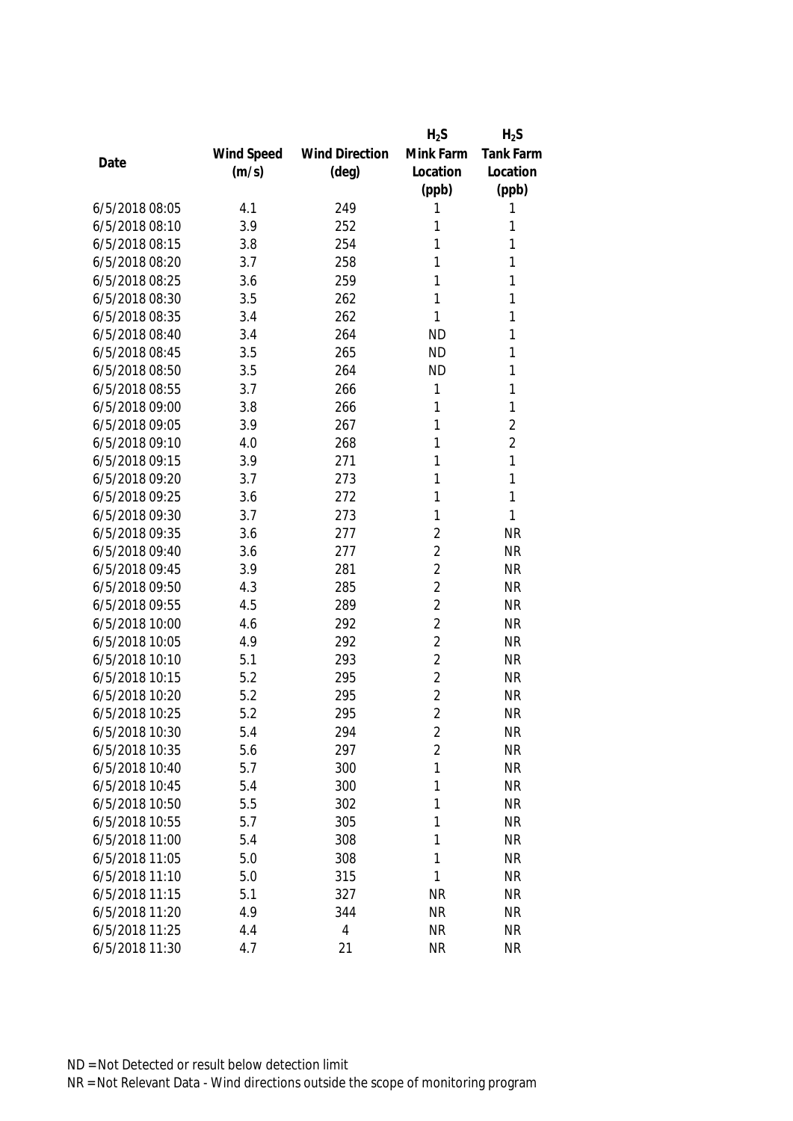|                |            |                       | $H_2S$         | $H_2S$         |
|----------------|------------|-----------------------|----------------|----------------|
|                | Wind Speed | <b>Wind Direction</b> | Mink Farm      | Tank Farm      |
| Date           | (m/s)      | $(\text{deg})$        | Location       | Location       |
|                |            |                       | (ppb)          | (ppb)          |
| 6/5/2018 08:05 | 4.1        | 249                   | 1              | 1              |
| 6/5/2018 08:10 | 3.9        | 252                   | 1              | 1              |
| 6/5/2018 08:15 | 3.8        | 254                   | 1              | 1              |
| 6/5/2018 08:20 | 3.7        | 258                   | 1              | 1              |
| 6/5/2018 08:25 | 3.6        | 259                   | 1              | 1              |
| 6/5/2018 08:30 | 3.5        | 262                   | 1              | 1              |
| 6/5/2018 08:35 | 3.4        | 262                   | 1              | 1              |
| 6/5/2018 08:40 | 3.4        | 264                   | <b>ND</b>      | 1              |
| 6/5/2018 08:45 | 3.5        | 265                   | <b>ND</b>      | 1              |
| 6/5/2018 08:50 | 3.5        | 264                   | <b>ND</b>      | 1              |
| 6/5/2018 08:55 | 3.7        | 266                   | 1              | 1              |
| 6/5/2018 09:00 | 3.8        | 266                   | 1              | $\mathbf{1}$   |
| 6/5/2018 09:05 | 3.9        | 267                   | 1              | $\overline{2}$ |
| 6/5/2018 09:10 | 4.0        | 268                   | 1              | $\overline{2}$ |
| 6/5/2018 09:15 | 3.9        | 271                   | 1              | $\mathbf{1}$   |
| 6/5/2018 09:20 | 3.7        | 273                   | 1              | $\mathbf{1}$   |
| 6/5/2018 09:25 | 3.6        | 272                   | 1              | $\mathbf{1}$   |
| 6/5/2018 09:30 | 3.7        | 273                   | 1              | $\mathbf{1}$   |
| 6/5/2018 09:35 | 3.6        | 277                   | $\overline{2}$ | <b>NR</b>      |
| 6/5/2018 09:40 | 3.6        | 277                   | $\overline{2}$ | <b>NR</b>      |
| 6/5/2018 09:45 | 3.9        | 281                   | $\overline{2}$ | <b>NR</b>      |
| 6/5/2018 09:50 | 4.3        | 285                   | $\overline{2}$ | <b>NR</b>      |
| 6/5/2018 09:55 | 4.5        | 289                   | $\overline{2}$ | <b>NR</b>      |
| 6/5/2018 10:00 | 4.6        | 292                   | $\overline{2}$ | <b>NR</b>      |
| 6/5/2018 10:05 | 4.9        | 292                   | $\overline{2}$ | <b>NR</b>      |
| 6/5/2018 10:10 | 5.1        | 293                   | $\overline{2}$ | <b>NR</b>      |
| 6/5/2018 10:15 | 5.2        | 295                   | $\overline{2}$ | <b>NR</b>      |
| 6/5/2018 10:20 | 5.2        | 295                   | $\overline{2}$ | <b>NR</b>      |
| 6/5/2018 10:25 | 5.2        | 295                   | $\overline{2}$ | <b>NR</b>      |
| 6/5/2018 10:30 | 5.4        | 294                   | 2              | <b>NR</b>      |
| 6/5/2018 10:35 | 5.6        | 297                   | $\overline{2}$ | <b>NR</b>      |
| 6/5/2018 10:40 | 5.7        | 300                   | 1              | <b>NR</b>      |
| 6/5/2018 10:45 | 5.4        | 300                   | 1              | <b>NR</b>      |
| 6/5/2018 10:50 | 5.5        | 302                   | 1              | <b>NR</b>      |
| 6/5/2018 10:55 | 5.7        | 305                   | 1              | <b>NR</b>      |
| 6/5/2018 11:00 | 5.4        | 308                   | 1              | <b>NR</b>      |
| 6/5/2018 11:05 | 5.0        | 308                   | 1              | <b>NR</b>      |
| 6/5/2018 11:10 | 5.0        | 315                   | 1              | <b>NR</b>      |
| 6/5/2018 11:15 | 5.1        | 327                   | <b>NR</b>      | <b>NR</b>      |
| 6/5/2018 11:20 | 4.9        | 344                   | <b>NR</b>      | <b>NR</b>      |
| 6/5/2018 11:25 | 4.4        | 4                     | <b>NR</b>      | <b>NR</b>      |
| 6/5/2018 11:30 | 4.7        | 21                    | <b>NR</b>      | <b>NR</b>      |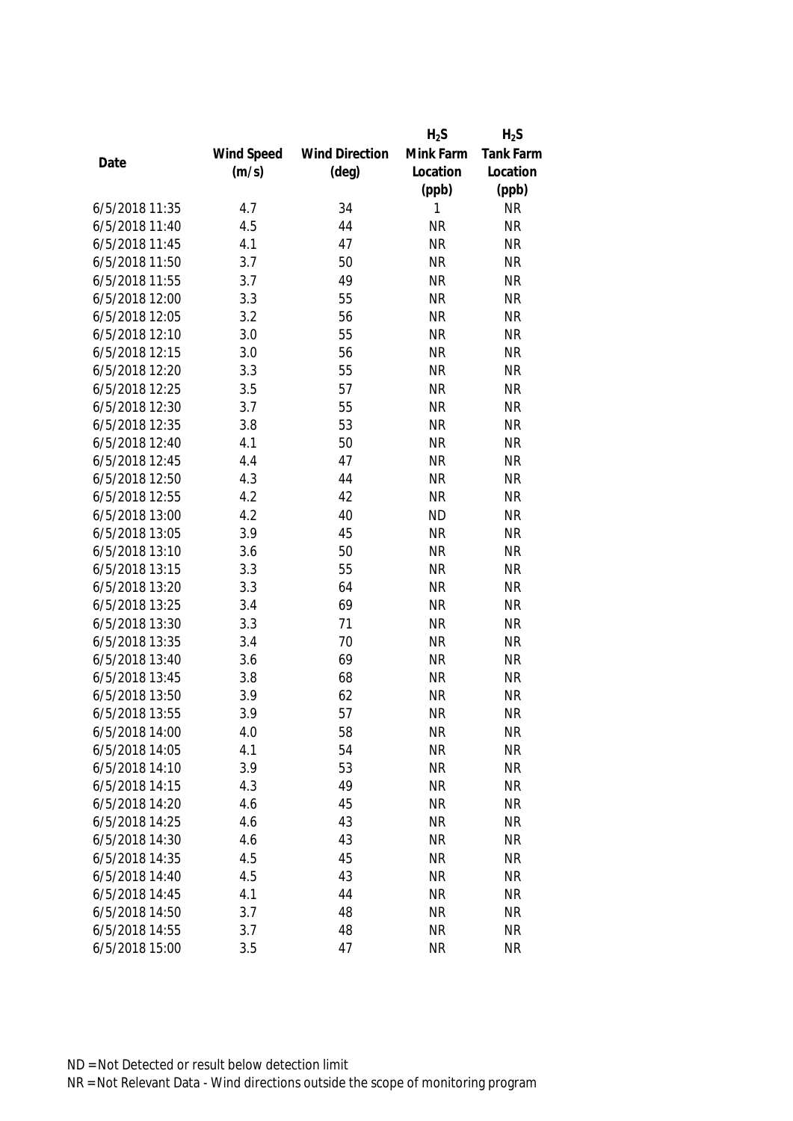|                |            |                       | $H_2S$    | $H_2S$           |
|----------------|------------|-----------------------|-----------|------------------|
|                | Wind Speed | <b>Wind Direction</b> | Mink Farm | <b>Tank Farm</b> |
| Date           | (m/s)      | $(\text{deg})$        | Location  | Location         |
|                |            |                       | (ppb)     | (ppb)            |
| 6/5/2018 11:35 | 4.7        | 34                    | 1         | <b>NR</b>        |
| 6/5/2018 11:40 | 4.5        | 44                    | <b>NR</b> | <b>NR</b>        |
| 6/5/2018 11:45 | 4.1        | 47                    | <b>NR</b> | <b>NR</b>        |
| 6/5/2018 11:50 | 3.7        | 50                    | <b>NR</b> | <b>NR</b>        |
| 6/5/2018 11:55 | 3.7        | 49                    | <b>NR</b> | <b>NR</b>        |
| 6/5/2018 12:00 | 3.3        | 55                    | <b>NR</b> | <b>NR</b>        |
| 6/5/2018 12:05 | 3.2        | 56                    | <b>NR</b> | <b>NR</b>        |
| 6/5/2018 12:10 | 3.0        | 55                    | <b>NR</b> | <b>NR</b>        |
| 6/5/2018 12:15 | 3.0        | 56                    | <b>NR</b> | <b>NR</b>        |
| 6/5/2018 12:20 | 3.3        | 55                    | <b>NR</b> | <b>NR</b>        |
| 6/5/2018 12:25 | 3.5        | 57                    | <b>NR</b> | <b>NR</b>        |
| 6/5/2018 12:30 | 3.7        | 55                    | <b>NR</b> | <b>NR</b>        |
| 6/5/2018 12:35 | 3.8        | 53                    | <b>NR</b> | <b>NR</b>        |
| 6/5/2018 12:40 | 4.1        | 50                    | <b>NR</b> | <b>NR</b>        |
| 6/5/2018 12:45 | 4.4        | 47                    | <b>NR</b> | <b>NR</b>        |
| 6/5/2018 12:50 | 4.3        | 44                    | <b>NR</b> | <b>NR</b>        |
| 6/5/2018 12:55 | 4.2        | 42                    | <b>NR</b> | <b>NR</b>        |
| 6/5/2018 13:00 | 4.2        | 40                    | <b>ND</b> | <b>NR</b>        |
| 6/5/2018 13:05 | 3.9        | 45                    | <b>NR</b> | <b>NR</b>        |
| 6/5/2018 13:10 | 3.6        | 50                    | <b>NR</b> | <b>NR</b>        |
| 6/5/2018 13:15 | 3.3        | 55                    | <b>NR</b> | <b>NR</b>        |
| 6/5/2018 13:20 | 3.3        | 64                    | <b>NR</b> | <b>NR</b>        |
| 6/5/2018 13:25 | 3.4        | 69                    | <b>NR</b> | <b>NR</b>        |
| 6/5/2018 13:30 | 3.3        | 71                    | <b>NR</b> | <b>NR</b>        |
| 6/5/2018 13:35 | 3.4        | 70                    | <b>NR</b> | <b>NR</b>        |
| 6/5/2018 13:40 | 3.6        | 69                    | <b>NR</b> | <b>NR</b>        |
| 6/5/2018 13:45 | 3.8        | 68                    | <b>NR</b> | <b>NR</b>        |
| 6/5/2018 13:50 | 3.9        | 62                    | <b>NR</b> | <b>NR</b>        |
| 6/5/2018 13:55 | 3.9        | 57                    | <b>NR</b> | <b>NR</b>        |
| 6/5/2018 14:00 | 4.0        | 58                    | <b>NR</b> | <b>NR</b>        |
| 6/5/2018 14:05 | 4.1        | 54                    | <b>NR</b> | <b>NR</b>        |
| 6/5/2018 14:10 | 3.9        | 53                    | <b>NR</b> | <b>NR</b>        |
| 6/5/2018 14:15 | 4.3        | 49                    | <b>NR</b> | <b>NR</b>        |
| 6/5/2018 14:20 | 4.6        | 45                    | <b>NR</b> | <b>NR</b>        |
| 6/5/2018 14:25 | 4.6        | 43                    | <b>NR</b> | <b>NR</b>        |
| 6/5/2018 14:30 | 4.6        | 43                    | <b>NR</b> | <b>NR</b>        |
| 6/5/2018 14:35 | 4.5        | 45                    | <b>NR</b> | <b>NR</b>        |
| 6/5/2018 14:40 | 4.5        | 43                    | <b>NR</b> | <b>NR</b>        |
| 6/5/2018 14:45 | 4.1        | 44                    | <b>NR</b> | <b>NR</b>        |
| 6/5/2018 14:50 | 3.7        | 48                    | <b>NR</b> | <b>NR</b>        |
| 6/5/2018 14:55 | 3.7        | 48                    | <b>NR</b> | <b>NR</b>        |
|                |            |                       |           |                  |
| 6/5/2018 15:00 | 3.5        | 47                    | <b>NR</b> | <b>NR</b>        |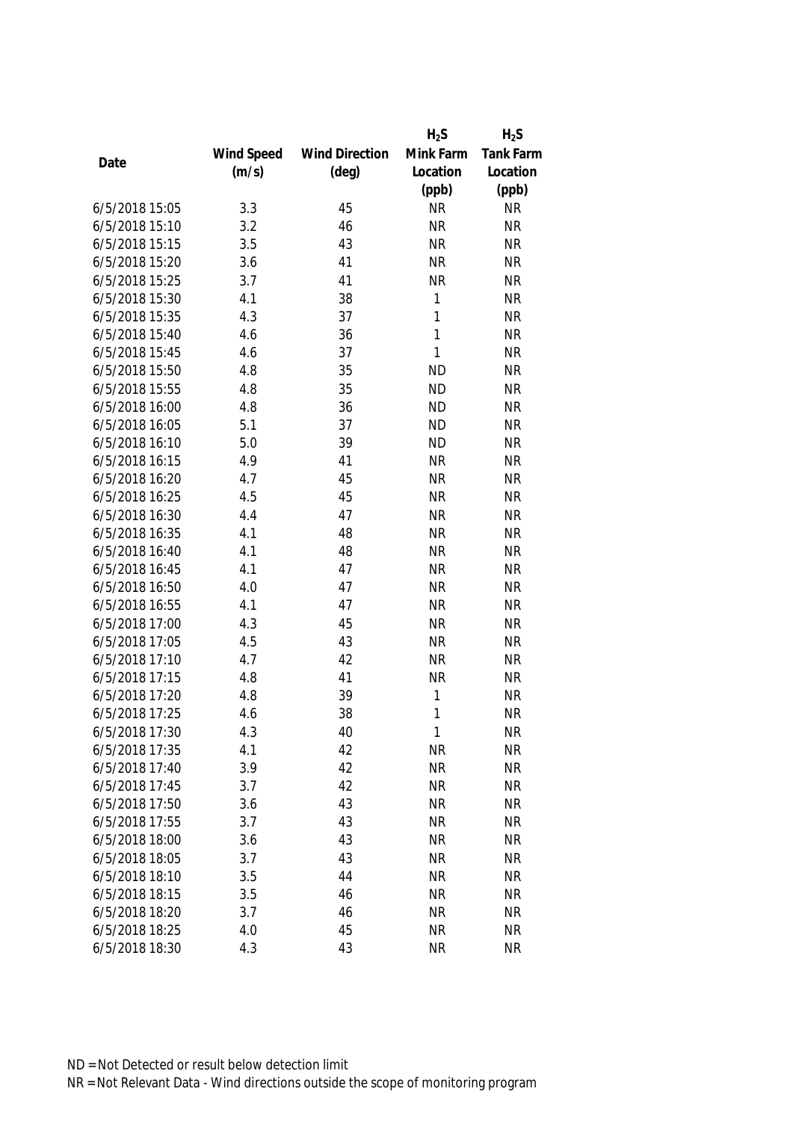|                |            |                       | $H_2S$    | $H_2S$           |
|----------------|------------|-----------------------|-----------|------------------|
|                | Wind Speed | <b>Wind Direction</b> | Mink Farm | <b>Tank Farm</b> |
| Date           | (m/s)      | $(\text{deg})$        | Location  | Location         |
|                |            |                       | (ppb)     | (ppb)            |
| 6/5/2018 15:05 | 3.3        | 45                    | <b>NR</b> | <b>NR</b>        |
| 6/5/2018 15:10 | 3.2        | 46                    | <b>NR</b> | <b>NR</b>        |
| 6/5/2018 15:15 | 3.5        | 43                    | <b>NR</b> | <b>NR</b>        |
| 6/5/2018 15:20 | 3.6        | 41                    | <b>NR</b> | <b>NR</b>        |
| 6/5/2018 15:25 | 3.7        | 41                    | <b>NR</b> | <b>NR</b>        |
| 6/5/2018 15:30 | 4.1        | 38                    | 1         | <b>NR</b>        |
| 6/5/2018 15:35 | 4.3        | 37                    | 1         | <b>NR</b>        |
| 6/5/2018 15:40 | 4.6        | 36                    | 1         | <b>NR</b>        |
| 6/5/2018 15:45 | 4.6        | 37                    | 1         | <b>NR</b>        |
| 6/5/2018 15:50 | 4.8        | 35                    | <b>ND</b> | <b>NR</b>        |
| 6/5/2018 15:55 | 4.8        | 35                    | <b>ND</b> | <b>NR</b>        |
| 6/5/2018 16:00 | 4.8        | 36                    | <b>ND</b> | <b>NR</b>        |
| 6/5/2018 16:05 | 5.1        | 37                    | <b>ND</b> | <b>NR</b>        |
| 6/5/2018 16:10 | 5.0        | 39                    | <b>ND</b> | <b>NR</b>        |
| 6/5/2018 16:15 | 4.9        | 41                    | <b>NR</b> | <b>NR</b>        |
| 6/5/2018 16:20 | 4.7        | 45                    | <b>NR</b> | <b>NR</b>        |
| 6/5/2018 16:25 | 4.5        | 45                    | <b>NR</b> | <b>NR</b>        |
| 6/5/2018 16:30 | 4.4        | 47                    | <b>NR</b> | <b>NR</b>        |
| 6/5/2018 16:35 | 4.1        | 48                    | <b>NR</b> | <b>NR</b>        |
| 6/5/2018 16:40 | 4.1        | 48                    | <b>NR</b> | <b>NR</b>        |
| 6/5/2018 16:45 | 4.1        | 47                    | <b>NR</b> | <b>NR</b>        |
| 6/5/2018 16:50 | 4.0        | 47                    | <b>NR</b> | <b>NR</b>        |
| 6/5/2018 16:55 | 4.1        | 47                    | <b>NR</b> | <b>NR</b>        |
| 6/5/2018 17:00 | 4.3        | 45                    | <b>NR</b> | <b>NR</b>        |
| 6/5/2018 17:05 | 4.5        | 43                    | <b>NR</b> | <b>NR</b>        |
| 6/5/2018 17:10 | 4.7        | 42                    | <b>NR</b> | <b>NR</b>        |
| 6/5/2018 17:15 | 4.8        | 41                    | <b>NR</b> | <b>NR</b>        |
| 6/5/2018 17:20 | 4.8        | 39                    | 1         | <b>NR</b>        |
| 6/5/2018 17:25 | 4.6        | 38                    | 1         | <b>NR</b>        |
| 6/5/2018 17:30 | 4.3        | 40                    | 1         | <b>NR</b>        |
| 6/5/2018 17:35 | 4.1        | 42                    | <b>NR</b> | <b>NR</b>        |
| 6/5/2018 17:40 | 3.9        | 42                    | <b>NR</b> | <b>NR</b>        |
| 6/5/2018 17:45 | 3.7        | 42                    | <b>NR</b> | <b>NR</b>        |
| 6/5/2018 17:50 | 3.6        | 43                    | <b>NR</b> | <b>NR</b>        |
| 6/5/2018 17:55 | 3.7        | 43                    | <b>NR</b> | <b>NR</b>        |
| 6/5/2018 18:00 | 3.6        | 43                    | <b>NR</b> | <b>NR</b>        |
| 6/5/2018 18:05 | 3.7        | 43                    | <b>NR</b> | <b>NR</b>        |
| 6/5/2018 18:10 | 3.5        | 44                    | <b>NR</b> | <b>NR</b>        |
| 6/5/2018 18:15 | 3.5        | 46                    | <b>NR</b> | <b>NR</b>        |
| 6/5/2018 18:20 | 3.7        | 46                    | <b>NR</b> | <b>NR</b>        |
| 6/5/2018 18:25 | 4.0        | 45                    | <b>NR</b> | <b>NR</b>        |
|                |            |                       |           |                  |
| 6/5/2018 18:30 | 4.3        | 43                    | <b>NR</b> | <b>NR</b>        |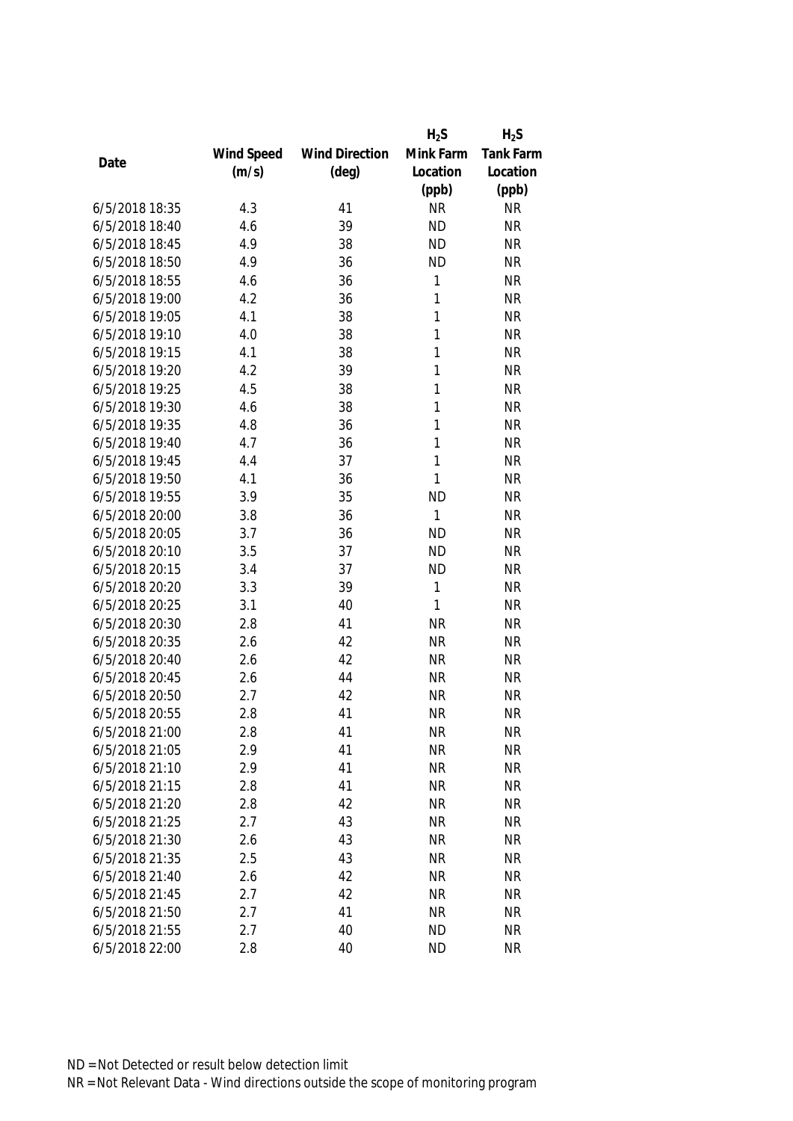|      |                |            |                       | $H_2S$       | $H_2S$           |
|------|----------------|------------|-----------------------|--------------|------------------|
|      |                | Wind Speed | <b>Wind Direction</b> | Mink Farm    | <b>Tank Farm</b> |
| Date |                | (m/s)      | $(\text{deg})$        | Location     | Location         |
|      |                |            |                       | (ppb)        | (ppb)            |
|      | 6/5/2018 18:35 | 4.3        | 41                    | <b>NR</b>    | <b>NR</b>        |
|      | 6/5/2018 18:40 | 4.6        | 39                    | <b>ND</b>    | <b>NR</b>        |
|      | 6/5/2018 18:45 | 4.9        | 38                    | <b>ND</b>    | <b>NR</b>        |
|      | 6/5/2018 18:50 | 4.9        | 36                    | <b>ND</b>    | <b>NR</b>        |
|      | 6/5/2018 18:55 | 4.6        | 36                    | 1            | <b>NR</b>        |
|      | 6/5/2018 19:00 | 4.2        | 36                    | 1            | <b>NR</b>        |
|      | 6/5/2018 19:05 | 4.1        | 38                    | 1            | <b>NR</b>        |
|      | 6/5/2018 19:10 | 4.0        | 38                    | 1            | <b>NR</b>        |
|      | 6/5/2018 19:15 | 4.1        | 38                    | 1            | <b>NR</b>        |
|      | 6/5/2018 19:20 | 4.2        | 39                    | 1            | <b>NR</b>        |
|      | 6/5/2018 19:25 | 4.5        | 38                    | 1            | <b>NR</b>        |
|      | 6/5/2018 19:30 | 4.6        | 38                    | 1            | <b>NR</b>        |
|      | 6/5/2018 19:35 | 4.8        | 36                    | 1            | <b>NR</b>        |
|      | 6/5/2018 19:40 | 4.7        | 36                    | 1            | <b>NR</b>        |
|      | 6/5/2018 19:45 | 4.4        | 37                    | 1            | <b>NR</b>        |
|      | 6/5/2018 19:50 | 4.1        | 36                    | 1            | <b>NR</b>        |
|      | 6/5/2018 19:55 | 3.9        | 35                    | <b>ND</b>    | <b>NR</b>        |
|      | 6/5/2018 20:00 | 3.8        | 36                    | 1            | <b>NR</b>        |
|      | 6/5/2018 20:05 | 3.7        | 36                    | <b>ND</b>    | <b>NR</b>        |
|      | 6/5/2018 20:10 | 3.5        | 37                    | <b>ND</b>    | <b>NR</b>        |
|      | 6/5/2018 20:15 | 3.4        | 37                    | <b>ND</b>    | <b>NR</b>        |
|      | 6/5/2018 20:20 | 3.3        | 39                    | 1            | <b>NR</b>        |
|      | 6/5/2018 20:25 | 3.1        | 40                    | $\mathbf{1}$ | <b>NR</b>        |
|      | 6/5/2018 20:30 | 2.8        | 41                    | <b>NR</b>    | <b>NR</b>        |
|      | 6/5/2018 20:35 | 2.6        | 42                    | <b>NR</b>    | <b>NR</b>        |
|      | 6/5/2018 20:40 | 2.6        | 42                    | <b>NR</b>    | <b>NR</b>        |
|      | 6/5/2018 20:45 | 2.6        | 44                    | <b>NR</b>    | <b>NR</b>        |
|      | 6/5/2018 20:50 | 2.7        | 42                    | <b>NR</b>    | <b>NR</b>        |
|      | 6/5/2018 20:55 | 2.8        | 41                    | <b>NR</b>    | <b>NR</b>        |
|      | 6/5/2018 21:00 | 2.8        | 41                    | <b>NR</b>    | <b>NR</b>        |
|      | 6/5/2018 21:05 | 2.9        | 41                    | <b>NR</b>    | <b>NR</b>        |
|      | 6/5/2018 21:10 | 2.9        | 41                    | <b>NR</b>    | <b>NR</b>        |
|      | 6/5/2018 21:15 | 2.8        | 41                    | <b>NR</b>    | <b>NR</b>        |
|      | 6/5/2018 21:20 | 2.8        | 42                    | <b>NR</b>    | <b>NR</b>        |
|      | 6/5/2018 21:25 | 2.7        | 43                    | <b>NR</b>    | <b>NR</b>        |
|      | 6/5/2018 21:30 | 2.6        | 43                    | <b>NR</b>    | <b>NR</b>        |
|      | 6/5/2018 21:35 | 2.5        | 43                    | <b>NR</b>    | <b>NR</b>        |
|      | 6/5/2018 21:40 | 2.6        | 42                    | <b>NR</b>    | <b>NR</b>        |
|      | 6/5/2018 21:45 | 2.7        | 42                    | <b>NR</b>    | <b>NR</b>        |
|      | 6/5/2018 21:50 | 2.7        | 41                    | <b>NR</b>    | <b>NR</b>        |
|      | 6/5/2018 21:55 | 2.7        | 40                    | <b>ND</b>    | <b>NR</b>        |
|      |                |            |                       |              |                  |
|      | 6/5/2018 22:00 | 2.8        | 40                    | <b>ND</b>    | <b>NR</b>        |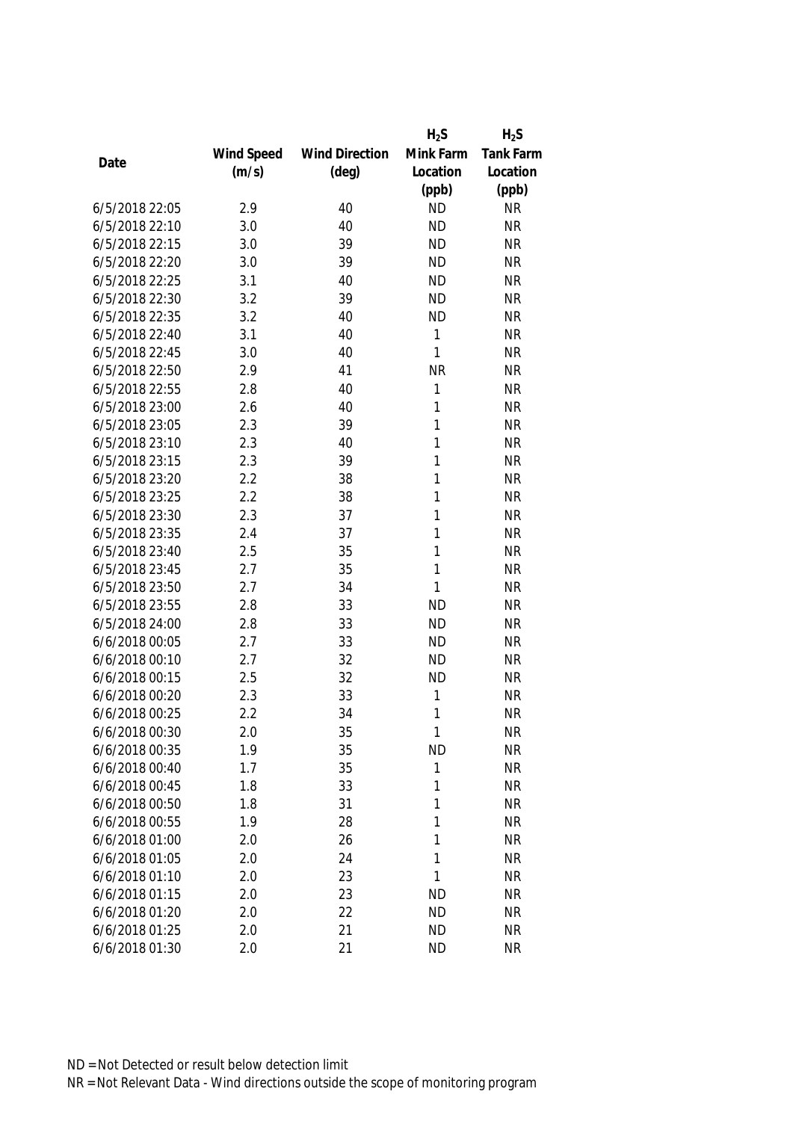|                |            |                       | $H_2S$    | $H_2S$    |
|----------------|------------|-----------------------|-----------|-----------|
|                | Wind Speed | <b>Wind Direction</b> | Mink Farm | Tank Farm |
| Date           | (m/s)      | $(\text{deg})$        | Location  | Location  |
|                |            |                       | (ppb)     | (ppb)     |
| 6/5/2018 22:05 | 2.9        | 40                    | <b>ND</b> | <b>NR</b> |
| 6/5/2018 22:10 | 3.0        | 40                    | <b>ND</b> | <b>NR</b> |
| 6/5/2018 22:15 | 3.0        | 39                    | <b>ND</b> | <b>NR</b> |
| 6/5/2018 22:20 | 3.0        | 39                    | <b>ND</b> | <b>NR</b> |
| 6/5/2018 22:25 | 3.1        | 40                    | <b>ND</b> | <b>NR</b> |
| 6/5/2018 22:30 | 3.2        | 39                    | <b>ND</b> | <b>NR</b> |
| 6/5/2018 22:35 | 3.2        | 40                    | <b>ND</b> | <b>NR</b> |
| 6/5/2018 22:40 | 3.1        | 40                    | 1         | <b>NR</b> |
| 6/5/2018 22:45 | 3.0        | 40                    | 1         | <b>NR</b> |
| 6/5/2018 22:50 | 2.9        | 41                    | <b>NR</b> | <b>NR</b> |
| 6/5/2018 22:55 | 2.8        | 40                    | 1         | <b>NR</b> |
| 6/5/2018 23:00 | 2.6        | 40                    | 1         | <b>NR</b> |
| 6/5/2018 23:05 | 2.3        | 39                    | 1         | <b>NR</b> |
| 6/5/2018 23:10 | 2.3        | 40                    | 1         | <b>NR</b> |
| 6/5/2018 23:15 | 2.3        | 39                    | 1         | <b>NR</b> |
| 6/5/2018 23:20 | 2.2        | 38                    | 1         | <b>NR</b> |
| 6/5/2018 23:25 | 2.2        | 38                    | 1         | <b>NR</b> |
| 6/5/2018 23:30 | 2.3        | 37                    | 1         | <b>NR</b> |
| 6/5/2018 23:35 | 2.4        | 37                    | 1         | <b>NR</b> |
| 6/5/2018 23:40 | 2.5        | 35                    | 1         | <b>NR</b> |
| 6/5/2018 23:45 | 2.7        | 35                    | 1         | <b>NR</b> |
| 6/5/2018 23:50 | 2.7        | 34                    | 1         | <b>NR</b> |
| 6/5/2018 23:55 | 2.8        | 33                    | <b>ND</b> | <b>NR</b> |
| 6/5/2018 24:00 | 2.8        | 33                    | <b>ND</b> | <b>NR</b> |
| 6/6/2018 00:05 | 2.7        | 33                    | <b>ND</b> | <b>NR</b> |
| 6/6/2018 00:10 | 2.7        | 32                    | <b>ND</b> | <b>NR</b> |
| 6/6/2018 00:15 | 2.5        | 32                    | <b>ND</b> | <b>NR</b> |
| 6/6/2018 00:20 | 2.3        | 33                    | 1         | <b>NR</b> |
| 6/6/2018 00:25 | 2.2        | 34                    | 1         | <b>NR</b> |
| 6/6/2018 00:30 | 2.0        | 35                    | 1         | <b>NR</b> |
| 6/6/2018 00:35 | 1.9        | 35                    | <b>ND</b> | <b>NR</b> |
| 6/6/2018 00:40 | 1.7        | 35                    | 1         | <b>NR</b> |
| 6/6/2018 00:45 | 1.8        | 33                    | 1         | <b>NR</b> |
| 6/6/2018 00:50 | 1.8        | 31                    | 1         | <b>NR</b> |
| 6/6/2018 00:55 | 1.9        | 28                    | 1         | <b>NR</b> |
| 6/6/2018 01:00 | 2.0        | 26                    | 1         | <b>NR</b> |
| 6/6/2018 01:05 | 2.0        | 24                    | 1         | <b>NR</b> |
| 6/6/2018 01:10 | 2.0        | 23                    | 1         | <b>NR</b> |
| 6/6/2018 01:15 | 2.0        | 23                    | <b>ND</b> | <b>NR</b> |
| 6/6/2018 01:20 | 2.0        | 22                    | <b>ND</b> | <b>NR</b> |
| 6/6/2018 01:25 | 2.0        | 21                    | <b>ND</b> | <b>NR</b> |
| 6/6/2018 01:30 | 2.0        | 21                    | <b>ND</b> | <b>NR</b> |
|                |            |                       |           |           |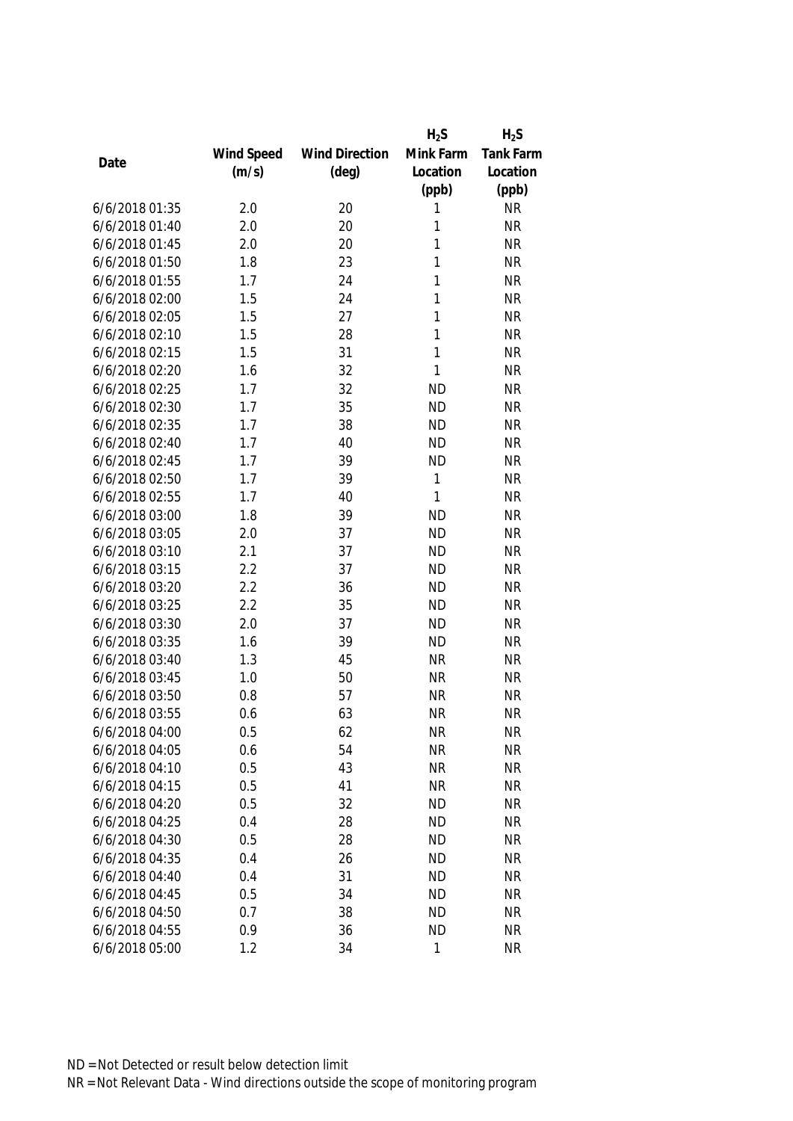|                |            |                       | $H_2S$    | $H_2S$    |
|----------------|------------|-----------------------|-----------|-----------|
|                | Wind Speed | <b>Wind Direction</b> | Mink Farm | Tank Farm |
| Date           | (m/s)      | $(\text{deg})$        | Location  | Location  |
|                |            |                       | (ppb)     | (ppb)     |
| 6/6/2018 01:35 | 2.0        | 20                    | 1         | <b>NR</b> |
| 6/6/2018 01:40 | 2.0        | 20                    | 1         | <b>NR</b> |
| 6/6/2018 01:45 | 2.0        | 20                    | 1         | <b>NR</b> |
| 6/6/2018 01:50 | 1.8        | 23                    | 1         | <b>NR</b> |
| 6/6/2018 01:55 | 1.7        | 24                    | 1         | <b>NR</b> |
| 6/6/2018 02:00 | 1.5        | 24                    | 1         | <b>NR</b> |
| 6/6/2018 02:05 | 1.5        | 27                    | 1         | <b>NR</b> |
| 6/6/2018 02:10 | 1.5        | 28                    | 1         | <b>NR</b> |
| 6/6/2018 02:15 | 1.5        | 31                    | 1         | <b>NR</b> |
| 6/6/2018 02:20 | 1.6        | 32                    | 1         | <b>NR</b> |
| 6/6/2018 02:25 | 1.7        | 32                    | <b>ND</b> | <b>NR</b> |
| 6/6/2018 02:30 | 1.7        | 35                    | <b>ND</b> | <b>NR</b> |
| 6/6/2018 02:35 | 1.7        | 38                    | <b>ND</b> | <b>NR</b> |
| 6/6/2018 02:40 | 1.7        | 40                    | <b>ND</b> | <b>NR</b> |
| 6/6/2018 02:45 | 1.7        | 39                    | <b>ND</b> | <b>NR</b> |
| 6/6/2018 02:50 | 1.7        | 39                    | 1         | <b>NR</b> |
| 6/6/2018 02:55 | 1.7        | 40                    | 1         | <b>NR</b> |
| 6/6/2018 03:00 | 1.8        | 39                    | <b>ND</b> | <b>NR</b> |
| 6/6/2018 03:05 | 2.0        | 37                    | <b>ND</b> | <b>NR</b> |
| 6/6/2018 03:10 | 2.1        | 37                    | <b>ND</b> | <b>NR</b> |
| 6/6/2018 03:15 | 2.2        | 37                    | <b>ND</b> | <b>NR</b> |
| 6/6/2018 03:20 | 2.2        | 36                    | <b>ND</b> | <b>NR</b> |
| 6/6/2018 03:25 | 2.2        | 35                    | <b>ND</b> | <b>NR</b> |
| 6/6/2018 03:30 | 2.0        | 37                    | <b>ND</b> | <b>NR</b> |
| 6/6/2018 03:35 | 1.6        | 39                    | <b>ND</b> | <b>NR</b> |
| 6/6/2018 03:40 | 1.3        | 45                    | <b>NR</b> | <b>NR</b> |
| 6/6/2018 03:45 | 1.0        | 50                    | <b>NR</b> | <b>NR</b> |
| 6/6/2018 03:50 | 0.8        | 57                    | <b>NR</b> | <b>NR</b> |
| 6/6/2018 03:55 | 0.6        | 63                    | <b>NR</b> | <b>NR</b> |
| 6/6/2018 04:00 | 0.5        | 62                    | <b>NR</b> | <b>NR</b> |
| 6/6/2018 04:05 | 0.6        | 54                    | <b>NR</b> | <b>NR</b> |
| 6/6/2018 04:10 | 0.5        | 43                    | <b>NR</b> | <b>NR</b> |
| 6/6/2018 04:15 | 0.5        | 41                    | <b>NR</b> | <b>NR</b> |
| 6/6/2018 04:20 | 0.5        | 32                    | <b>ND</b> | <b>NR</b> |
| 6/6/2018 04:25 | 0.4        | 28                    | <b>ND</b> | <b>NR</b> |
| 6/6/2018 04:30 | 0.5        | 28                    | <b>ND</b> | <b>NR</b> |
| 6/6/2018 04:35 | 0.4        | 26                    | <b>ND</b> | <b>NR</b> |
| 6/6/2018 04:40 | 0.4        | 31                    | <b>ND</b> | <b>NR</b> |
| 6/6/2018 04:45 | 0.5        | 34                    | <b>ND</b> | <b>NR</b> |
| 6/6/2018 04:50 | 0.7        | 38                    | <b>ND</b> | <b>NR</b> |
| 6/6/2018 04:55 | 0.9        | 36                    | <b>ND</b> | <b>NR</b> |
| 6/6/2018 05:00 | 1.2        | 34                    | 1         | <b>NR</b> |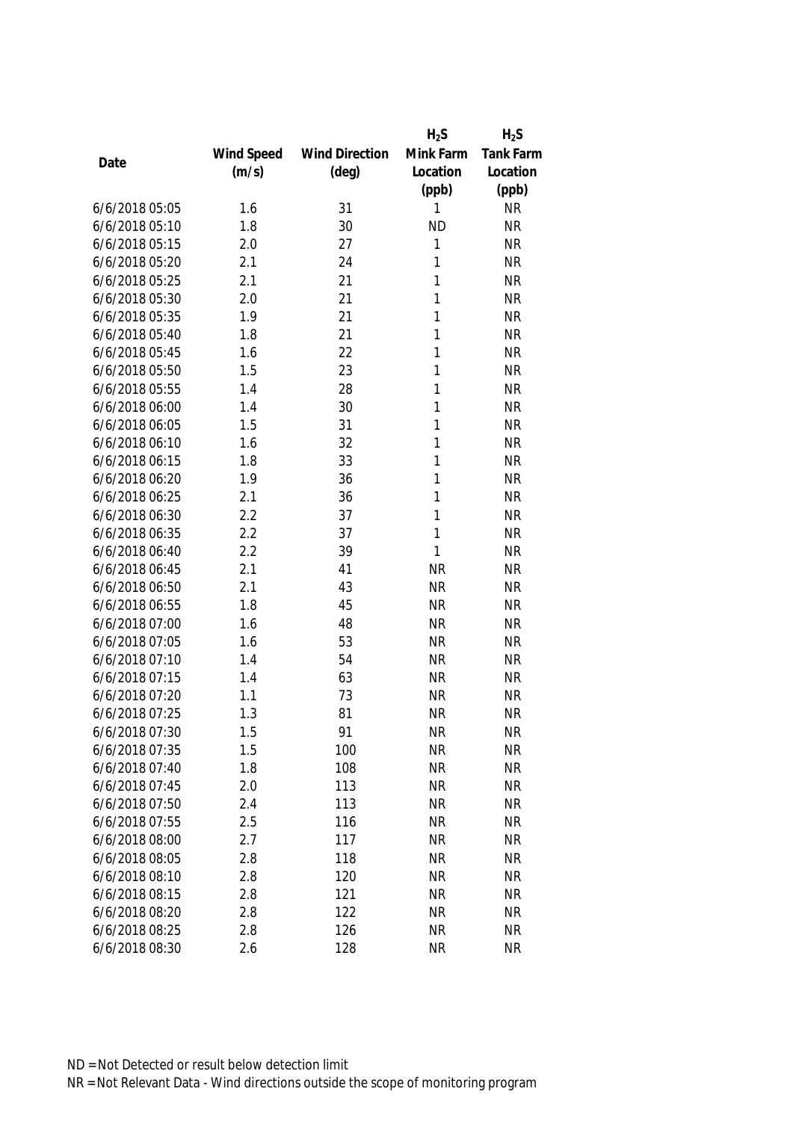|                |            |                       | $H_2S$       | $H_2S$           |
|----------------|------------|-----------------------|--------------|------------------|
|                | Wind Speed | <b>Wind Direction</b> | Mink Farm    | <b>Tank Farm</b> |
| Date           | (m/s)      | $(\text{deg})$        | Location     | Location         |
|                |            |                       | (ppb)        | (ppb)            |
| 6/6/2018 05:05 | 1.6        | 31                    | 1            | <b>NR</b>        |
| 6/6/2018 05:10 | 1.8        | 30                    | <b>ND</b>    | <b>NR</b>        |
| 6/6/2018 05:15 | 2.0        | 27                    | 1            | <b>NR</b>        |
| 6/6/2018 05:20 | 2.1        | 24                    | 1            | <b>NR</b>        |
| 6/6/2018 05:25 | 2.1        | 21                    | 1            | <b>NR</b>        |
| 6/6/2018 05:30 | 2.0        | 21                    | 1            | <b>NR</b>        |
| 6/6/2018 05:35 | 1.9        | 21                    | 1            | <b>NR</b>        |
| 6/6/2018 05:40 | 1.8        | 21                    | 1            | <b>NR</b>        |
| 6/6/2018 05:45 | 1.6        | 22                    | 1            | <b>NR</b>        |
| 6/6/2018 05:50 | 1.5        | 23                    | 1            | <b>NR</b>        |
| 6/6/2018 05:55 | 1.4        | 28                    | 1            | <b>NR</b>        |
| 6/6/2018 06:00 | 1.4        | 30                    | 1            | <b>NR</b>        |
| 6/6/2018 06:05 | 1.5        | 31                    | 1            | <b>NR</b>        |
| 6/6/2018 06:10 | 1.6        | 32                    | 1            | <b>NR</b>        |
| 6/6/2018 06:15 | 1.8        | 33                    | 1            | <b>NR</b>        |
| 6/6/2018 06:20 | 1.9        | 36                    | 1            | <b>NR</b>        |
| 6/6/2018 06:25 | 2.1        | 36                    | 1            | <b>NR</b>        |
| 6/6/2018 06:30 | 2.2        | 37                    | $\mathbf{1}$ | <b>NR</b>        |
| 6/6/2018 06:35 | 2.2        | 37                    | 1            | <b>NR</b>        |
| 6/6/2018 06:40 | 2.2        | 39                    | 1            | <b>NR</b>        |
| 6/6/2018 06:45 | 2.1        | 41                    | <b>NR</b>    | <b>NR</b>        |
| 6/6/2018 06:50 | 2.1        | 43                    | <b>NR</b>    | <b>NR</b>        |
| 6/6/2018 06:55 | 1.8        | 45                    | <b>NR</b>    | <b>NR</b>        |
| 6/6/2018 07:00 | 1.6        | 48                    | <b>NR</b>    | <b>NR</b>        |
| 6/6/2018 07:05 | 1.6        | 53                    | <b>NR</b>    | <b>NR</b>        |
| 6/6/2018 07:10 | 1.4        | 54                    | <b>NR</b>    | <b>NR</b>        |
| 6/6/2018 07:15 | 1.4        | 63                    | <b>NR</b>    | <b>NR</b>        |
| 6/6/2018 07:20 | 1.1        | 73                    | <b>NR</b>    | <b>NR</b>        |
| 6/6/2018 07:25 | 1.3        | 81                    | <b>NR</b>    | <b>NR</b>        |
| 6/6/2018 07:30 | 1.5        | 91                    | <b>NR</b>    | <b>NR</b>        |
| 6/6/2018 07:35 | 1.5        | 100                   | <b>NR</b>    | <b>NR</b>        |
| 6/6/2018 07:40 | 1.8        | 108                   | <b>NR</b>    | <b>NR</b>        |
| 6/6/2018 07:45 | 2.0        | 113                   | <b>NR</b>    | <b>NR</b>        |
| 6/6/2018 07:50 | 2.4        | 113                   | <b>NR</b>    | <b>NR</b>        |
| 6/6/2018 07:55 | 2.5        | 116                   | <b>NR</b>    | <b>NR</b>        |
| 6/6/2018 08:00 | 2.7        | 117                   | <b>NR</b>    | <b>NR</b>        |
| 6/6/2018 08:05 | 2.8        | 118                   | <b>NR</b>    | <b>NR</b>        |
| 6/6/2018 08:10 | 2.8        | 120                   | <b>NR</b>    | <b>NR</b>        |
| 6/6/2018 08:15 | 2.8        | 121                   | <b>NR</b>    | <b>NR</b>        |
| 6/6/2018 08:20 | 2.8        | 122                   | <b>NR</b>    | <b>NR</b>        |
| 6/6/2018 08:25 | 2.8        | 126                   | <b>NR</b>    | <b>NR</b>        |
| 6/6/2018 08:30 | 2.6        | 128                   | <b>NR</b>    | <b>NR</b>        |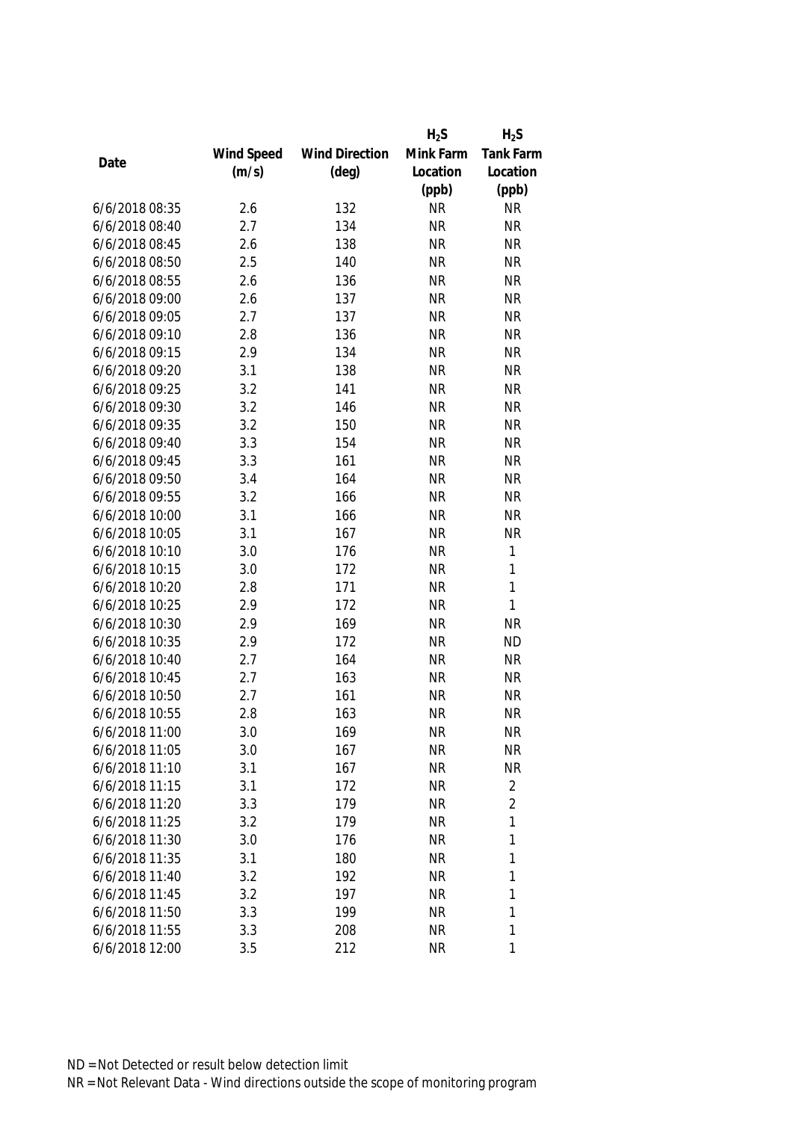|                |            |                       | $H_2S$    | $H_2S$           |
|----------------|------------|-----------------------|-----------|------------------|
|                | Wind Speed | <b>Wind Direction</b> | Mink Farm | <b>Tank Farm</b> |
| Date           | (m/s)      | $(\text{deg})$        | Location  | Location         |
|                |            |                       | (ppb)     | (ppb)            |
| 6/6/2018 08:35 | 2.6        | 132                   | <b>NR</b> | <b>NR</b>        |
| 6/6/2018 08:40 | 2.7        | 134                   | <b>NR</b> | <b>NR</b>        |
| 6/6/2018 08:45 | 2.6        | 138                   | <b>NR</b> | <b>NR</b>        |
| 6/6/2018 08:50 | 2.5        | 140                   | <b>NR</b> | <b>NR</b>        |
| 6/6/2018 08:55 | 2.6        | 136                   | <b>NR</b> | <b>NR</b>        |
| 6/6/2018 09:00 | 2.6        | 137                   | <b>NR</b> | <b>NR</b>        |
| 6/6/2018 09:05 | 2.7        | 137                   | <b>NR</b> | <b>NR</b>        |
| 6/6/2018 09:10 | 2.8        | 136                   | <b>NR</b> | <b>NR</b>        |
| 6/6/2018 09:15 | 2.9        | 134                   | <b>NR</b> | <b>NR</b>        |
| 6/6/2018 09:20 | 3.1        | 138                   | <b>NR</b> | <b>NR</b>        |
| 6/6/2018 09:25 | 3.2        | 141                   | <b>NR</b> | <b>NR</b>        |
| 6/6/2018 09:30 | 3.2        | 146                   | <b>NR</b> | <b>NR</b>        |
| 6/6/2018 09:35 | 3.2        | 150                   | <b>NR</b> | <b>NR</b>        |
| 6/6/2018 09:40 | 3.3        | 154                   | <b>NR</b> | <b>NR</b>        |
| 6/6/2018 09:45 | 3.3        | 161                   | <b>NR</b> | <b>NR</b>        |
| 6/6/2018 09:50 | 3.4        | 164                   | <b>NR</b> | <b>NR</b>        |
| 6/6/2018 09:55 | 3.2        | 166                   | <b>NR</b> | <b>NR</b>        |
| 6/6/2018 10:00 | 3.1        | 166                   | <b>NR</b> | <b>NR</b>        |
| 6/6/2018 10:05 | 3.1        | 167                   | <b>NR</b> | <b>NR</b>        |
| 6/6/2018 10:10 | 3.0        | 176                   | <b>NR</b> | 1                |
| 6/6/2018 10:15 | 3.0        | 172                   | <b>NR</b> | 1                |
| 6/6/2018 10:20 | 2.8        | 171                   | <b>NR</b> | $\mathbf{1}$     |
| 6/6/2018 10:25 | 2.9        | 172                   | <b>NR</b> | 1                |
| 6/6/2018 10:30 | 2.9        | 169                   | <b>NR</b> | <b>NR</b>        |
| 6/6/2018 10:35 | 2.9        | 172                   | <b>NR</b> | <b>ND</b>        |
| 6/6/2018 10:40 | 2.7        | 164                   | <b>NR</b> | <b>NR</b>        |
| 6/6/2018 10:45 | 2.7        | 163                   | <b>NR</b> | <b>NR</b>        |
| 6/6/2018 10:50 | 2.7        | 161                   | <b>NR</b> | <b>NR</b>        |
| 6/6/2018 10:55 | 2.8        | 163                   | <b>NR</b> | <b>NR</b>        |
| 6/6/2018 11:00 | 3.0        | 169                   | <b>NR</b> | ΝR               |
| 6/6/2018 11:05 | 3.0        | 167                   | <b>NR</b> | <b>NR</b>        |
| 6/6/2018 11:10 | 3.1        | 167                   | <b>NR</b> | <b>NR</b>        |
| 6/6/2018 11:15 | 3.1        | 172                   | <b>NR</b> | $\overline{2}$   |
| 6/6/2018 11:20 | 3.3        | 179                   | <b>NR</b> | $\overline{2}$   |
| 6/6/2018 11:25 | 3.2        | 179                   | <b>NR</b> | 1                |
| 6/6/2018 11:30 | 3.0        | 176                   | <b>NR</b> | 1                |
| 6/6/2018 11:35 | 3.1        | 180                   | <b>NR</b> | 1                |
| 6/6/2018 11:40 | 3.2        | 192                   | <b>NR</b> | 1                |
| 6/6/2018 11:45 | 3.2        | 197                   | <b>NR</b> | 1                |
| 6/6/2018 11:50 | 3.3        | 199                   | <b>NR</b> | 1                |
| 6/6/2018 11:55 | 3.3        | 208                   | <b>NR</b> | 1                |
| 6/6/2018 12:00 | 3.5        | 212                   | <b>NR</b> | 1                |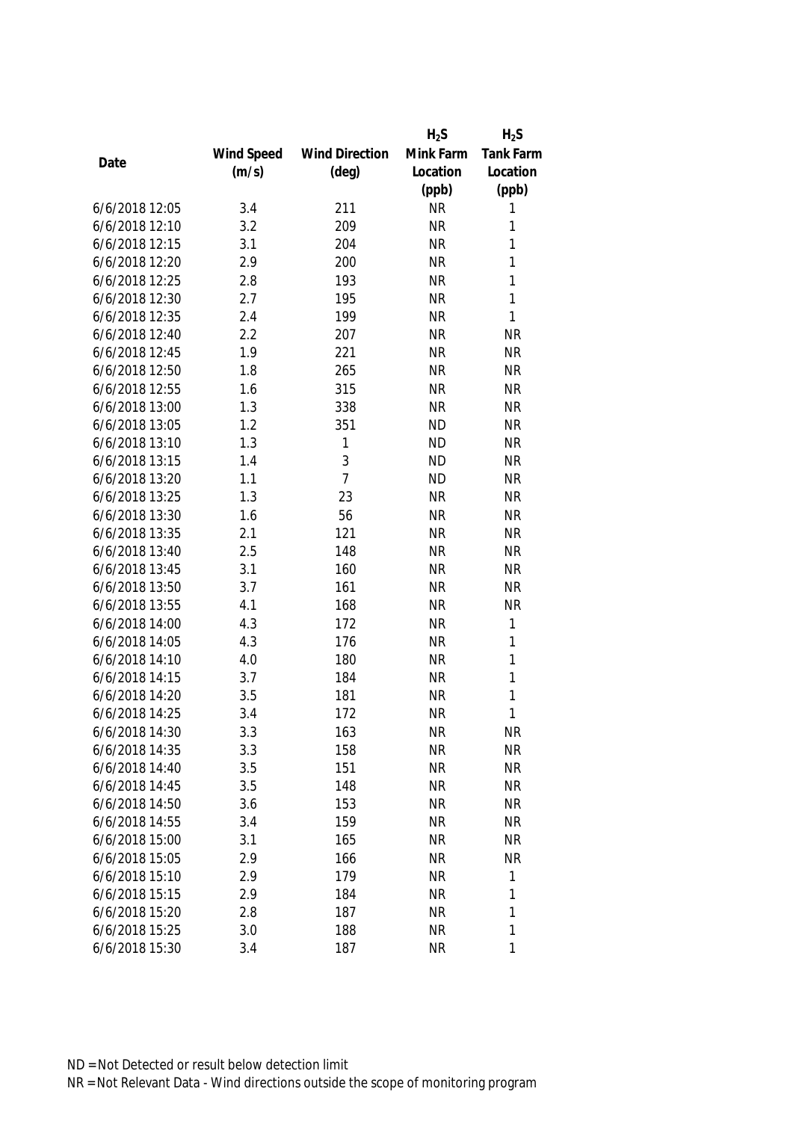|                |            |                       | $H_2S$    | $H_2S$           |
|----------------|------------|-----------------------|-----------|------------------|
|                | Wind Speed | <b>Wind Direction</b> | Mink Farm | <b>Tank Farm</b> |
| Date           | (m/s)      | $(\text{deg})$        | Location  | Location         |
|                |            |                       | (ppb)     | (ppb)            |
| 6/6/2018 12:05 | 3.4        | 211                   | <b>NR</b> | 1                |
| 6/6/2018 12:10 | 3.2        | 209                   | <b>NR</b> | 1                |
| 6/6/2018 12:15 | 3.1        | 204                   | <b>NR</b> | 1                |
| 6/6/2018 12:20 | 2.9        | 200                   | <b>NR</b> | 1                |
| 6/6/2018 12:25 | 2.8        | 193                   | <b>NR</b> | 1                |
| 6/6/2018 12:30 | 2.7        | 195                   | <b>NR</b> | $\mathbf{1}$     |
| 6/6/2018 12:35 | 2.4        | 199                   | <b>NR</b> | $\mathbf{1}$     |
| 6/6/2018 12:40 | 2.2        | 207                   | <b>NR</b> | <b>NR</b>        |
| 6/6/2018 12:45 | 1.9        | 221                   | <b>NR</b> | <b>NR</b>        |
| 6/6/2018 12:50 | 1.8        | 265                   | <b>NR</b> | <b>NR</b>        |
| 6/6/2018 12:55 | 1.6        | 315                   | <b>NR</b> | <b>NR</b>        |
| 6/6/2018 13:00 | 1.3        | 338                   | <b>NR</b> | <b>NR</b>        |
| 6/6/2018 13:05 | 1.2        | 351                   | <b>ND</b> | <b>NR</b>        |
| 6/6/2018 13:10 | 1.3        | 1                     | <b>ND</b> | <b>NR</b>        |
| 6/6/2018 13:15 | 1.4        | 3                     | <b>ND</b> | <b>NR</b>        |
| 6/6/2018 13:20 | 1.1        | $\overline{7}$        | <b>ND</b> | <b>NR</b>        |
| 6/6/2018 13:25 | 1.3        | 23                    | <b>NR</b> | <b>NR</b>        |
| 6/6/2018 13:30 | 1.6        | 56                    | <b>NR</b> | <b>NR</b>        |
| 6/6/2018 13:35 | 2.1        | 121                   | <b>NR</b> | <b>NR</b>        |
| 6/6/2018 13:40 | 2.5        | 148                   | <b>NR</b> | <b>NR</b>        |
| 6/6/2018 13:45 | 3.1        | 160                   | <b>NR</b> | <b>NR</b>        |
| 6/6/2018 13:50 | 3.7        | 161                   | <b>NR</b> | <b>NR</b>        |
| 6/6/2018 13:55 | 4.1        | 168                   | <b>NR</b> | <b>NR</b>        |
| 6/6/2018 14:00 | 4.3        | 172                   | <b>NR</b> | $\mathbf{1}$     |
| 6/6/2018 14:05 | 4.3        | 176                   | <b>NR</b> | $\mathbf{1}$     |
| 6/6/2018 14:10 | 4.0        | 180                   | <b>NR</b> | $\mathbf{1}$     |
| 6/6/2018 14:15 | 3.7        | 184                   | <b>NR</b> | 1                |
| 6/6/2018 14:20 | 3.5        | 181                   | <b>NR</b> | 1                |
| 6/6/2018 14:25 | 3.4        | 172                   | <b>NR</b> | 1                |
| 6/6/2018 14:30 | 3.3        | 163                   | <b>NR</b> | <b>NR</b>        |
| 6/6/2018 14:35 | 3.3        | 158                   | <b>NR</b> | <b>NR</b>        |
| 6/6/2018 14:40 | 3.5        | 151                   | <b>NR</b> | <b>NR</b>        |
| 6/6/2018 14:45 | 3.5        | 148                   | <b>NR</b> | <b>NR</b>        |
| 6/6/2018 14:50 | 3.6        | 153                   | <b>NR</b> | <b>NR</b>        |
| 6/6/2018 14:55 | 3.4        | 159                   | <b>NR</b> | <b>NR</b>        |
| 6/6/2018 15:00 | 3.1        | 165                   | <b>NR</b> | <b>NR</b>        |
| 6/6/2018 15:05 | 2.9        | 166                   | <b>NR</b> | <b>NR</b>        |
| 6/6/2018 15:10 | 2.9        | 179                   | <b>NR</b> | $\mathbf{1}$     |
| 6/6/2018 15:15 | 2.9        | 184                   | <b>NR</b> | 1                |
| 6/6/2018 15:20 | 2.8        | 187                   | <b>NR</b> | 1                |
| 6/6/2018 15:25 | 3.0        | 188                   | <b>NR</b> | 1                |
| 6/6/2018 15:30 | 3.4        | 187                   | <b>NR</b> | 1                |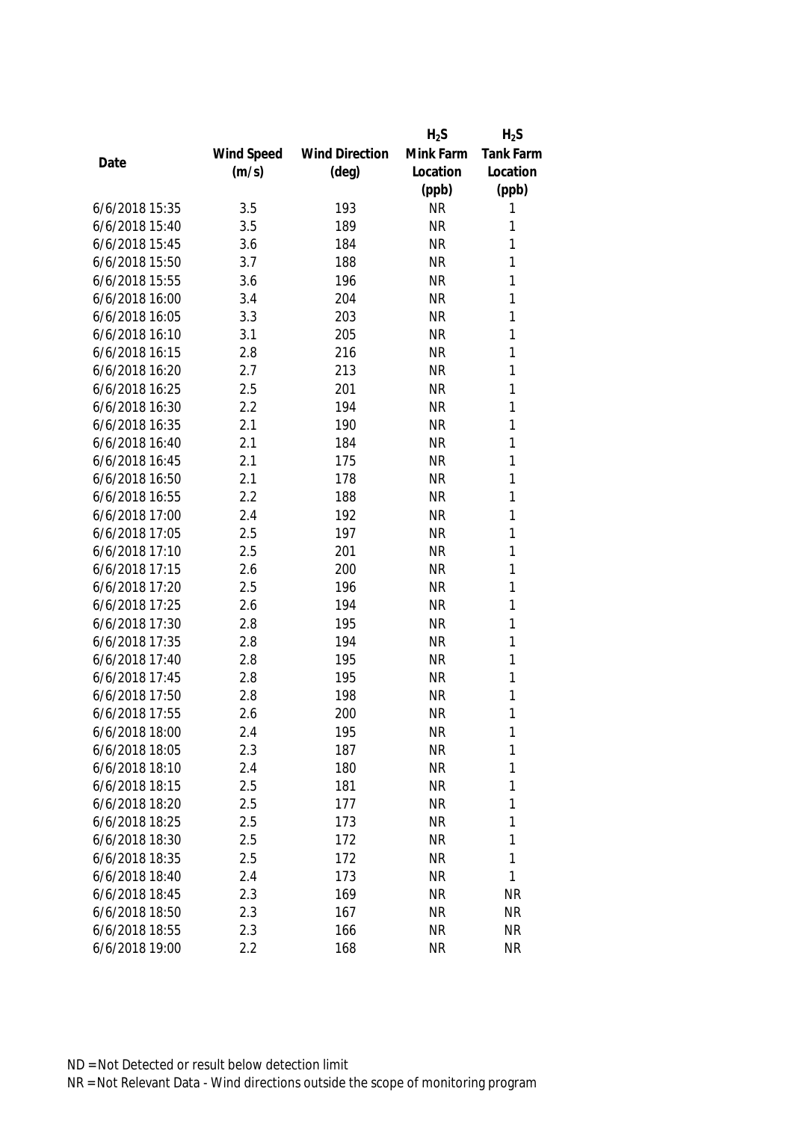|                |            |                       | $H_2S$    | $H_2S$           |
|----------------|------------|-----------------------|-----------|------------------|
|                | Wind Speed | <b>Wind Direction</b> | Mink Farm | <b>Tank Farm</b> |
| Date           | (m/s)      | $(\text{deg})$        | Location  | Location         |
|                |            |                       | (ppb)     | (ppb)            |
| 6/6/2018 15:35 | 3.5        | 193                   | <b>NR</b> | 1                |
| 6/6/2018 15:40 | 3.5        | 189                   | <b>NR</b> | 1                |
| 6/6/2018 15:45 | 3.6        | 184                   | <b>NR</b> | 1                |
| 6/6/2018 15:50 | 3.7        | 188                   | <b>NR</b> | 1                |
| 6/6/2018 15:55 | 3.6        | 196                   | <b>NR</b> | 1                |
| 6/6/2018 16:00 | 3.4        | 204                   | <b>NR</b> | 1                |
| 6/6/2018 16:05 | 3.3        | 203                   | <b>NR</b> | $\mathbf{1}$     |
| 6/6/2018 16:10 | 3.1        | 205                   | <b>NR</b> | 1                |
| 6/6/2018 16:15 | 2.8        | 216                   | <b>NR</b> | $\mathbf{1}$     |
| 6/6/2018 16:20 | 2.7        | 213                   | <b>NR</b> | 1                |
| 6/6/2018 16:25 | 2.5        | 201                   | <b>NR</b> | 1                |
| 6/6/2018 16:30 | 2.2        | 194                   | <b>NR</b> | 1                |
| 6/6/2018 16:35 | 2.1        | 190                   | <b>NR</b> | 1                |
| 6/6/2018 16:40 | 2.1        | 184                   | <b>NR</b> | $\mathbf{1}$     |
| 6/6/2018 16:45 | 2.1        | 175                   | <b>NR</b> | 1                |
| 6/6/2018 16:50 | 2.1        | 178                   | <b>NR</b> | $\mathbf{1}$     |
| 6/6/2018 16:55 | 2.2        | 188                   | <b>NR</b> | 1                |
| 6/6/2018 17:00 | 2.4        | 192                   | <b>NR</b> | 1                |
| 6/6/2018 17:05 | 2.5        | 197                   | <b>NR</b> | 1                |
| 6/6/2018 17:10 | 2.5        | 201                   | <b>NR</b> | 1                |
| 6/6/2018 17:15 | 2.6        | 200                   | <b>NR</b> | 1                |
| 6/6/2018 17:20 | 2.5        | 196                   | <b>NR</b> | 1                |
| 6/6/2018 17:25 | 2.6        | 194                   | <b>NR</b> | 1                |
| 6/6/2018 17:30 | 2.8        | 195                   | <b>NR</b> | $\mathbf{1}$     |
| 6/6/2018 17:35 | 2.8        | 194                   | <b>NR</b> | $\mathbf{1}$     |
| 6/6/2018 17:40 | 2.8        | 195                   | <b>NR</b> | 1                |
| 6/6/2018 17:45 | 2.8        | 195                   | <b>NR</b> | 1                |
| 6/6/2018 17:50 | 2.8        | 198                   | <b>NR</b> | 1                |
| 6/6/2018 17:55 | 2.6        | 200                   | <b>NR</b> | 1                |
| 6/6/2018 18:00 | 2.4        | 195                   | <b>NR</b> | 1                |
| 6/6/2018 18:05 | 2.3        | 187                   | <b>NR</b> | 1                |
| 6/6/2018 18:10 | 2.4        | 180                   | <b>NR</b> | 1                |
| 6/6/2018 18:15 | 2.5        | 181                   | <b>NR</b> | 1                |
| 6/6/2018 18:20 | 2.5        | 177                   | <b>NR</b> | 1                |
| 6/6/2018 18:25 | 2.5        | 173                   | <b>NR</b> | 1                |
| 6/6/2018 18:30 | 2.5        | 172                   | <b>NR</b> | 1                |
| 6/6/2018 18:35 | 2.5        | 172                   | <b>NR</b> | $\mathbf{1}$     |
| 6/6/2018 18:40 | 2.4        | 173                   | <b>NR</b> | 1                |
| 6/6/2018 18:45 | 2.3        | 169                   | <b>NR</b> | <b>NR</b>        |
| 6/6/2018 18:50 | 2.3        | 167                   | <b>NR</b> | <b>NR</b>        |
| 6/6/2018 18:55 | 2.3        | 166                   | <b>NR</b> | <b>NR</b>        |
| 6/6/2018 19:00 | 2.2        | 168                   | <b>NR</b> | <b>NR</b>        |
|                |            |                       |           |                  |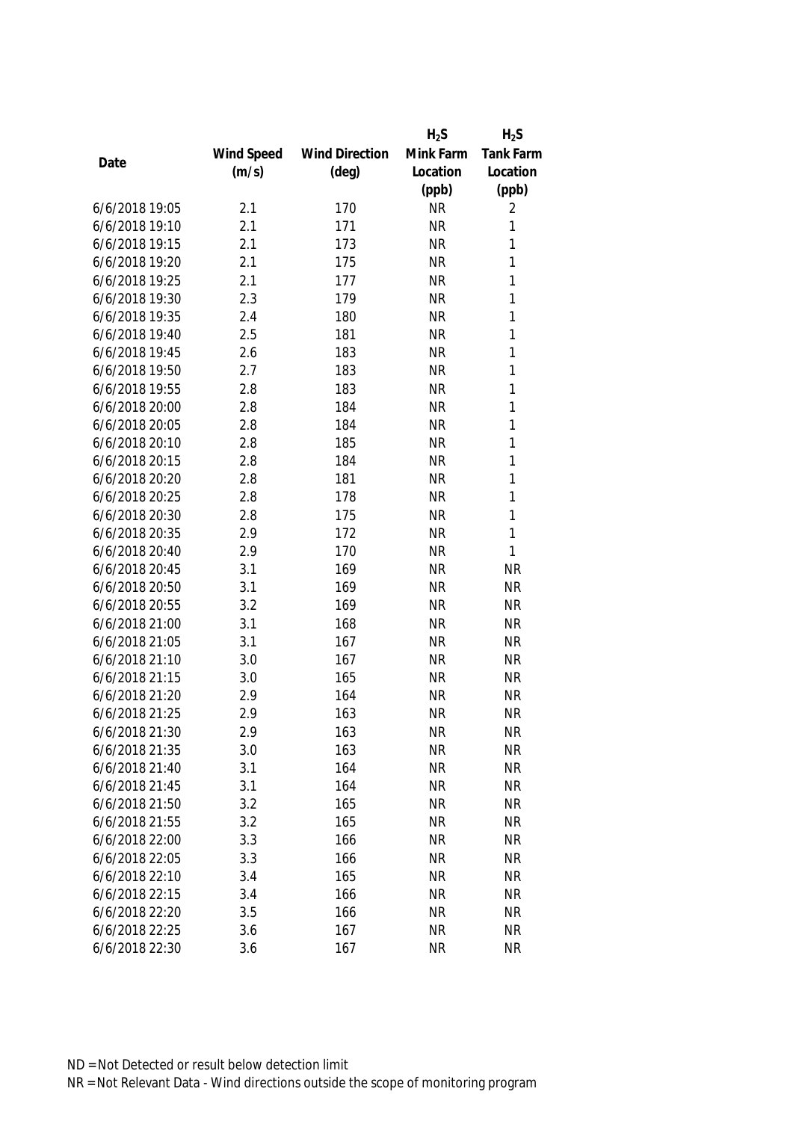|                |            |                       | $H_2S$    | $H_2S$    |
|----------------|------------|-----------------------|-----------|-----------|
|                | Wind Speed | <b>Wind Direction</b> | Mink Farm | Tank Farm |
| Date           | (m/s)      | $(\text{deg})$        | Location  | Location  |
|                |            |                       | (ppb)     | (ppb)     |
| 6/6/2018 19:05 | 2.1        | 170                   | <b>NR</b> | 2         |
| 6/6/2018 19:10 | 2.1        | 171                   | <b>NR</b> | 1         |
| 6/6/2018 19:15 | 2.1        | 173                   | <b>NR</b> | 1         |
| 6/6/2018 19:20 | 2.1        | 175                   | <b>NR</b> | 1         |
| 6/6/2018 19:25 | 2.1        | 177                   | <b>NR</b> | 1         |
| 6/6/2018 19:30 | 2.3        | 179                   | <b>NR</b> | 1         |
| 6/6/2018 19:35 | 2.4        | 180                   | <b>NR</b> | 1         |
| 6/6/2018 19:40 | 2.5        | 181                   | <b>NR</b> | 1         |
| 6/6/2018 19:45 | 2.6        | 183                   | <b>NR</b> | 1         |
| 6/6/2018 19:50 | 2.7        | 183                   | <b>NR</b> | 1         |
| 6/6/2018 19:55 | 2.8        | 183                   | <b>NR</b> | 1         |
| 6/6/2018 20:00 | 2.8        | 184                   | <b>NR</b> | 1         |
| 6/6/2018 20:05 | 2.8        | 184                   | <b>NR</b> | 1         |
| 6/6/2018 20:10 | 2.8        | 185                   | <b>NR</b> | 1         |
| 6/6/2018 20:15 | 2.8        | 184                   | <b>NR</b> | 1         |
| 6/6/2018 20:20 | 2.8        | 181                   | <b>NR</b> | 1         |
| 6/6/2018 20:25 | 2.8        | 178                   | <b>NR</b> | 1         |
| 6/6/2018 20:30 | 2.8        | 175                   | <b>NR</b> | 1         |
| 6/6/2018 20:35 | 2.9        | 172                   | <b>NR</b> | 1         |
| 6/6/2018 20:40 | 2.9        | 170                   | <b>NR</b> | 1         |
| 6/6/2018 20:45 | 3.1        | 169                   | <b>NR</b> | <b>NR</b> |
| 6/6/2018 20:50 | 3.1        | 169                   | <b>NR</b> | <b>NR</b> |
| 6/6/2018 20:55 | 3.2        | 169                   | <b>NR</b> | <b>NR</b> |
| 6/6/2018 21:00 | 3.1        | 168                   | <b>NR</b> | <b>NR</b> |
| 6/6/2018 21:05 | 3.1        | 167                   | <b>NR</b> | <b>NR</b> |
| 6/6/2018 21:10 | 3.0        | 167                   | <b>NR</b> | <b>NR</b> |
| 6/6/2018 21:15 | 3.0        | 165                   | <b>NR</b> | <b>NR</b> |
| 6/6/2018 21:20 | 2.9        | 164                   | <b>NR</b> | <b>NR</b> |
| 6/6/2018 21:25 | 2.9        | 163                   | <b>NR</b> | <b>NR</b> |
| 6/6/2018 21:30 | 2.9        | 163                   | <b>NR</b> | <b>NR</b> |
| 6/6/2018 21:35 | 3.0        | 163                   | <b>NR</b> | <b>NR</b> |
| 6/6/2018 21:40 | 3.1        | 164                   | <b>NR</b> | <b>NR</b> |
| 6/6/2018 21:45 | 3.1        | 164                   | <b>NR</b> | <b>NR</b> |
| 6/6/2018 21:50 | 3.2        | 165                   | <b>NR</b> | <b>NR</b> |
| 6/6/2018 21:55 | 3.2        | 165                   | <b>NR</b> | <b>NR</b> |
| 6/6/2018 22:00 | 3.3        | 166                   | <b>NR</b> | <b>NR</b> |
| 6/6/2018 22:05 | 3.3        | 166                   | <b>NR</b> | <b>NR</b> |
| 6/6/2018 22:10 | 3.4        | 165                   | <b>NR</b> | <b>NR</b> |
| 6/6/2018 22:15 | 3.4        | 166                   | <b>NR</b> | <b>NR</b> |
| 6/6/2018 22:20 | 3.5        | 166                   | <b>NR</b> | <b>NR</b> |
| 6/6/2018 22:25 | 3.6        | 167                   | <b>NR</b> | <b>NR</b> |
| 6/6/2018 22:30 | 3.6        | 167                   | <b>NR</b> | <b>NR</b> |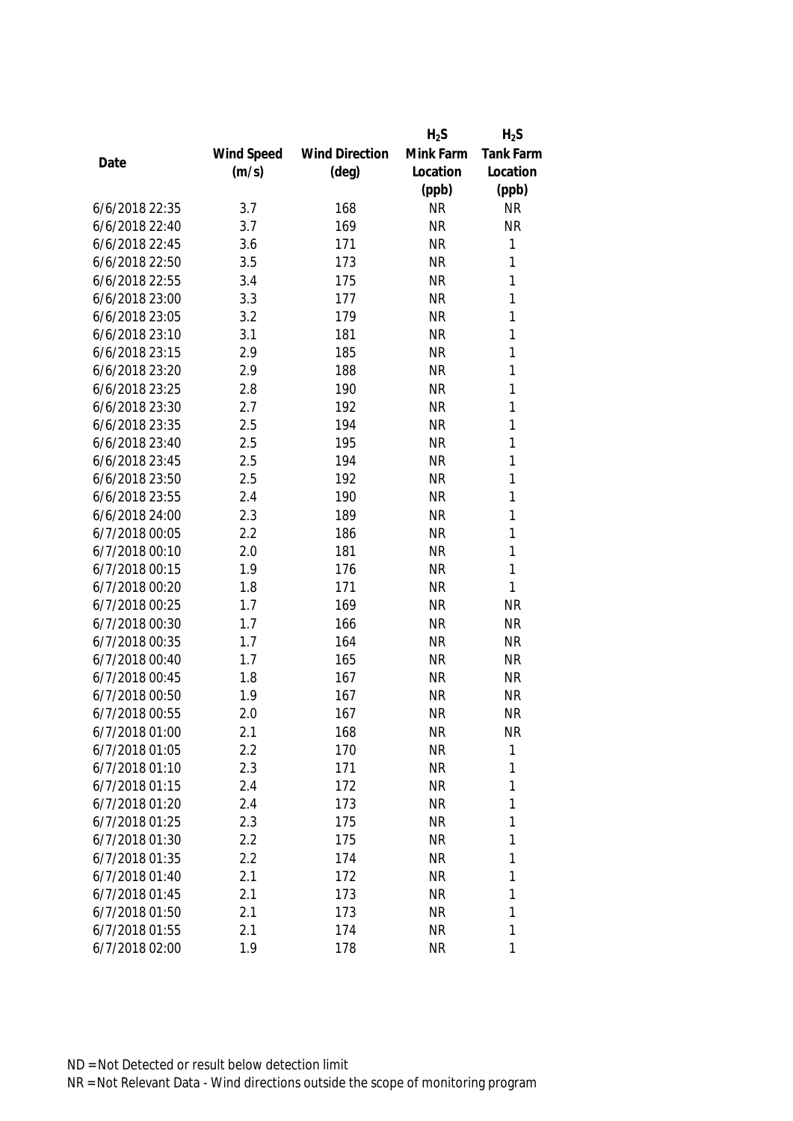|                |            |                       | $H_2S$    | $H_2S$           |
|----------------|------------|-----------------------|-----------|------------------|
|                | Wind Speed | <b>Wind Direction</b> | Mink Farm | <b>Tank Farm</b> |
| Date           | (m/s)      | $(\text{deg})$        | Location  | Location         |
|                |            |                       | (ppb)     | (ppb)            |
| 6/6/2018 22:35 | 3.7        | 168                   | <b>NR</b> | <b>NR</b>        |
| 6/6/2018 22:40 | 3.7        | 169                   | <b>NR</b> | <b>NR</b>        |
| 6/6/2018 22:45 | 3.6        | 171                   | <b>NR</b> | 1                |
| 6/6/2018 22:50 | 3.5        | 173                   | <b>NR</b> | 1                |
| 6/6/2018 22:55 | 3.4        | 175                   | <b>NR</b> | 1                |
| 6/6/2018 23:00 | 3.3        | 177                   | <b>NR</b> | 1                |
| 6/6/2018 23:05 | 3.2        | 179                   | <b>NR</b> | 1                |
| 6/6/2018 23:10 | 3.1        | 181                   | <b>NR</b> | $\mathbf{1}$     |
| 6/6/2018 23:15 | 2.9        | 185                   | <b>NR</b> | $\mathbf{1}$     |
| 6/6/2018 23:20 | 2.9        | 188                   | <b>NR</b> | $\mathbf{1}$     |
| 6/6/2018 23:25 | 2.8        | 190                   | <b>NR</b> | 1                |
| 6/6/2018 23:30 | 2.7        | 192                   | <b>NR</b> | 1                |
| 6/6/2018 23:35 | 2.5        | 194                   | <b>NR</b> | 1                |
| 6/6/2018 23:40 | 2.5        | 195                   | <b>NR</b> | $\mathbf{1}$     |
| 6/6/2018 23:45 | 2.5        | 194                   | <b>NR</b> | 1                |
| 6/6/2018 23:50 | 2.5        | 192                   | <b>NR</b> | $\mathbf{1}$     |
| 6/6/2018 23:55 | 2.4        | 190                   | <b>NR</b> | 1                |
| 6/6/2018 24:00 | 2.3        | 189                   | <b>NR</b> | $\mathbf{1}$     |
| 6/7/2018 00:05 | 2.2        | 186                   | <b>NR</b> | 1                |
| 6/7/2018 00:10 | 2.0        | 181                   | <b>NR</b> | 1                |
| 6/7/2018 00:15 | 1.9        | 176                   | <b>NR</b> | 1                |
| 6/7/2018 00:20 | 1.8        | 171                   | <b>NR</b> | $\mathbf{1}$     |
| 6/7/2018 00:25 | 1.7        | 169                   | <b>NR</b> | <b>NR</b>        |
| 6/7/2018 00:30 | 1.7        | 166                   | <b>NR</b> | <b>NR</b>        |
| 6/7/2018 00:35 | 1.7        | 164                   | <b>NR</b> | <b>NR</b>        |
| 6/7/2018 00:40 | 1.7        | 165                   | <b>NR</b> | <b>NR</b>        |
| 6/7/2018 00:45 | 1.8        | 167                   | <b>NR</b> | <b>NR</b>        |
| 6/7/2018 00:50 | 1.9        | 167                   | <b>NR</b> | <b>NR</b>        |
| 6/7/2018 00:55 | 2.0        | 167                   | <b>NR</b> | <b>NR</b>        |
| 6/7/2018 01:00 | 2.1        | 168                   | <b>NR</b> | <b>NR</b>        |
| 6/7/2018 01:05 | 2.2        | 170                   | <b>NR</b> | $\mathbf{1}$     |
| 6/7/2018 01:10 | 2.3        | 171                   | <b>NR</b> | 1                |
| 6/7/2018 01:15 | 2.4        | 172                   | <b>NR</b> | 1                |
| 6/7/2018 01:20 | 2.4        | 173                   | <b>NR</b> | 1                |
| 6/7/2018 01:25 | 2.3        | 175                   | <b>NR</b> | 1                |
| 6/7/2018 01:30 | 2.2        | 175                   | <b>NR</b> | 1                |
| 6/7/2018 01:35 | 2.2        | 174                   | <b>NR</b> | 1                |
| 6/7/2018 01:40 | 2.1        | 172                   | <b>NR</b> | 1                |
| 6/7/2018 01:45 | 2.1        | 173                   | <b>NR</b> | 1                |
| 6/7/2018 01:50 | 2.1        | 173                   | <b>NR</b> | 1                |
| 6/7/2018 01:55 | 2.1        | 174                   | <b>NR</b> | 1                |
| 6/7/2018 02:00 | 1.9        | 178                   | <b>NR</b> | 1                |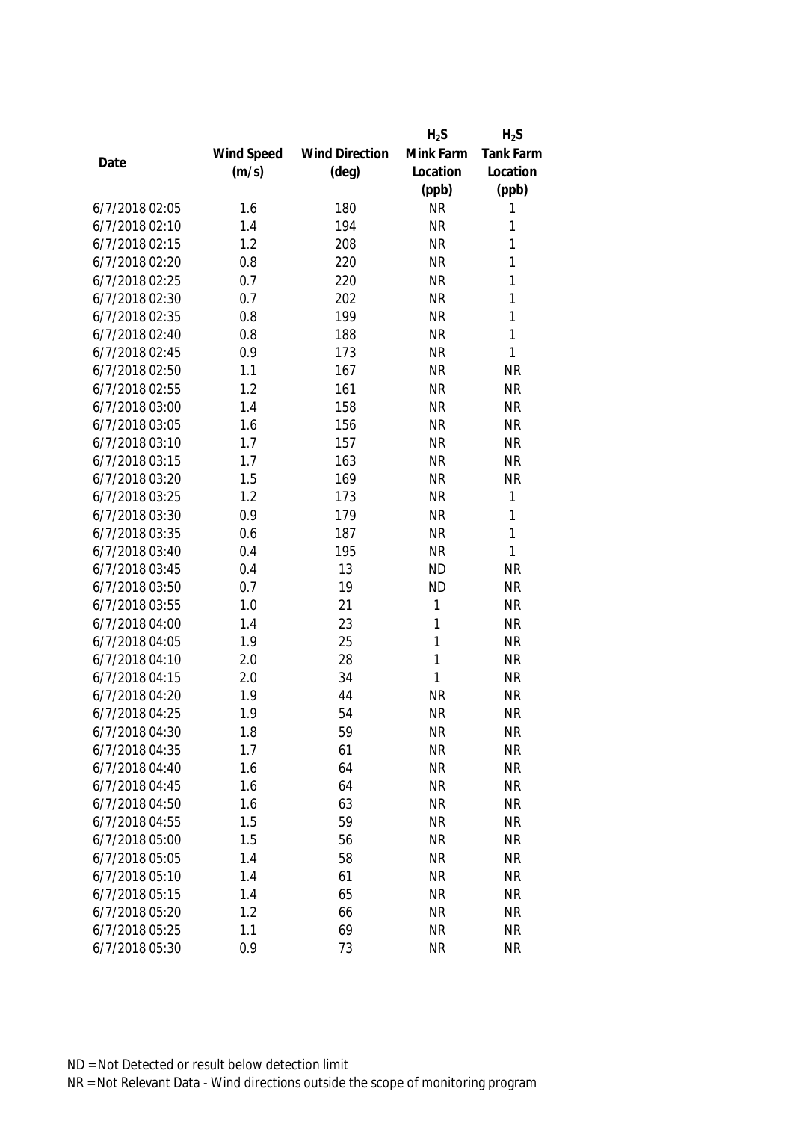|                |            |                       | $H_2S$    | $H_2S$    |
|----------------|------------|-----------------------|-----------|-----------|
|                | Wind Speed | <b>Wind Direction</b> | Mink Farm | Tank Farm |
| Date           | (m/s)      | $(\text{deg})$        | Location  | Location  |
|                |            |                       | (ppb)     | (ppb)     |
| 6/7/2018 02:05 | 1.6        | 180                   | <b>NR</b> | 1         |
| 6/7/2018 02:10 | 1.4        | 194                   | <b>NR</b> | 1         |
| 6/7/2018 02:15 | 1.2        | 208                   | <b>NR</b> | 1         |
| 6/7/2018 02:20 | 0.8        | 220                   | <b>NR</b> | 1         |
| 6/7/2018 02:25 | 0.7        | 220                   | <b>NR</b> | 1         |
| 6/7/2018 02:30 | 0.7        | 202                   | <b>NR</b> | 1         |
| 6/7/2018 02:35 | 0.8        | 199                   | <b>NR</b> | 1         |
| 6/7/2018 02:40 | 0.8        | 188                   | <b>NR</b> | 1         |
| 6/7/2018 02:45 | 0.9        | 173                   | <b>NR</b> | 1         |
| 6/7/2018 02:50 | 1.1        | 167                   | <b>NR</b> | <b>NR</b> |
| 6/7/2018 02:55 | 1.2        | 161                   | <b>NR</b> | <b>NR</b> |
| 6/7/2018 03:00 | 1.4        | 158                   | <b>NR</b> | <b>NR</b> |
| 6/7/2018 03:05 | 1.6        | 156                   | <b>NR</b> | <b>NR</b> |
| 6/7/2018 03:10 | 1.7        | 157                   | <b>NR</b> | <b>NR</b> |
| 6/7/2018 03:15 | 1.7        | 163                   | <b>NR</b> | <b>NR</b> |
| 6/7/2018 03:20 | 1.5        | 169                   | <b>NR</b> | <b>NR</b> |
| 6/7/2018 03:25 | 1.2        | 173                   | <b>NR</b> | 1         |
| 6/7/2018 03:30 | 0.9        | 179                   | <b>NR</b> | 1         |
| 6/7/2018 03:35 | 0.6        | 187                   | <b>NR</b> | 1         |
| 6/7/2018 03:40 | 0.4        | 195                   | <b>NR</b> | 1         |
| 6/7/2018 03:45 | 0.4        | 13                    | <b>ND</b> | <b>NR</b> |
| 6/7/2018 03:50 | 0.7        | 19                    | <b>ND</b> | <b>NR</b> |
| 6/7/2018 03:55 | 1.0        | 21                    | 1         | <b>NR</b> |
| 6/7/2018 04:00 | 1.4        | 23                    | 1         | <b>NR</b> |
| 6/7/2018 04:05 | 1.9        | 25                    | 1         | <b>NR</b> |
| 6/7/2018 04:10 | 2.0        | 28                    | 1         | <b>NR</b> |
| 6/7/2018 04:15 | 2.0        | 34                    | 1         | <b>NR</b> |
| 6/7/2018 04:20 | 1.9        | 44                    | <b>NR</b> | <b>NR</b> |
| 6/7/2018 04:25 | 1.9        | 54                    | <b>NR</b> | <b>NR</b> |
| 6/7/2018 04:30 | 1.8        | 59                    | <b>NR</b> | <b>NR</b> |
| 6/7/2018 04:35 | 1.7        | 61                    | <b>NR</b> | <b>NR</b> |
| 6/7/2018 04:40 | 1.6        | 64                    | <b>NR</b> | <b>NR</b> |
| 6/7/2018 04:45 | 1.6        | 64                    | <b>NR</b> | <b>NR</b> |
| 6/7/2018 04:50 | 1.6        | 63                    | <b>NR</b> | <b>NR</b> |
| 6/7/2018 04:55 | 1.5        | 59                    | <b>NR</b> | <b>NR</b> |
| 6/7/2018 05:00 | 1.5        | 56                    | <b>NR</b> | <b>NR</b> |
| 6/7/2018 05:05 | 1.4        | 58                    | <b>NR</b> | <b>NR</b> |
| 6/7/2018 05:10 | 1.4        | 61                    | <b>NR</b> | <b>NR</b> |
| 6/7/2018 05:15 | 1.4        | 65                    | <b>NR</b> | <b>NR</b> |
| 6/7/2018 05:20 | 1.2        | 66                    | <b>NR</b> | <b>NR</b> |
| 6/7/2018 05:25 | 1.1        | 69                    | <b>NR</b> | <b>NR</b> |
| 6/7/2018 05:30 | 0.9        | 73                    | <b>NR</b> | <b>NR</b> |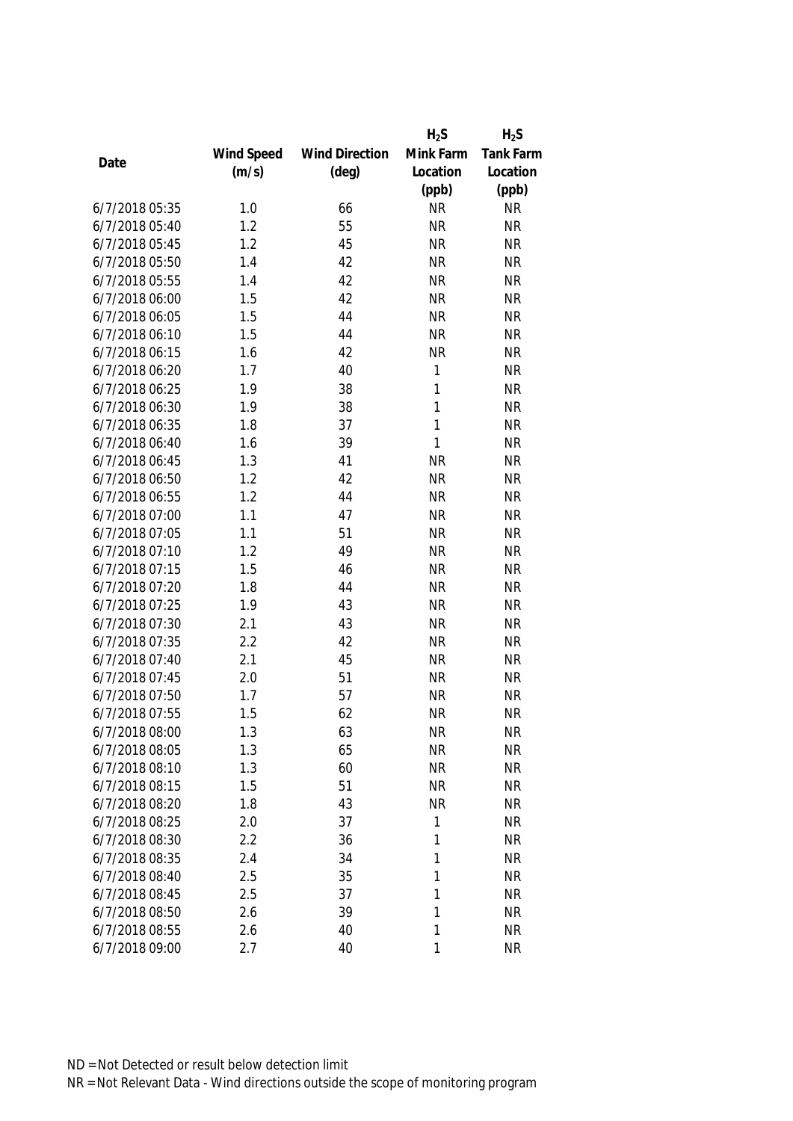|                |            |                       | $H_2S$       | $H_2S$    |
|----------------|------------|-----------------------|--------------|-----------|
|                | Wind Speed | <b>Wind Direction</b> | Mink Farm    | Tank Farm |
| Date           | (m/s)      | $(\text{deg})$        | Location     | Location  |
|                |            |                       | (ppb)        | (ppb)     |
| 6/7/2018 05:35 | 1.0        | 66                    | <b>NR</b>    | <b>NR</b> |
| 6/7/2018 05:40 | 1.2        | 55                    | <b>NR</b>    | <b>NR</b> |
| 6/7/2018 05:45 | 1.2        | 45                    | <b>NR</b>    | <b>NR</b> |
| 6/7/2018 05:50 | 1.4        | 42                    | <b>NR</b>    | <b>NR</b> |
| 6/7/2018 05:55 | 1.4        | 42                    | <b>NR</b>    | <b>NR</b> |
| 6/7/2018 06:00 | 1.5        | 42                    | <b>NR</b>    | <b>NR</b> |
| 6/7/2018 06:05 | 1.5        | 44                    | <b>NR</b>    | <b>NR</b> |
| 6/7/2018 06:10 | 1.5        | 44                    | <b>NR</b>    | <b>NR</b> |
| 6/7/2018 06:15 | 1.6        | 42                    | <b>NR</b>    | <b>NR</b> |
| 6/7/2018 06:20 | 1.7        | 40                    | $\mathbf{1}$ | <b>NR</b> |
| 6/7/2018 06:25 | 1.9        | 38                    | 1            | <b>NR</b> |
| 6/7/2018 06:30 | 1.9        | 38                    | 1            | <b>NR</b> |
| 6/7/2018 06:35 | 1.8        | 37                    | $\mathbf{1}$ | <b>NR</b> |
| 6/7/2018 06:40 | 1.6        | 39                    | $\mathbf{1}$ | <b>NR</b> |
| 6/7/2018 06:45 | 1.3        | 41                    | <b>NR</b>    | <b>NR</b> |
| 6/7/2018 06:50 | 1.2        | 42                    | <b>NR</b>    | <b>NR</b> |
| 6/7/2018 06:55 | 1.2        | 44                    | <b>NR</b>    | <b>NR</b> |
| 6/7/2018 07:00 | 1.1        | 47                    | <b>NR</b>    | <b>NR</b> |
| 6/7/2018 07:05 | 1.1        | 51                    | <b>NR</b>    | <b>NR</b> |
| 6/7/2018 07:10 | 1.2        | 49                    | <b>NR</b>    | <b>NR</b> |
| 6/7/2018 07:15 | 1.5        | 46                    | <b>NR</b>    | <b>NR</b> |
| 6/7/2018 07:20 | 1.8        | 44                    | <b>NR</b>    | <b>NR</b> |
| 6/7/2018 07:25 | 1.9        | 43                    | <b>NR</b>    | <b>NR</b> |
| 6/7/2018 07:30 | 2.1        | 43                    | <b>NR</b>    | <b>NR</b> |
| 6/7/2018 07:35 | 2.2        | 42                    | <b>NR</b>    | <b>NR</b> |
| 6/7/2018 07:40 | 2.1        | 45                    | <b>NR</b>    | <b>NR</b> |
| 6/7/2018 07:45 | 2.0        | 51                    | <b>NR</b>    | <b>NR</b> |
| 6/7/2018 07:50 | 1.7        | 57                    | <b>NR</b>    | <b>NR</b> |
| 6/7/2018 07:55 | 1.5        | 62                    | <b>NR</b>    | <b>NR</b> |
| 6/7/2018 08:00 | 1.3        | 63                    | <b>NR</b>    | <b>NR</b> |
| 6/7/2018 08:05 | 1.3        | 65                    | <b>NR</b>    | <b>NR</b> |
| 6/7/2018 08:10 | 1.3        | 60                    | <b>NR</b>    | <b>NR</b> |
| 6/7/2018 08:15 | 1.5        | 51                    | <b>NR</b>    | <b>NR</b> |
| 6/7/2018 08:20 | 1.8        | 43                    | <b>NR</b>    | <b>NR</b> |
| 6/7/2018 08:25 | 2.0        | 37                    | 1            | <b>NR</b> |
| 6/7/2018 08:30 | 2.2        | 36                    | 1            | <b>NR</b> |
| 6/7/2018 08:35 | 2.4        | 34                    | 1            | <b>NR</b> |
| 6/7/2018 08:40 | 2.5        | 35                    | 1            | <b>NR</b> |
| 6/7/2018 08:45 | 2.5        | 37                    | 1            | <b>NR</b> |
| 6/7/2018 08:50 | 2.6        | 39                    | 1            | <b>NR</b> |
| 6/7/2018 08:55 | 2.6        | 40                    | 1            | <b>NR</b> |
| 6/7/2018 09:00 | 2.7        | 40                    | 1            | <b>NR</b> |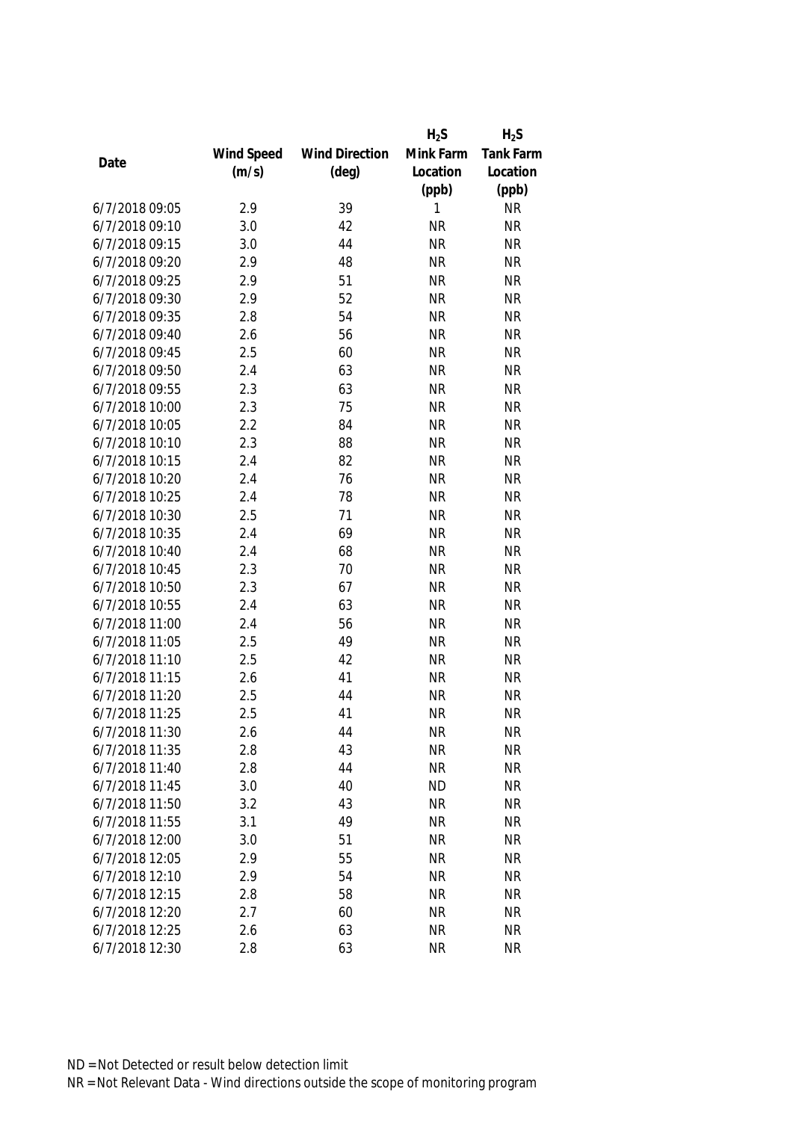|                |            |                       | $H_2S$    | $H_2S$           |
|----------------|------------|-----------------------|-----------|------------------|
|                | Wind Speed | <b>Wind Direction</b> | Mink Farm | <b>Tank Farm</b> |
| Date           | (m/s)      | $(\text{deg})$        | Location  | Location         |
|                |            |                       | (ppb)     | (ppb)            |
| 6/7/2018 09:05 | 2.9        | 39                    | 1         | <b>NR</b>        |
| 6/7/2018 09:10 | 3.0        | 42                    | <b>NR</b> | <b>NR</b>        |
| 6/7/2018 09:15 | 3.0        | 44                    | <b>NR</b> | <b>NR</b>        |
| 6/7/2018 09:20 | 2.9        | 48                    | <b>NR</b> | <b>NR</b>        |
| 6/7/2018 09:25 | 2.9        | 51                    | <b>NR</b> | <b>NR</b>        |
| 6/7/2018 09:30 | 2.9        | 52                    | <b>NR</b> | <b>NR</b>        |
| 6/7/2018 09:35 | 2.8        | 54                    | <b>NR</b> | <b>NR</b>        |
| 6/7/2018 09:40 | 2.6        | 56                    | <b>NR</b> | <b>NR</b>        |
| 6/7/2018 09:45 | 2.5        | 60                    | <b>NR</b> | <b>NR</b>        |
| 6/7/2018 09:50 | 2.4        | 63                    | <b>NR</b> | <b>NR</b>        |
| 6/7/2018 09:55 | 2.3        | 63                    | <b>NR</b> | <b>NR</b>        |
| 6/7/2018 10:00 | 2.3        | 75                    | <b>NR</b> | <b>NR</b>        |
| 6/7/2018 10:05 | 2.2        | 84                    | <b>NR</b> | <b>NR</b>        |
| 6/7/2018 10:10 | 2.3        | 88                    | <b>NR</b> | <b>NR</b>        |
| 6/7/2018 10:15 | 2.4        | 82                    | <b>NR</b> | <b>NR</b>        |
| 6/7/2018 10:20 | 2.4        | 76                    | <b>NR</b> | <b>NR</b>        |
| 6/7/2018 10:25 | 2.4        | 78                    | <b>NR</b> | <b>NR</b>        |
| 6/7/2018 10:30 | 2.5        | 71                    | <b>NR</b> | <b>NR</b>        |
| 6/7/2018 10:35 | 2.4        | 69                    | <b>NR</b> | <b>NR</b>        |
| 6/7/2018 10:40 | 2.4        | 68                    | <b>NR</b> | <b>NR</b>        |
| 6/7/2018 10:45 | 2.3        | 70                    | <b>NR</b> | <b>NR</b>        |
| 6/7/2018 10:50 | 2.3        | 67                    | <b>NR</b> | <b>NR</b>        |
| 6/7/2018 10:55 | 2.4        | 63                    | <b>NR</b> | <b>NR</b>        |
| 6/7/2018 11:00 | 2.4        | 56                    | <b>NR</b> | <b>NR</b>        |
| 6/7/2018 11:05 | 2.5        | 49                    | <b>NR</b> | <b>NR</b>        |
| 6/7/2018 11:10 | 2.5        | 42                    | <b>NR</b> | <b>NR</b>        |
| 6/7/2018 11:15 | 2.6        | 41                    | <b>NR</b> | <b>NR</b>        |
| 6/7/2018 11:20 | 2.5        | 44                    | <b>NR</b> | <b>NR</b>        |
| 6/7/2018 11:25 | 2.5        | 41                    | <b>NR</b> | <b>NR</b>        |
| 6/7/2018 11:30 | 2.6        | 44                    | <b>NR</b> | <b>NR</b>        |
| 6/7/2018 11:35 | 2.8        | 43                    | <b>NR</b> | <b>NR</b>        |
| 6/7/2018 11:40 | 2.8        | 44                    | <b>NR</b> | <b>NR</b>        |
| 6/7/2018 11:45 | 3.0        | 40                    | <b>ND</b> | <b>NR</b>        |
| 6/7/2018 11:50 | 3.2        | 43                    | <b>NR</b> | <b>NR</b>        |
| 6/7/2018 11:55 | 3.1        | 49                    | <b>NR</b> | <b>NR</b>        |
| 6/7/2018 12:00 | 3.0        | 51                    | <b>NR</b> | <b>NR</b>        |
| 6/7/2018 12:05 | 2.9        | 55                    | <b>NR</b> | <b>NR</b>        |
| 6/7/2018 12:10 | 2.9        | 54                    | <b>NR</b> | <b>NR</b>        |
| 6/7/2018 12:15 | 2.8        | 58                    | <b>NR</b> | <b>NR</b>        |
| 6/7/2018 12:20 | 2.7        | 60                    | <b>NR</b> | <b>NR</b>        |
| 6/7/2018 12:25 | 2.6        | 63                    | <b>NR</b> | <b>NR</b>        |
| 6/7/2018 12:30 | 2.8        | 63                    | <b>NR</b> | <b>NR</b>        |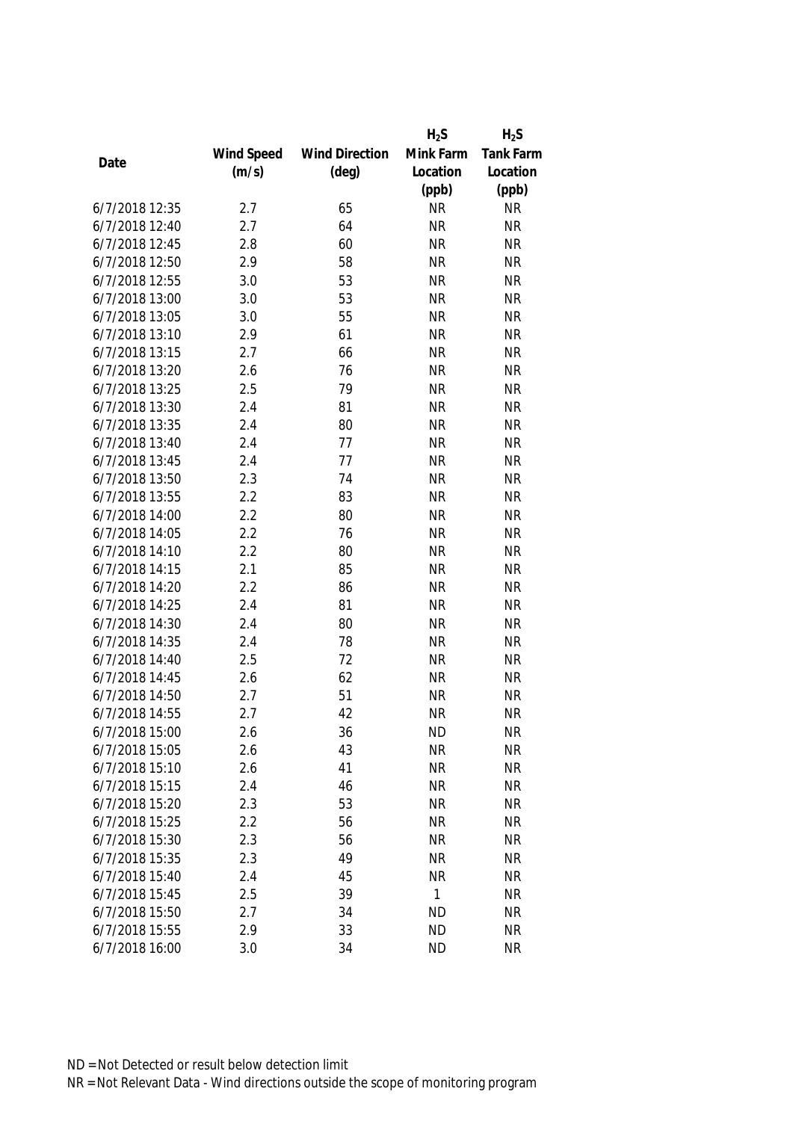|                |            |                       | $H_2S$    | $H_2S$           |
|----------------|------------|-----------------------|-----------|------------------|
|                | Wind Speed | <b>Wind Direction</b> | Mink Farm | <b>Tank Farm</b> |
| Date           | (m/s)      | $(\text{deg})$        | Location  | Location         |
|                |            |                       | (ppb)     | (ppb)            |
| 6/7/2018 12:35 | 2.7        | 65                    | <b>NR</b> | <b>NR</b>        |
| 6/7/2018 12:40 | 2.7        | 64                    | <b>NR</b> | <b>NR</b>        |
| 6/7/2018 12:45 | 2.8        | 60                    | <b>NR</b> | <b>NR</b>        |
| 6/7/2018 12:50 | 2.9        | 58                    | <b>NR</b> | <b>NR</b>        |
| 6/7/2018 12:55 | 3.0        | 53                    | <b>NR</b> | <b>NR</b>        |
| 6/7/2018 13:00 | 3.0        | 53                    | <b>NR</b> | <b>NR</b>        |
| 6/7/2018 13:05 | 3.0        | 55                    | <b>NR</b> | <b>NR</b>        |
| 6/7/2018 13:10 | 2.9        | 61                    | <b>NR</b> | <b>NR</b>        |
| 6/7/2018 13:15 | 2.7        | 66                    | <b>NR</b> | <b>NR</b>        |
| 6/7/2018 13:20 | 2.6        | 76                    | <b>NR</b> | <b>NR</b>        |
| 6/7/2018 13:25 | 2.5        | 79                    | <b>NR</b> | <b>NR</b>        |
| 6/7/2018 13:30 | 2.4        | 81                    | <b>NR</b> | <b>NR</b>        |
| 6/7/2018 13:35 | 2.4        | 80                    | <b>NR</b> | <b>NR</b>        |
| 6/7/2018 13:40 | 2.4        | 77                    | <b>NR</b> | <b>NR</b>        |
| 6/7/2018 13:45 | 2.4        | 77                    | <b>NR</b> | <b>NR</b>        |
| 6/7/2018 13:50 | 2.3        | 74                    | <b>NR</b> | <b>NR</b>        |
| 6/7/2018 13:55 | 2.2        | 83                    | <b>NR</b> | <b>NR</b>        |
| 6/7/2018 14:00 | 2.2        | 80                    | <b>NR</b> | <b>NR</b>        |
| 6/7/2018 14:05 | 2.2        | 76                    | <b>NR</b> | <b>NR</b>        |
| 6/7/2018 14:10 | 2.2        | 80                    | <b>NR</b> | <b>NR</b>        |
| 6/7/2018 14:15 | 2.1        | 85                    | <b>NR</b> | <b>NR</b>        |
| 6/7/2018 14:20 | 2.2        | 86                    | <b>NR</b> | <b>NR</b>        |
| 6/7/2018 14:25 | 2.4        | 81                    | <b>NR</b> | <b>NR</b>        |
| 6/7/2018 14:30 | 2.4        | 80                    | <b>NR</b> | <b>NR</b>        |
| 6/7/2018 14:35 | 2.4        | 78                    | <b>NR</b> | <b>NR</b>        |
| 6/7/2018 14:40 | 2.5        | 72                    | <b>NR</b> | <b>NR</b>        |
| 6/7/2018 14:45 | 2.6        | 62                    | <b>NR</b> | <b>NR</b>        |
| 6/7/2018 14:50 | 2.7        | 51                    | <b>NR</b> | <b>NR</b>        |
| 6/7/2018 14:55 | 2.7        | 42                    | <b>NR</b> | <b>NR</b>        |
| 6/7/2018 15:00 | 2.6        | 36                    | <b>ND</b> | <b>NR</b>        |
| 6/7/2018 15:05 | 2.6        | 43                    | <b>NR</b> | <b>NR</b>        |
| 6/7/2018 15:10 | 2.6        | 41                    | <b>NR</b> | <b>NR</b>        |
| 6/7/2018 15:15 | 2.4        | 46                    | <b>NR</b> | <b>NR</b>        |
| 6/7/2018 15:20 | 2.3        | 53                    | <b>NR</b> | <b>NR</b>        |
| 6/7/2018 15:25 | 2.2        | 56                    | <b>NR</b> | <b>NR</b>        |
| 6/7/2018 15:30 | 2.3        | 56                    | <b>NR</b> | <b>NR</b>        |
| 6/7/2018 15:35 | 2.3        | 49                    | <b>NR</b> | <b>NR</b>        |
| 6/7/2018 15:40 | 2.4        | 45                    | <b>NR</b> | <b>NR</b>        |
| 6/7/2018 15:45 | 2.5        | 39                    | 1         | <b>NR</b>        |
| 6/7/2018 15:50 | 2.7        | 34                    | <b>ND</b> | <b>NR</b>        |
| 6/7/2018 15:55 | 2.9        | 33                    | <b>ND</b> | <b>NR</b>        |
|                |            |                       |           |                  |
| 6/7/2018 16:00 | 3.0        | 34                    | <b>ND</b> | <b>NR</b>        |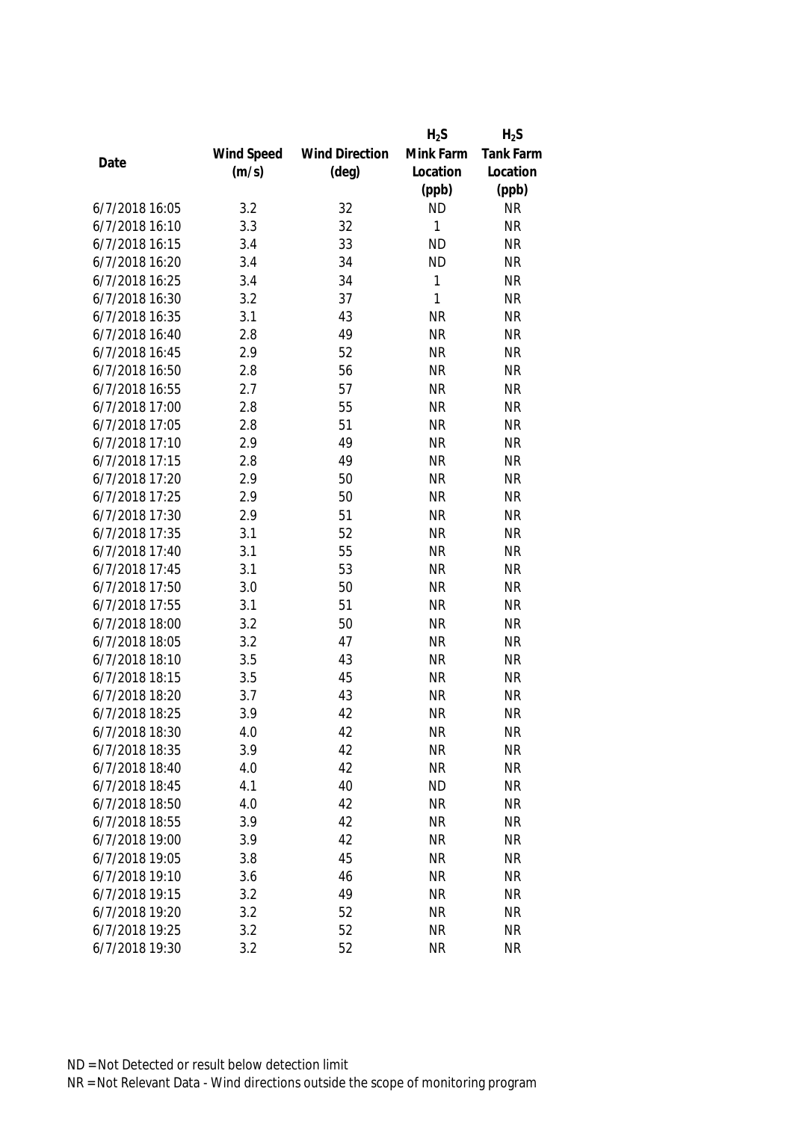|                |            |                       | $H_2S$    | $H_2S$           |
|----------------|------------|-----------------------|-----------|------------------|
|                | Wind Speed | <b>Wind Direction</b> | Mink Farm | <b>Tank Farm</b> |
| Date           | (m/s)      | $(\text{deg})$        | Location  | Location         |
|                |            |                       | (ppb)     | (ppb)            |
| 6/7/2018 16:05 | 3.2        | 32                    | <b>ND</b> | <b>NR</b>        |
| 6/7/2018 16:10 | 3.3        | 32                    | 1         | <b>NR</b>        |
| 6/7/2018 16:15 | 3.4        | 33                    | <b>ND</b> | <b>NR</b>        |
| 6/7/2018 16:20 | 3.4        | 34                    | <b>ND</b> | <b>NR</b>        |
| 6/7/2018 16:25 | 3.4        | 34                    | 1         | <b>NR</b>        |
| 6/7/2018 16:30 | 3.2        | 37                    | 1         | <b>NR</b>        |
| 6/7/2018 16:35 | 3.1        | 43                    | <b>NR</b> | <b>NR</b>        |
| 6/7/2018 16:40 | 2.8        | 49                    | <b>NR</b> | <b>NR</b>        |
| 6/7/2018 16:45 | 2.9        | 52                    | <b>NR</b> | <b>NR</b>        |
| 6/7/2018 16:50 | 2.8        | 56                    | <b>NR</b> | <b>NR</b>        |
| 6/7/2018 16:55 | 2.7        | 57                    | <b>NR</b> | <b>NR</b>        |
| 6/7/2018 17:00 | 2.8        | 55                    | <b>NR</b> | <b>NR</b>        |
| 6/7/2018 17:05 | 2.8        | 51                    | <b>NR</b> | <b>NR</b>        |
| 6/7/2018 17:10 | 2.9        | 49                    | <b>NR</b> | <b>NR</b>        |
| 6/7/2018 17:15 | 2.8        | 49                    | <b>NR</b> | <b>NR</b>        |
| 6/7/2018 17:20 | 2.9        | 50                    | <b>NR</b> | <b>NR</b>        |
| 6/7/2018 17:25 | 2.9        | 50                    | <b>NR</b> | <b>NR</b>        |
| 6/7/2018 17:30 | 2.9        | 51                    | <b>NR</b> | <b>NR</b>        |
| 6/7/2018 17:35 | 3.1        | 52                    | <b>NR</b> | <b>NR</b>        |
| 6/7/2018 17:40 | 3.1        | 55                    | <b>NR</b> | <b>NR</b>        |
| 6/7/2018 17:45 | 3.1        | 53                    | <b>NR</b> | <b>NR</b>        |
| 6/7/2018 17:50 | 3.0        | 50                    | <b>NR</b> | <b>NR</b>        |
| 6/7/2018 17:55 | 3.1        | 51                    | <b>NR</b> | <b>NR</b>        |
| 6/7/2018 18:00 | 3.2        | 50                    | <b>NR</b> | <b>NR</b>        |
| 6/7/2018 18:05 | 3.2        | 47                    | <b>NR</b> | <b>NR</b>        |
| 6/7/2018 18:10 | 3.5        | 43                    | <b>NR</b> | <b>NR</b>        |
| 6/7/2018 18:15 | 3.5        | 45                    | <b>NR</b> | <b>NR</b>        |
| 6/7/2018 18:20 | 3.7        | 43                    | <b>NR</b> | <b>NR</b>        |
| 6/7/2018 18:25 | 3.9        | 42                    | <b>NR</b> | <b>NR</b>        |
| 6/7/2018 18:30 | 4.0        | 42                    | <b>NR</b> | <b>NR</b>        |
| 6/7/2018 18:35 | 3.9        | 42                    | <b>NR</b> | <b>NR</b>        |
| 6/7/2018 18:40 | 4.0        | 42                    | <b>NR</b> | <b>NR</b>        |
| 6/7/2018 18:45 | 4.1        | 40                    | <b>ND</b> | <b>NR</b>        |
| 6/7/2018 18:50 | 4.0        | 42                    | <b>NR</b> | <b>NR</b>        |
| 6/7/2018 18:55 | 3.9        | 42                    | <b>NR</b> | <b>NR</b>        |
| 6/7/2018 19:00 | 3.9        | 42                    | <b>NR</b> | <b>NR</b>        |
| 6/7/2018 19:05 | 3.8        | 45                    | <b>NR</b> | <b>NR</b>        |
| 6/7/2018 19:10 | 3.6        | 46                    | <b>NR</b> | <b>NR</b>        |
| 6/7/2018 19:15 | 3.2        | 49                    | <b>NR</b> | <b>NR</b>        |
| 6/7/2018 19:20 | 3.2        | 52                    | <b>NR</b> | <b>NR</b>        |
| 6/7/2018 19:25 | 3.2        | 52                    | <b>NR</b> | <b>NR</b>        |
| 6/7/2018 19:30 | 3.2        | 52                    | <b>NR</b> | <b>NR</b>        |
|                |            |                       |           |                  |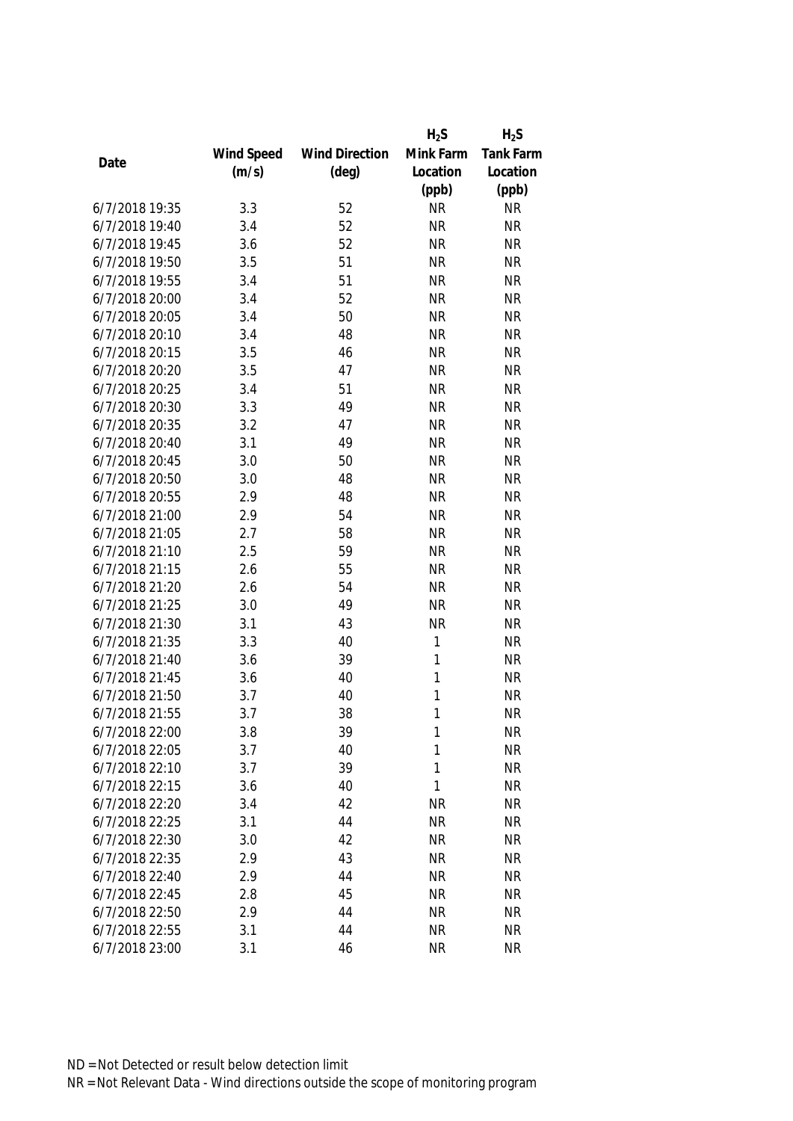|                |            |                       | $H_2S$    | $H_2S$           |
|----------------|------------|-----------------------|-----------|------------------|
|                | Wind Speed | <b>Wind Direction</b> | Mink Farm | <b>Tank Farm</b> |
| Date           | (m/s)      | $(\text{deg})$        | Location  | Location         |
|                |            |                       | (ppb)     | (ppb)            |
| 6/7/2018 19:35 | 3.3        | 52                    | <b>NR</b> | <b>NR</b>        |
| 6/7/2018 19:40 | 3.4        | 52                    | <b>NR</b> | <b>NR</b>        |
| 6/7/2018 19:45 | 3.6        | 52                    | <b>NR</b> | <b>NR</b>        |
| 6/7/2018 19:50 | 3.5        | 51                    | <b>NR</b> | <b>NR</b>        |
| 6/7/2018 19:55 | 3.4        | 51                    | <b>NR</b> | <b>NR</b>        |
| 6/7/2018 20:00 | 3.4        | 52                    | <b>NR</b> | <b>NR</b>        |
| 6/7/2018 20:05 | 3.4        | 50                    | <b>NR</b> | <b>NR</b>        |
| 6/7/2018 20:10 | 3.4        | 48                    | <b>NR</b> | <b>NR</b>        |
| 6/7/2018 20:15 | 3.5        | 46                    | <b>NR</b> | <b>NR</b>        |
| 6/7/2018 20:20 | 3.5        | 47                    | <b>NR</b> | <b>NR</b>        |
| 6/7/2018 20:25 | 3.4        | 51                    | <b>NR</b> | <b>NR</b>        |
| 6/7/2018 20:30 | 3.3        | 49                    | <b>NR</b> | <b>NR</b>        |
| 6/7/2018 20:35 | 3.2        | 47                    | <b>NR</b> | <b>NR</b>        |
| 6/7/2018 20:40 | 3.1        | 49                    | <b>NR</b> | <b>NR</b>        |
| 6/7/2018 20:45 | 3.0        | 50                    | <b>NR</b> | <b>NR</b>        |
| 6/7/2018 20:50 | 3.0        | 48                    | <b>NR</b> | <b>NR</b>        |
| 6/7/2018 20:55 | 2.9        | 48                    | <b>NR</b> | <b>NR</b>        |
| 6/7/2018 21:00 | 2.9        | 54                    | <b>NR</b> | <b>NR</b>        |
| 6/7/2018 21:05 | 2.7        | 58                    | <b>NR</b> | <b>NR</b>        |
| 6/7/2018 21:10 | 2.5        | 59                    | <b>NR</b> | <b>NR</b>        |
| 6/7/2018 21:15 | 2.6        | 55                    | <b>NR</b> | <b>NR</b>        |
| 6/7/2018 21:20 | 2.6        | 54                    | <b>NR</b> | <b>NR</b>        |
| 6/7/2018 21:25 | 3.0        | 49                    | <b>NR</b> | <b>NR</b>        |
| 6/7/2018 21:30 | 3.1        | 43                    | <b>NR</b> | <b>NR</b>        |
| 6/7/2018 21:35 | 3.3        | 40                    | 1         | <b>NR</b>        |
| 6/7/2018 21:40 | 3.6        | 39                    | 1         | <b>NR</b>        |
| 6/7/2018 21:45 | 3.6        | 40                    | 1         | <b>NR</b>        |
| 6/7/2018 21:50 | 3.7        | 40                    | 1         | <b>NR</b>        |
| 6/7/2018 21:55 | 3.7        | 38                    | 1         | <b>NR</b>        |
| 6/7/2018 22:00 | 3.8        | 39                    | 1         | <b>NR</b>        |
| 6/7/2018 22:05 | 3.7        | 40                    | 1         | <b>NR</b>        |
| 6/7/2018 22:10 | 3.7        | 39                    | 1         | <b>NR</b>        |
| 6/7/2018 22:15 | 3.6        | 40                    | 1         | <b>NR</b>        |
| 6/7/2018 22:20 | 3.4        | 42                    | <b>NR</b> | <b>NR</b>        |
| 6/7/2018 22:25 | 3.1        | 44                    | <b>NR</b> | <b>NR</b>        |
| 6/7/2018 22:30 | 3.0        | 42                    | <b>NR</b> | <b>NR</b>        |
| 6/7/2018 22:35 | 2.9        | 43                    | <b>NR</b> | <b>NR</b>        |
| 6/7/2018 22:40 | 2.9        | 44                    | <b>NR</b> | <b>NR</b>        |
| 6/7/2018 22:45 | 2.8        | 45                    | <b>NR</b> | <b>NR</b>        |
| 6/7/2018 22:50 | 2.9        | 44                    | <b>NR</b> | <b>NR</b>        |
| 6/7/2018 22:55 | 3.1        | 44                    | <b>NR</b> | <b>NR</b>        |
| 6/7/2018 23:00 | 3.1        | 46                    | <b>NR</b> | <b>NR</b>        |
|                |            |                       |           |                  |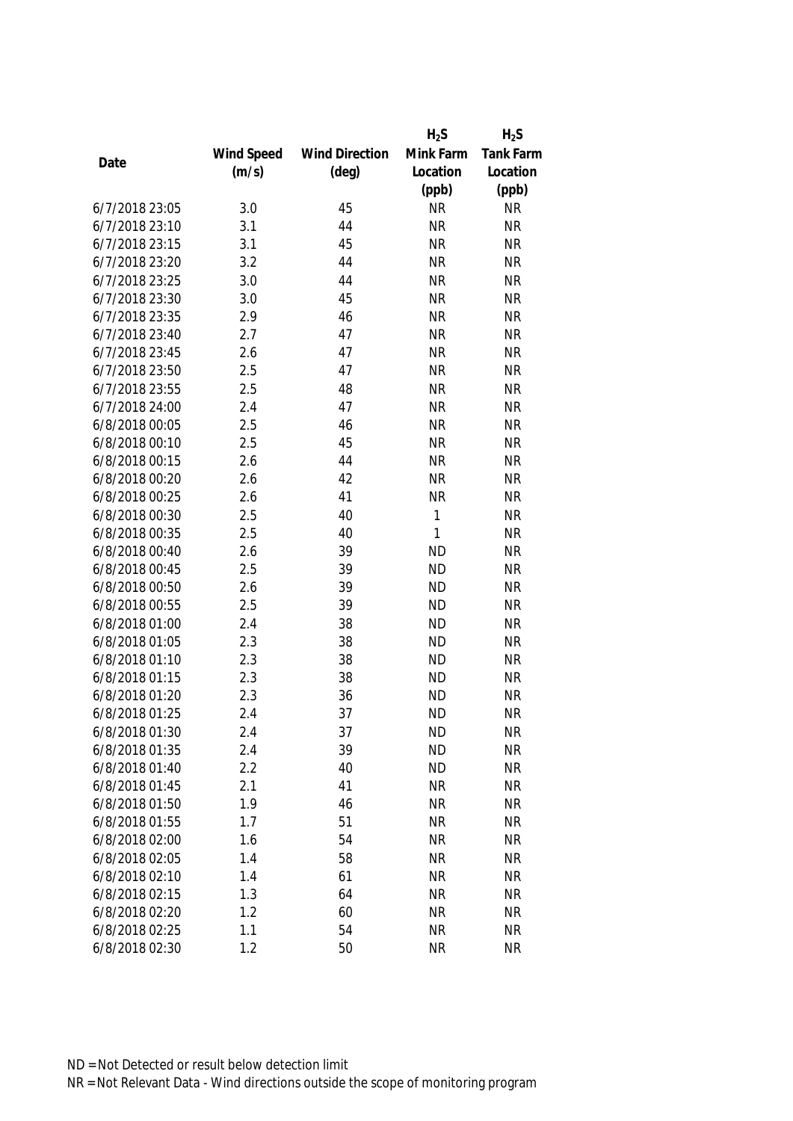|                |            |                       | $H_2S$    | $H_2S$           |
|----------------|------------|-----------------------|-----------|------------------|
|                | Wind Speed | <b>Wind Direction</b> | Mink Farm | <b>Tank Farm</b> |
| Date           | (m/s)      | $(\text{deg})$        | Location  | Location         |
|                |            |                       | (ppb)     | (ppb)            |
| 6/7/2018 23:05 | 3.0        | 45                    | <b>NR</b> | <b>NR</b>        |
| 6/7/2018 23:10 | 3.1        | 44                    | <b>NR</b> | <b>NR</b>        |
| 6/7/2018 23:15 | 3.1        | 45                    | <b>NR</b> | <b>NR</b>        |
| 6/7/2018 23:20 | 3.2        | 44                    | <b>NR</b> | <b>NR</b>        |
| 6/7/2018 23:25 | 3.0        | 44                    | <b>NR</b> | <b>NR</b>        |
| 6/7/2018 23:30 | 3.0        | 45                    | <b>NR</b> | <b>NR</b>        |
| 6/7/2018 23:35 | 2.9        | 46                    | <b>NR</b> | <b>NR</b>        |
| 6/7/2018 23:40 | 2.7        | 47                    | <b>NR</b> | <b>NR</b>        |
| 6/7/2018 23:45 | 2.6        | 47                    | <b>NR</b> | <b>NR</b>        |
| 6/7/2018 23:50 | 2.5        | 47                    | <b>NR</b> | <b>NR</b>        |
| 6/7/2018 23:55 | 2.5        | 48                    | <b>NR</b> | <b>NR</b>        |
| 6/7/2018 24:00 | 2.4        | 47                    | <b>NR</b> | <b>NR</b>        |
| 6/8/2018 00:05 | 2.5        | 46                    | <b>NR</b> | <b>NR</b>        |
| 6/8/2018 00:10 | 2.5        | 45                    | <b>NR</b> | <b>NR</b>        |
| 6/8/2018 00:15 | 2.6        | 44                    | <b>NR</b> | <b>NR</b>        |
| 6/8/2018 00:20 | 2.6        | 42                    | <b>NR</b> | <b>NR</b>        |
| 6/8/2018 00:25 | 2.6        | 41                    | <b>NR</b> | <b>NR</b>        |
| 6/8/2018 00:30 | 2.5        | 40                    | 1         | <b>NR</b>        |
| 6/8/2018 00:35 | 2.5        | 40                    | 1         | <b>NR</b>        |
| 6/8/2018 00:40 | 2.6        | 39                    | <b>ND</b> | <b>NR</b>        |
| 6/8/2018 00:45 | 2.5        | 39                    | <b>ND</b> | <b>NR</b>        |
| 6/8/2018 00:50 | 2.6        | 39                    | <b>ND</b> | <b>NR</b>        |
| 6/8/2018 00:55 | 2.5        | 39                    | <b>ND</b> | <b>NR</b>        |
| 6/8/2018 01:00 | 2.4        | 38                    | <b>ND</b> | <b>NR</b>        |
| 6/8/2018 01:05 | 2.3        | 38                    | <b>ND</b> | <b>NR</b>        |
| 6/8/2018 01:10 | 2.3        | 38                    | <b>ND</b> | <b>NR</b>        |
| 6/8/2018 01:15 | 2.3        | 38                    | <b>ND</b> | <b>NR</b>        |
| 6/8/2018 01:20 | 2.3        | 36                    | <b>ND</b> | <b>NR</b>        |
| 6/8/2018 01:25 | 2.4        | 37                    | <b>ND</b> | <b>NR</b>        |
| 6/8/2018 01:30 | 2.4        | 37                    | <b>ND</b> | <b>NR</b>        |
| 6/8/2018 01:35 | 2.4        | 39                    | <b>ND</b> | <b>NR</b>        |
| 6/8/2018 01:40 | 2.2        | 40                    | <b>ND</b> | <b>NR</b>        |
| 6/8/2018 01:45 | 2.1        | 41                    | <b>NR</b> | <b>NR</b>        |
| 6/8/2018 01:50 | 1.9        | 46                    | <b>NR</b> | <b>NR</b>        |
| 6/8/2018 01:55 | 1.7        | 51                    | <b>NR</b> | <b>NR</b>        |
| 6/8/2018 02:00 | 1.6        | 54                    | <b>NR</b> | <b>NR</b>        |
| 6/8/2018 02:05 | 1.4        | 58                    | <b>NR</b> | <b>NR</b>        |
| 6/8/2018 02:10 | 1.4        | 61                    | <b>NR</b> | <b>NR</b>        |
| 6/8/2018 02:15 | 1.3        | 64                    | <b>NR</b> | <b>NR</b>        |
| 6/8/2018 02:20 | 1.2        | 60                    | <b>NR</b> | <b>NR</b>        |
| 6/8/2018 02:25 | 1.1        | 54                    | <b>NR</b> | <b>NR</b>        |
| 6/8/2018 02:30 | 1.2        | 50                    | <b>NR</b> | <b>NR</b>        |
|                |            |                       |           |                  |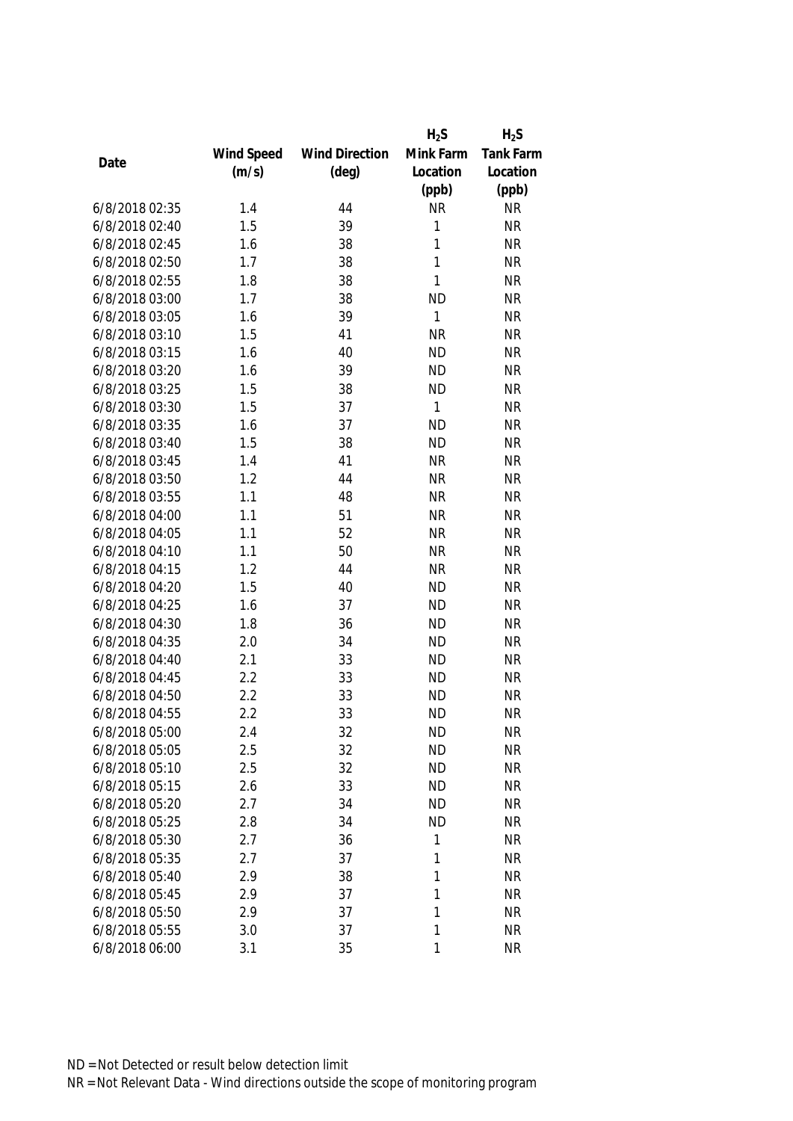|      |                |            |                       | $H_2S$       | $H_2S$           |
|------|----------------|------------|-----------------------|--------------|------------------|
|      |                | Wind Speed | <b>Wind Direction</b> | Mink Farm    | <b>Tank Farm</b> |
| Date |                | (m/s)      | $(\text{deg})$        | Location     | Location         |
|      |                |            |                       | (ppb)        | (ppb)            |
|      | 6/8/2018 02:35 | 1.4        | 44                    | <b>NR</b>    | <b>NR</b>        |
|      | 6/8/2018 02:40 | 1.5        | 39                    | 1            | <b>NR</b>        |
|      | 6/8/2018 02:45 | 1.6        | 38                    | 1            | <b>NR</b>        |
|      | 6/8/2018 02:50 | 1.7        | 38                    | 1            | <b>NR</b>        |
|      | 6/8/2018 02:55 | 1.8        | 38                    | $\mathbf{1}$ | <b>NR</b>        |
|      | 6/8/2018 03:00 | 1.7        | 38                    | <b>ND</b>    | <b>NR</b>        |
|      | 6/8/2018 03:05 | 1.6        | 39                    | $\mathbf{1}$ | <b>NR</b>        |
|      | 6/8/2018 03:10 | 1.5        | 41                    | <b>NR</b>    | <b>NR</b>        |
|      | 6/8/2018 03:15 | 1.6        | 40                    | <b>ND</b>    | <b>NR</b>        |
|      | 6/8/2018 03:20 | 1.6        | 39                    | <b>ND</b>    | <b>NR</b>        |
|      | 6/8/2018 03:25 | 1.5        | 38                    | <b>ND</b>    | <b>NR</b>        |
|      | 6/8/2018 03:30 | 1.5        | 37                    | $\mathbf{1}$ | <b>NR</b>        |
|      | 6/8/2018 03:35 | 1.6        | 37                    | <b>ND</b>    | <b>NR</b>        |
|      | 6/8/2018 03:40 | 1.5        | 38                    | <b>ND</b>    | <b>NR</b>        |
|      | 6/8/2018 03:45 | 1.4        | 41                    | <b>NR</b>    | <b>NR</b>        |
|      | 6/8/2018 03:50 | 1.2        | 44                    | <b>NR</b>    | <b>NR</b>        |
|      | 6/8/2018 03:55 | 1.1        | 48                    | <b>NR</b>    | <b>NR</b>        |
|      | 6/8/2018 04:00 | 1.1        | 51                    | <b>NR</b>    | <b>NR</b>        |
|      | 6/8/2018 04:05 | 1.1        | 52                    | <b>NR</b>    | <b>NR</b>        |
|      | 6/8/2018 04:10 | 1.1        | 50                    | <b>NR</b>    | <b>NR</b>        |
|      | 6/8/2018 04:15 | 1.2        | 44                    | <b>NR</b>    | <b>NR</b>        |
|      | 6/8/2018 04:20 | 1.5        | 40                    | <b>ND</b>    | <b>NR</b>        |
|      | 6/8/2018 04:25 | 1.6        | 37                    | <b>ND</b>    | <b>NR</b>        |
|      | 6/8/2018 04:30 | 1.8        | 36                    | <b>ND</b>    | <b>NR</b>        |
|      | 6/8/2018 04:35 | 2.0        | 34                    | <b>ND</b>    | <b>NR</b>        |
|      | 6/8/2018 04:40 | 2.1        | 33                    | <b>ND</b>    | <b>NR</b>        |
|      | 6/8/2018 04:45 | 2.2        | 33                    | <b>ND</b>    | <b>NR</b>        |
|      | 6/8/2018 04:50 | 2.2        | 33                    | <b>ND</b>    | <b>NR</b>        |
|      | 6/8/2018 04:55 | 2.2        | 33                    | <b>ND</b>    | <b>NR</b>        |
|      | 6/8/2018 05:00 | 2.4        | 32                    | <b>ND</b>    | <b>NR</b>        |
|      | 6/8/2018 05:05 | 2.5        | 32                    | <b>ND</b>    | <b>NR</b>        |
|      | 6/8/2018 05:10 | 2.5        | 32                    | <b>ND</b>    | <b>NR</b>        |
|      | 6/8/2018 05:15 | 2.6        | 33                    | <b>ND</b>    | <b>NR</b>        |
|      | 6/8/2018 05:20 | 2.7        | 34                    | <b>ND</b>    | <b>NR</b>        |
|      | 6/8/2018 05:25 | 2.8        | 34                    | <b>ND</b>    | <b>NR</b>        |
|      | 6/8/2018 05:30 | 2.7        | 36                    | 1            | <b>NR</b>        |
|      | 6/8/2018 05:35 | 2.7        | 37                    | 1            | <b>NR</b>        |
|      | 6/8/2018 05:40 | 2.9        | 38                    | 1            | <b>NR</b>        |
|      | 6/8/2018 05:45 | 2.9        | 37                    | 1            | <b>NR</b>        |
|      | 6/8/2018 05:50 | 2.9        | 37                    | 1            | <b>NR</b>        |
|      | 6/8/2018 05:55 | 3.0        | 37                    | 1            | <b>NR</b>        |
|      | 6/8/2018 06:00 | 3.1        | 35                    | 1            | <b>NR</b>        |
|      |                |            |                       |              |                  |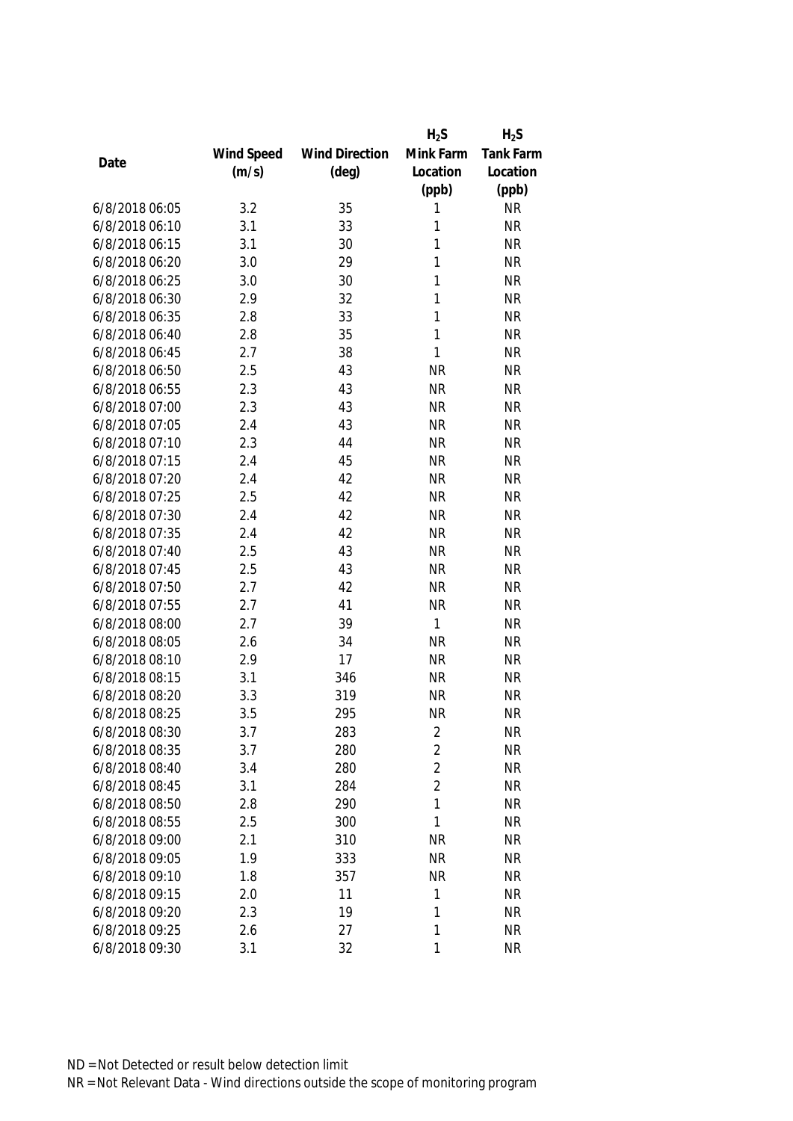|                |            |                       | $H_2S$         | $H_2S$           |
|----------------|------------|-----------------------|----------------|------------------|
|                | Wind Speed | <b>Wind Direction</b> | Mink Farm      | <b>Tank Farm</b> |
| Date           | (m/s)      | $(\text{deg})$        | Location       | Location         |
|                |            |                       | (ppb)          | (ppb)            |
| 6/8/2018 06:05 | 3.2        | 35                    | 1              | <b>NR</b>        |
| 6/8/2018 06:10 | 3.1        | 33                    | 1              | <b>NR</b>        |
| 6/8/2018 06:15 | 3.1        | 30                    | 1              | <b>NR</b>        |
| 6/8/2018 06:20 | 3.0        | 29                    | 1              | <b>NR</b>        |
| 6/8/2018 06:25 | 3.0        | 30                    | 1              | <b>NR</b>        |
| 6/8/2018 06:30 | 2.9        | 32                    | 1              | <b>NR</b>        |
| 6/8/2018 06:35 | 2.8        | 33                    | 1              | <b>NR</b>        |
| 6/8/2018 06:40 | 2.8        | 35                    | 1              | <b>NR</b>        |
| 6/8/2018 06:45 | 2.7        | 38                    | 1              | <b>NR</b>        |
| 6/8/2018 06:50 | 2.5        | 43                    | <b>NR</b>      | <b>NR</b>        |
| 6/8/2018 06:55 | 2.3        | 43                    | <b>NR</b>      | <b>NR</b>        |
| 6/8/2018 07:00 | 2.3        | 43                    | <b>NR</b>      | <b>NR</b>        |
| 6/8/2018 07:05 | 2.4        | 43                    | <b>NR</b>      | <b>NR</b>        |
| 6/8/2018 07:10 | 2.3        | 44                    | <b>NR</b>      | <b>NR</b>        |
| 6/8/2018 07:15 | 2.4        | 45                    | <b>NR</b>      | <b>NR</b>        |
| 6/8/2018 07:20 | 2.4        | 42                    | <b>NR</b>      | <b>NR</b>        |
| 6/8/2018 07:25 | 2.5        | 42                    | <b>NR</b>      | <b>NR</b>        |
| 6/8/2018 07:30 | 2.4        | 42                    | <b>NR</b>      | <b>NR</b>        |
| 6/8/2018 07:35 | 2.4        | 42                    | <b>NR</b>      | <b>NR</b>        |
| 6/8/2018 07:40 | 2.5        | 43                    | <b>NR</b>      | <b>NR</b>        |
| 6/8/2018 07:45 | 2.5        | 43                    | <b>NR</b>      | <b>NR</b>        |
| 6/8/2018 07:50 | 2.7        | 42                    | <b>NR</b>      | <b>NR</b>        |
| 6/8/2018 07:55 | 2.7        | 41                    | <b>NR</b>      | <b>NR</b>        |
| 6/8/2018 08:00 | 2.7        | 39                    | 1              | <b>NR</b>        |
| 6/8/2018 08:05 | 2.6        | 34                    | <b>NR</b>      | <b>NR</b>        |
| 6/8/2018 08:10 | 2.9        | 17                    | <b>NR</b>      | <b>NR</b>        |
| 6/8/2018 08:15 | 3.1        | 346                   | <b>NR</b>      | <b>NR</b>        |
| 6/8/2018 08:20 | 3.3        | 319                   | <b>NR</b>      | <b>NR</b>        |
| 6/8/2018 08:25 | 3.5        | 295                   | <b>NR</b>      | <b>NR</b>        |
| 6/8/2018 08:30 | 3.7        | 283                   | 2              | <b>NR</b>        |
| 6/8/2018 08:35 | 3.7        | 280                   | $\overline{2}$ | <b>NR</b>        |
| 6/8/2018 08:40 | 3.4        | 280                   | $\overline{2}$ | <b>NR</b>        |
| 6/8/2018 08:45 | 3.1        | 284                   | $\overline{2}$ | <b>NR</b>        |
| 6/8/2018 08:50 | 2.8        | 290                   | 1              | <b>NR</b>        |
| 6/8/2018 08:55 | 2.5        | 300                   | 1              | <b>NR</b>        |
| 6/8/2018 09:00 | 2.1        | 310                   | <b>NR</b>      | <b>NR</b>        |
| 6/8/2018 09:05 | 1.9        | 333                   | <b>NR</b>      | <b>NR</b>        |
| 6/8/2018 09:10 | 1.8        | 357                   | <b>NR</b>      | <b>NR</b>        |
| 6/8/2018 09:15 | 2.0        | 11                    | 1              | <b>NR</b>        |
| 6/8/2018 09:20 | 2.3        | 19                    | 1              | <b>NR</b>        |
| 6/8/2018 09:25 | 2.6        | 27                    | 1              | <b>NR</b>        |
| 6/8/2018 09:30 | 3.1        | 32                    | 1              | <b>NR</b>        |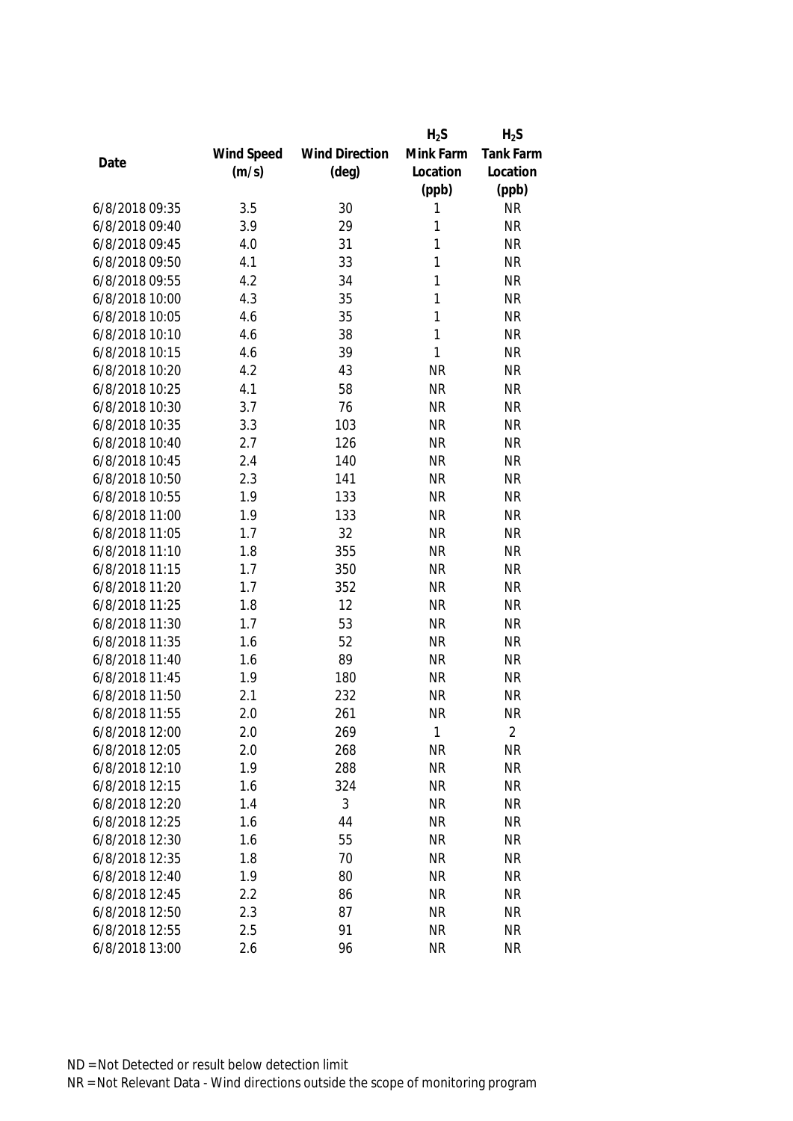|                |            |                       | $H_2S$    | $H_2S$           |
|----------------|------------|-----------------------|-----------|------------------|
|                | Wind Speed | <b>Wind Direction</b> | Mink Farm | <b>Tank Farm</b> |
| Date           | (m/s)      | $(\text{deg})$        | Location  | Location         |
|                |            |                       | (ppb)     | (ppb)            |
| 6/8/2018 09:35 | 3.5        | 30                    | 1         | <b>NR</b>        |
| 6/8/2018 09:40 | 3.9        | 29                    | 1         | <b>NR</b>        |
| 6/8/2018 09:45 | 4.0        | 31                    | 1         | <b>NR</b>        |
| 6/8/2018 09:50 | 4.1        | 33                    | 1         | <b>NR</b>        |
| 6/8/2018 09:55 | 4.2        | 34                    | 1         | <b>NR</b>        |
| 6/8/2018 10:00 | 4.3        | 35                    | 1         | <b>NR</b>        |
| 6/8/2018 10:05 | 4.6        | 35                    | 1         | <b>NR</b>        |
| 6/8/2018 10:10 | 4.6        | 38                    | 1         | <b>NR</b>        |
| 6/8/2018 10:15 | 4.6        | 39                    | 1         | <b>NR</b>        |
| 6/8/2018 10:20 | 4.2        | 43                    | <b>NR</b> | <b>NR</b>        |
| 6/8/2018 10:25 | 4.1        | 58                    | <b>NR</b> | <b>NR</b>        |
| 6/8/2018 10:30 | 3.7        | 76                    | <b>NR</b> | <b>NR</b>        |
| 6/8/2018 10:35 | 3.3        | 103                   | <b>NR</b> | <b>NR</b>        |
| 6/8/2018 10:40 | 2.7        | 126                   | <b>NR</b> | <b>NR</b>        |
| 6/8/2018 10:45 | 2.4        | 140                   | <b>NR</b> | <b>NR</b>        |
| 6/8/2018 10:50 | 2.3        | 141                   | <b>NR</b> | <b>NR</b>        |
| 6/8/2018 10:55 | 1.9        | 133                   | <b>NR</b> | <b>NR</b>        |
| 6/8/2018 11:00 | 1.9        | 133                   | <b>NR</b> | <b>NR</b>        |
| 6/8/2018 11:05 | 1.7        | 32                    | <b>NR</b> | <b>NR</b>        |
| 6/8/2018 11:10 | 1.8        | 355                   | <b>NR</b> | <b>NR</b>        |
| 6/8/2018 11:15 | 1.7        | 350                   | <b>NR</b> | <b>NR</b>        |
| 6/8/2018 11:20 | 1.7        | 352                   | <b>NR</b> | <b>NR</b>        |
| 6/8/2018 11:25 | 1.8        | 12                    | <b>NR</b> | <b>NR</b>        |
| 6/8/2018 11:30 | 1.7        | 53                    | <b>NR</b> | <b>NR</b>        |
| 6/8/2018 11:35 | 1.6        | 52                    | <b>NR</b> | <b>NR</b>        |
| 6/8/2018 11:40 | 1.6        | 89                    | <b>NR</b> | <b>NR</b>        |
| 6/8/2018 11:45 | 1.9        | 180                   | <b>NR</b> | <b>NR</b>        |
| 6/8/2018 11:50 | 2.1        | 232                   | <b>NR</b> | <b>NR</b>        |
| 6/8/2018 11:55 | 2.0        | 261                   | <b>NR</b> | <b>NR</b>        |
| 6/8/2018 12:00 | 2.0        | 269                   | 1         | $\overline{2}$   |
| 6/8/2018 12:05 | 2.0        | 268                   | <b>NR</b> | <b>NR</b>        |
| 6/8/2018 12:10 | 1.9        | 288                   | <b>NR</b> | <b>NR</b>        |
| 6/8/2018 12:15 | 1.6        | 324                   | <b>NR</b> | <b>NR</b>        |
| 6/8/2018 12:20 | 1.4        | 3                     | <b>NR</b> | <b>NR</b>        |
| 6/8/2018 12:25 | 1.6        | 44                    | <b>NR</b> | <b>NR</b>        |
| 6/8/2018 12:30 | 1.6        | 55                    | <b>NR</b> | <b>NR</b>        |
| 6/8/2018 12:35 | 1.8        | 70                    | <b>NR</b> | <b>NR</b>        |
| 6/8/2018 12:40 | 1.9        | 80                    | <b>NR</b> | <b>NR</b>        |
| 6/8/2018 12:45 | 2.2        | 86                    | <b>NR</b> | <b>NR</b>        |
| 6/8/2018 12:50 | 2.3        | 87                    | <b>NR</b> | <b>NR</b>        |
| 6/8/2018 12:55 | 2.5        | 91                    | <b>NR</b> | <b>NR</b>        |
| 6/8/2018 13:00 | 2.6        | 96                    | <b>NR</b> | <b>NR</b>        |
|                |            |                       |           |                  |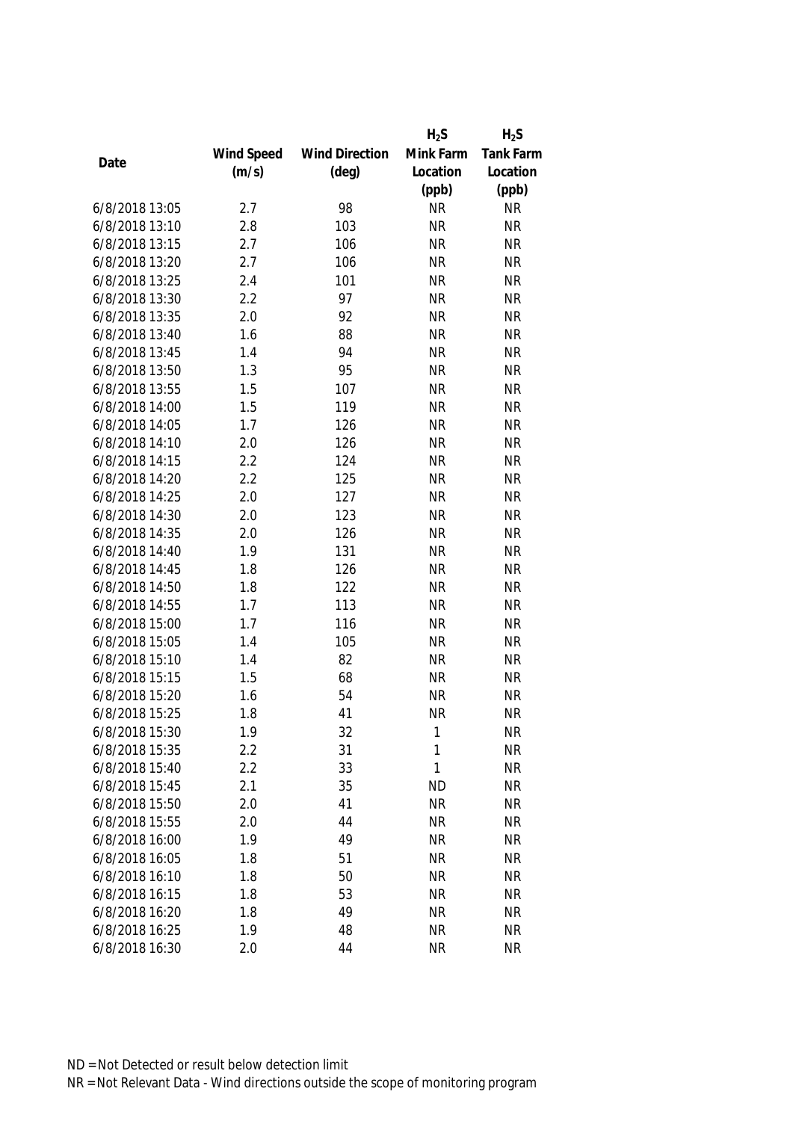|                |            |                       | $H_2S$    | $H_2S$           |
|----------------|------------|-----------------------|-----------|------------------|
|                | Wind Speed | <b>Wind Direction</b> | Mink Farm | <b>Tank Farm</b> |
| Date           | (m/s)      | $(\text{deg})$        | Location  | Location         |
|                |            |                       | (ppb)     | (ppb)            |
| 6/8/2018 13:05 | 2.7        | 98                    | <b>NR</b> | <b>NR</b>        |
| 6/8/2018 13:10 | 2.8        | 103                   | <b>NR</b> | <b>NR</b>        |
| 6/8/2018 13:15 | 2.7        | 106                   | <b>NR</b> | <b>NR</b>        |
| 6/8/2018 13:20 | 2.7        | 106                   | <b>NR</b> | <b>NR</b>        |
| 6/8/2018 13:25 | 2.4        | 101                   | <b>NR</b> | <b>NR</b>        |
| 6/8/2018 13:30 | 2.2        | 97                    | <b>NR</b> | <b>NR</b>        |
| 6/8/2018 13:35 | 2.0        | 92                    | <b>NR</b> | <b>NR</b>        |
| 6/8/2018 13:40 | 1.6        | 88                    | <b>NR</b> | <b>NR</b>        |
| 6/8/2018 13:45 | 1.4        | 94                    | <b>NR</b> | <b>NR</b>        |
| 6/8/2018 13:50 | 1.3        | 95                    | <b>NR</b> | <b>NR</b>        |
| 6/8/2018 13:55 | 1.5        | 107                   | <b>NR</b> | <b>NR</b>        |
| 6/8/2018 14:00 | 1.5        | 119                   | <b>NR</b> | <b>NR</b>        |
| 6/8/2018 14:05 | 1.7        | 126                   | <b>NR</b> | <b>NR</b>        |
| 6/8/2018 14:10 | 2.0        | 126                   | <b>NR</b> | <b>NR</b>        |
| 6/8/2018 14:15 | 2.2        | 124                   | <b>NR</b> | <b>NR</b>        |
| 6/8/2018 14:20 | 2.2        | 125                   | <b>NR</b> | <b>NR</b>        |
| 6/8/2018 14:25 | 2.0        | 127                   | <b>NR</b> | <b>NR</b>        |
| 6/8/2018 14:30 | 2.0        | 123                   | <b>NR</b> | <b>NR</b>        |
| 6/8/2018 14:35 | 2.0        | 126                   | <b>NR</b> | <b>NR</b>        |
| 6/8/2018 14:40 | 1.9        | 131                   | <b>NR</b> | <b>NR</b>        |
| 6/8/2018 14:45 | 1.8        | 126                   | <b>NR</b> | <b>NR</b>        |
| 6/8/2018 14:50 | 1.8        | 122                   | <b>NR</b> | <b>NR</b>        |
| 6/8/2018 14:55 | 1.7        | 113                   | <b>NR</b> | <b>NR</b>        |
| 6/8/2018 15:00 | 1.7        | 116                   | <b>NR</b> | <b>NR</b>        |
| 6/8/2018 15:05 | 1.4        | 105                   | <b>NR</b> | <b>NR</b>        |
| 6/8/2018 15:10 | 1.4        | 82                    | <b>NR</b> | <b>NR</b>        |
| 6/8/2018 15:15 | 1.5        | 68                    | <b>NR</b> | <b>NR</b>        |
| 6/8/2018 15:20 | 1.6        | 54                    | <b>NR</b> | <b>NR</b>        |
| 6/8/2018 15:25 | 1.8        | 41                    | <b>NR</b> | <b>NR</b>        |
| 6/8/2018 15:30 | 1.9        | 32                    | 1         | <b>NR</b>        |
| 6/8/2018 15:35 | 2.2        | 31                    | 1         | <b>NR</b>        |
| 6/8/2018 15:40 | 2.2        | 33                    | 1         | <b>NR</b>        |
| 6/8/2018 15:45 | 2.1        | 35                    | <b>ND</b> | <b>NR</b>        |
| 6/8/2018 15:50 | 2.0        | 41                    | <b>NR</b> | <b>NR</b>        |
| 6/8/2018 15:55 | 2.0        | 44                    | <b>NR</b> | <b>NR</b>        |
| 6/8/2018 16:00 | 1.9        | 49                    | <b>NR</b> | <b>NR</b>        |
| 6/8/2018 16:05 | 1.8        | 51                    | <b>NR</b> | <b>NR</b>        |
| 6/8/2018 16:10 | 1.8        | 50                    | <b>NR</b> | <b>NR</b>        |
| 6/8/2018 16:15 | 1.8        | 53                    | <b>NR</b> | <b>NR</b>        |
| 6/8/2018 16:20 | 1.8        | 49                    | <b>NR</b> | <b>NR</b>        |
| 6/8/2018 16:25 | 1.9        | 48                    | <b>NR</b> | <b>NR</b>        |
| 6/8/2018 16:30 | 2.0        | 44                    | <b>NR</b> | <b>NR</b>        |
|                |            |                       |           |                  |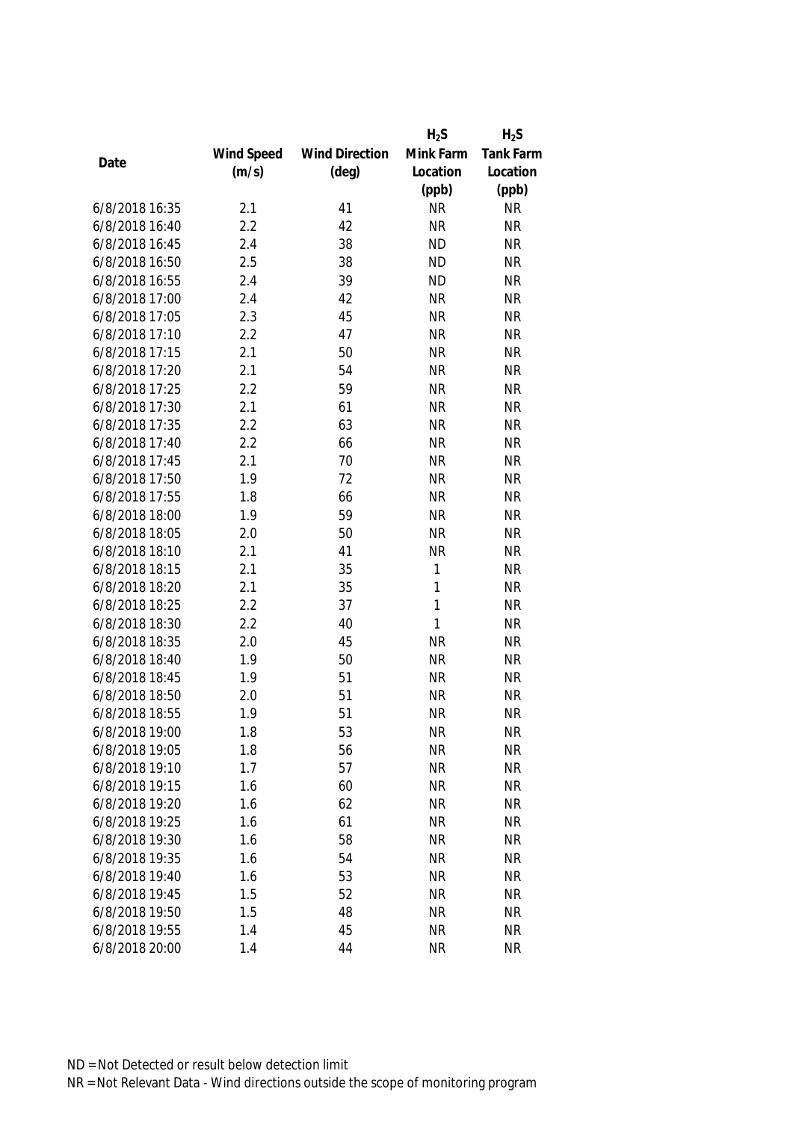|                |            |                       | $H_2S$       | $H_2S$           |
|----------------|------------|-----------------------|--------------|------------------|
|                | Wind Speed | <b>Wind Direction</b> | Mink Farm    | <b>Tank Farm</b> |
| Date           | (m/s)      | $(\text{deg})$        | Location     | Location         |
|                |            |                       | (ppb)        | (ppb)            |
| 6/8/2018 16:35 | 2.1        | 41                    | <b>NR</b>    | <b>NR</b>        |
| 6/8/2018 16:40 | 2.2        | 42                    | <b>NR</b>    | <b>NR</b>        |
| 6/8/2018 16:45 | 2.4        | 38                    | <b>ND</b>    | <b>NR</b>        |
| 6/8/2018 16:50 | 2.5        | 38                    | <b>ND</b>    | <b>NR</b>        |
| 6/8/2018 16:55 | 2.4        | 39                    | <b>ND</b>    | <b>NR</b>        |
| 6/8/2018 17:00 | 2.4        | 42                    | <b>NR</b>    | <b>NR</b>        |
| 6/8/2018 17:05 | 2.3        | 45                    | <b>NR</b>    | <b>NR</b>        |
| 6/8/2018 17:10 | 2.2        | 47                    | <b>NR</b>    | <b>NR</b>        |
| 6/8/2018 17:15 | 2.1        | 50                    | <b>NR</b>    | <b>NR</b>        |
| 6/8/2018 17:20 | 2.1        | 54                    | <b>NR</b>    | <b>NR</b>        |
| 6/8/2018 17:25 | 2.2        | 59                    | <b>NR</b>    | <b>NR</b>        |
| 6/8/2018 17:30 | 2.1        | 61                    | <b>NR</b>    | <b>NR</b>        |
| 6/8/2018 17:35 | 2.2        | 63                    | <b>NR</b>    | <b>NR</b>        |
| 6/8/2018 17:40 | 2.2        | 66                    | <b>NR</b>    | <b>NR</b>        |
| 6/8/2018 17:45 | 2.1        | 70                    | <b>NR</b>    | <b>NR</b>        |
| 6/8/2018 17:50 | 1.9        | 72                    | <b>NR</b>    | <b>NR</b>        |
| 6/8/2018 17:55 | 1.8        | 66                    | <b>NR</b>    | <b>NR</b>        |
| 6/8/2018 18:00 | 1.9        | 59                    | <b>NR</b>    | <b>NR</b>        |
| 6/8/2018 18:05 | 2.0        | 50                    | <b>NR</b>    | <b>NR</b>        |
| 6/8/2018 18:10 | 2.1        | 41                    | <b>NR</b>    | <b>NR</b>        |
| 6/8/2018 18:15 | 2.1        | 35                    | 1            | <b>NR</b>        |
| 6/8/2018 18:20 | 2.1        | 35                    | 1            | <b>NR</b>        |
| 6/8/2018 18:25 | 2.2        | 37                    | $\mathbf{1}$ | <b>NR</b>        |
| 6/8/2018 18:30 | 2.2        | 40                    | $\mathbf{1}$ | <b>NR</b>        |
| 6/8/2018 18:35 | 2.0        | 45                    | <b>NR</b>    | <b>NR</b>        |
| 6/8/2018 18:40 | 1.9        | 50                    | <b>NR</b>    | <b>NR</b>        |
| 6/8/2018 18:45 | 1.9        | 51                    | <b>NR</b>    | <b>NR</b>        |
| 6/8/2018 18:50 | 2.0        | 51                    | <b>NR</b>    | <b>NR</b>        |
| 6/8/2018 18:55 | 1.9        | 51                    | <b>NR</b>    | <b>NR</b>        |
| 6/8/2018 19:00 | 1.8        | 53                    | <b>NR</b>    | <b>NR</b>        |
| 6/8/2018 19:05 | 1.8        | 56                    | <b>NR</b>    | <b>NR</b>        |
| 6/8/2018 19:10 | 1.7        | 57                    | <b>NR</b>    | <b>NR</b>        |
| 6/8/2018 19:15 | 1.6        | 60                    | <b>NR</b>    | <b>NR</b>        |
| 6/8/2018 19:20 | 1.6        | 62                    | <b>NR</b>    | <b>NR</b>        |
| 6/8/2018 19:25 | 1.6        | 61                    | <b>NR</b>    | <b>NR</b>        |
| 6/8/2018 19:30 | 1.6        | 58                    | <b>NR</b>    | <b>NR</b>        |
| 6/8/2018 19:35 | 1.6        | 54                    | <b>NR</b>    | <b>NR</b>        |
| 6/8/2018 19:40 | 1.6        | 53                    | <b>NR</b>    | <b>NR</b>        |
| 6/8/2018 19:45 | 1.5        | 52                    | <b>NR</b>    | <b>NR</b>        |
| 6/8/2018 19:50 | 1.5        | 48                    | <b>NR</b>    | <b>NR</b>        |
| 6/8/2018 19:55 | 1.4        | 45                    | <b>NR</b>    | <b>NR</b>        |
| 6/8/2018 20:00 | 1.4        | 44                    | <b>NR</b>    | <b>NR</b>        |
|                |            |                       |              |                  |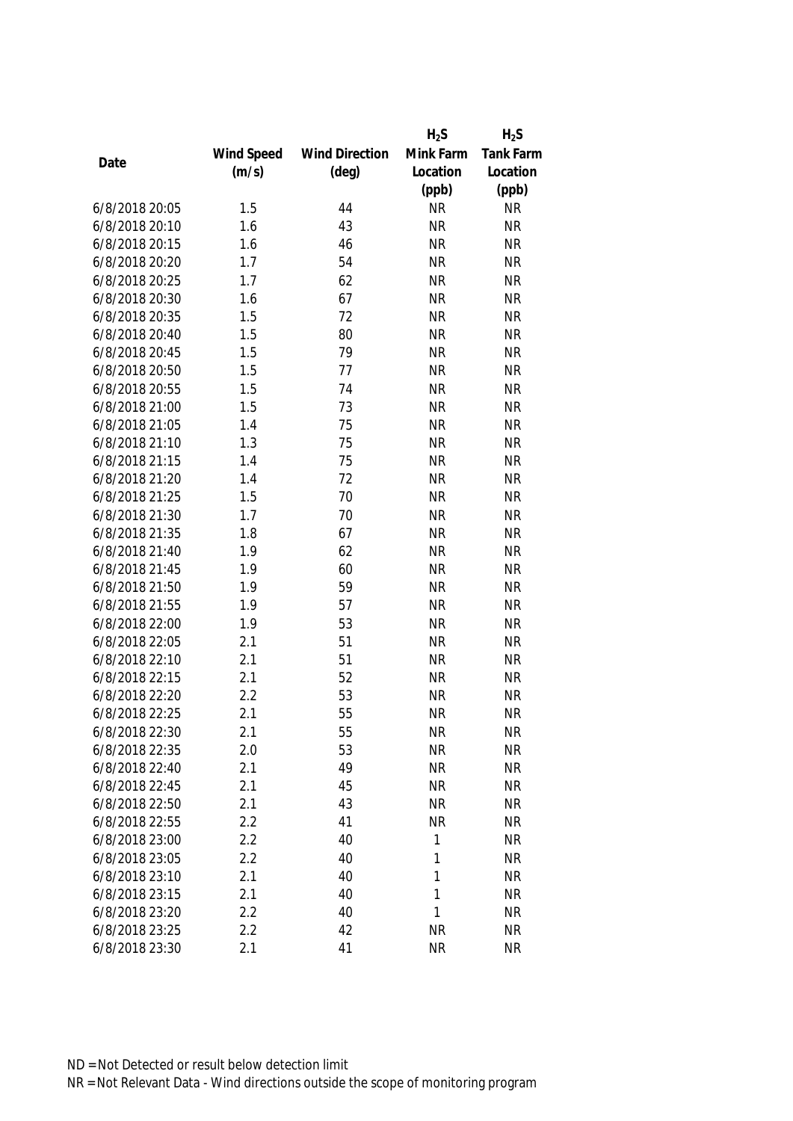|                |            |                       | $H_2S$    | $H_2S$           |
|----------------|------------|-----------------------|-----------|------------------|
|                | Wind Speed | <b>Wind Direction</b> | Mink Farm | <b>Tank Farm</b> |
| Date           | (m/s)      | $(\text{deg})$        | Location  | Location         |
|                |            |                       | (ppb)     | (ppb)            |
| 6/8/2018 20:05 | 1.5        | 44                    | <b>NR</b> | <b>NR</b>        |
| 6/8/2018 20:10 | 1.6        | 43                    | <b>NR</b> | <b>NR</b>        |
| 6/8/2018 20:15 | 1.6        | 46                    | <b>NR</b> | <b>NR</b>        |
| 6/8/2018 20:20 | 1.7        | 54                    | <b>NR</b> | <b>NR</b>        |
| 6/8/2018 20:25 | 1.7        | 62                    | <b>NR</b> | <b>NR</b>        |
| 6/8/2018 20:30 | 1.6        | 67                    | <b>NR</b> | <b>NR</b>        |
| 6/8/2018 20:35 | 1.5        | 72                    | <b>NR</b> | <b>NR</b>        |
| 6/8/2018 20:40 | 1.5        | 80                    | <b>NR</b> | <b>NR</b>        |
| 6/8/2018 20:45 | 1.5        | 79                    | <b>NR</b> | <b>NR</b>        |
| 6/8/2018 20:50 | 1.5        | 77                    | <b>NR</b> | <b>NR</b>        |
| 6/8/2018 20:55 | 1.5        | 74                    | <b>NR</b> | <b>NR</b>        |
| 6/8/2018 21:00 | 1.5        | 73                    | <b>NR</b> | <b>NR</b>        |
| 6/8/2018 21:05 | 1.4        | 75                    | <b>NR</b> | <b>NR</b>        |
| 6/8/2018 21:10 | 1.3        | 75                    | <b>NR</b> | <b>NR</b>        |
| 6/8/2018 21:15 | 1.4        | 75                    | <b>NR</b> | <b>NR</b>        |
| 6/8/2018 21:20 | 1.4        | 72                    | <b>NR</b> | <b>NR</b>        |
| 6/8/2018 21:25 | 1.5        | 70                    | <b>NR</b> | <b>NR</b>        |
| 6/8/2018 21:30 | 1.7        | 70                    | <b>NR</b> | <b>NR</b>        |
| 6/8/2018 21:35 | 1.8        | 67                    | <b>NR</b> | <b>NR</b>        |
| 6/8/2018 21:40 | 1.9        | 62                    | <b>NR</b> | <b>NR</b>        |
| 6/8/2018 21:45 | 1.9        | 60                    | <b>NR</b> | <b>NR</b>        |
| 6/8/2018 21:50 | 1.9        | 59                    | <b>NR</b> | <b>NR</b>        |
| 6/8/2018 21:55 | 1.9        | 57                    | <b>NR</b> | <b>NR</b>        |
| 6/8/2018 22:00 | 1.9        | 53                    | <b>NR</b> | <b>NR</b>        |
| 6/8/2018 22:05 | 2.1        | 51                    | <b>NR</b> | <b>NR</b>        |
| 6/8/2018 22:10 | 2.1        | 51                    | <b>NR</b> | <b>NR</b>        |
| 6/8/2018 22:15 | 2.1        | 52                    | <b>NR</b> | <b>NR</b>        |
| 6/8/2018 22:20 | 2.2        | 53                    | <b>NR</b> | <b>NR</b>        |
| 6/8/2018 22:25 | 2.1        | 55                    | <b>NR</b> | <b>NR</b>        |
| 6/8/2018 22:30 | 2.1        | 55                    | <b>NR</b> | <b>NR</b>        |
| 6/8/2018 22:35 | 2.0        | 53                    | <b>NR</b> | <b>NR</b>        |
| 6/8/2018 22:40 | 2.1        | 49                    | <b>NR</b> | <b>NR</b>        |
| 6/8/2018 22:45 | 2.1        | 45                    | <b>NR</b> | <b>NR</b>        |
| 6/8/2018 22:50 | 2.1        | 43                    | <b>NR</b> | <b>NR</b>        |
| 6/8/2018 22:55 | 2.2        | 41                    | <b>NR</b> | <b>NR</b>        |
| 6/8/2018 23:00 | 2.2        | 40                    | 1         | <b>NR</b>        |
| 6/8/2018 23:05 | 2.2        | 40                    | 1         | <b>NR</b>        |
| 6/8/2018 23:10 | 2.1        | 40                    | 1         | <b>NR</b>        |
| 6/8/2018 23:15 | 2.1        | 40                    | 1         | <b>NR</b>        |
| 6/8/2018 23:20 | 2.2        | 40                    | 1         | <b>NR</b>        |
| 6/8/2018 23:25 | 2.2        | 42                    | <b>NR</b> | <b>NR</b>        |
| 6/8/2018 23:30 | 2.1        | 41                    | <b>NR</b> | <b>NR</b>        |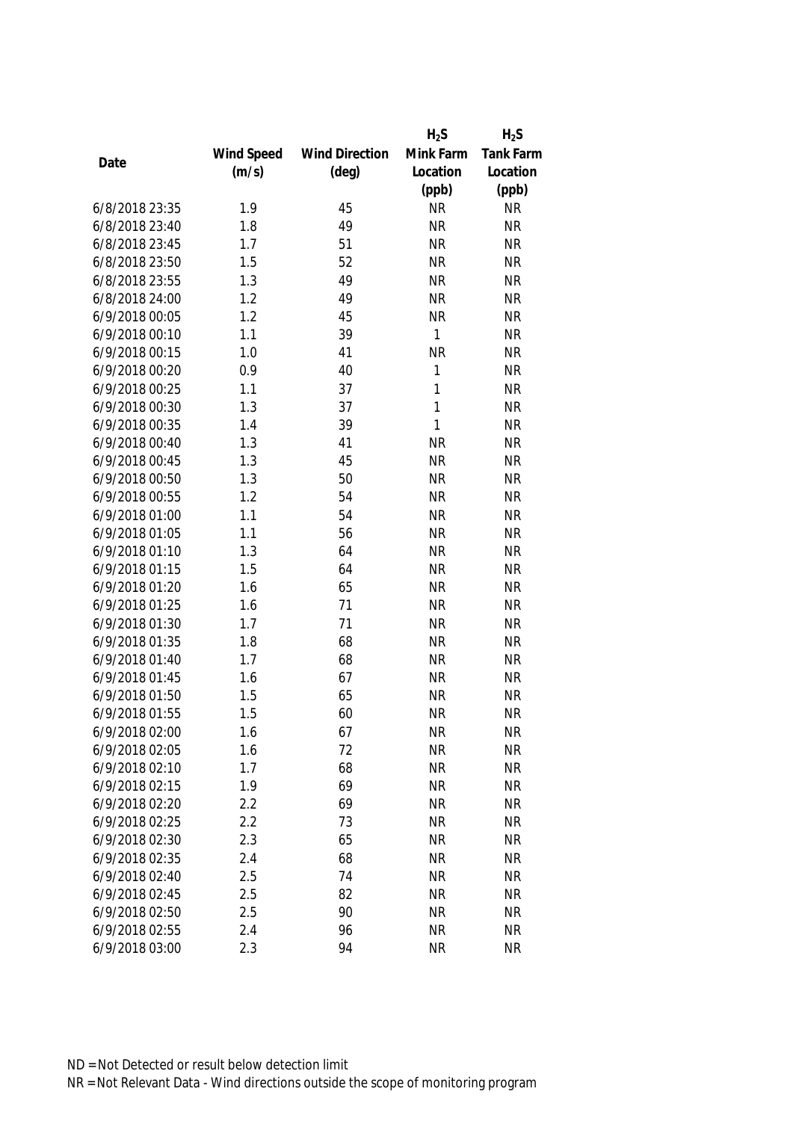|                |            |                       | $H_2S$    | $H_2S$    |
|----------------|------------|-----------------------|-----------|-----------|
|                | Wind Speed | <b>Wind Direction</b> | Mink Farm | Tank Farm |
| Date           | (m/s)      | $(\text{deg})$        | Location  | Location  |
|                |            |                       | (ppb)     | (ppb)     |
| 6/8/2018 23:35 | 1.9        | 45                    | <b>NR</b> | <b>NR</b> |
| 6/8/2018 23:40 | 1.8        | 49                    | <b>NR</b> | <b>NR</b> |
| 6/8/2018 23:45 | 1.7        | 51                    | <b>NR</b> | <b>NR</b> |
| 6/8/2018 23:50 | 1.5        | 52                    | <b>NR</b> | <b>NR</b> |
| 6/8/2018 23:55 | 1.3        | 49                    | <b>NR</b> | <b>NR</b> |
| 6/8/2018 24:00 | 1.2        | 49                    | <b>NR</b> | <b>NR</b> |
| 6/9/2018 00:05 | 1.2        | 45                    | <b>NR</b> | <b>NR</b> |
| 6/9/2018 00:10 | 1.1        | 39                    | 1         | <b>NR</b> |
| 6/9/2018 00:15 | 1.0        | 41                    | <b>NR</b> | <b>NR</b> |
| 6/9/2018 00:20 | 0.9        | 40                    | 1         | <b>NR</b> |
| 6/9/2018 00:25 | 1.1        | 37                    | 1         | <b>NR</b> |
| 6/9/2018 00:30 | 1.3        | 37                    | 1         | <b>NR</b> |
| 6/9/2018 00:35 | 1.4        | 39                    | 1         | <b>NR</b> |
| 6/9/2018 00:40 | 1.3        | 41                    | <b>NR</b> | <b>NR</b> |
| 6/9/2018 00:45 | 1.3        | 45                    | <b>NR</b> | <b>NR</b> |
| 6/9/2018 00:50 | 1.3        | 50                    | <b>NR</b> | <b>NR</b> |
| 6/9/2018 00:55 | 1.2        | 54                    | <b>NR</b> | <b>NR</b> |
| 6/9/2018 01:00 | 1.1        | 54                    | <b>NR</b> | <b>NR</b> |
| 6/9/2018 01:05 | 1.1        | 56                    | <b>NR</b> | <b>NR</b> |
| 6/9/2018 01:10 | 1.3        | 64                    | <b>NR</b> | <b>NR</b> |
| 6/9/2018 01:15 | 1.5        | 64                    | <b>NR</b> | <b>NR</b> |
| 6/9/2018 01:20 | 1.6        | 65                    | <b>NR</b> | <b>NR</b> |
| 6/9/2018 01:25 | 1.6        | 71                    | <b>NR</b> | <b>NR</b> |
| 6/9/2018 01:30 | 1.7        | 71                    | <b>NR</b> | <b>NR</b> |
| 6/9/2018 01:35 | 1.8        | 68                    | <b>NR</b> | <b>NR</b> |
| 6/9/2018 01:40 | 1.7        | 68                    | <b>NR</b> | <b>NR</b> |
| 6/9/2018 01:45 | 1.6        | 67                    | <b>NR</b> | <b>NR</b> |
| 6/9/2018 01:50 | 1.5        | 65                    | <b>NR</b> | <b>NR</b> |
| 6/9/2018 01:55 | 1.5        | 60                    | <b>NR</b> | <b>NR</b> |
| 6/9/2018 02:00 | 1.6        | 67                    | <b>NR</b> | <b>NR</b> |
| 6/9/2018 02:05 | 1.6        | 72                    | <b>NR</b> | <b>NR</b> |
| 6/9/2018 02:10 | 1.7        | 68                    | <b>NR</b> | <b>NR</b> |
| 6/9/2018 02:15 | 1.9        | 69                    | <b>NR</b> | <b>NR</b> |
| 6/9/2018 02:20 | 2.2        | 69                    | <b>NR</b> | <b>NR</b> |
| 6/9/2018 02:25 | 2.2        | 73                    | <b>NR</b> | <b>NR</b> |
| 6/9/2018 02:30 | 2.3        | 65                    | <b>NR</b> | <b>NR</b> |
| 6/9/2018 02:35 | 2.4        | 68                    | <b>NR</b> | <b>NR</b> |
| 6/9/2018 02:40 | 2.5        | 74                    | <b>NR</b> | <b>NR</b> |
| 6/9/2018 02:45 | 2.5        | 82                    | <b>NR</b> | <b>NR</b> |
| 6/9/2018 02:50 | 2.5        | 90                    | <b>NR</b> | <b>NR</b> |
| 6/9/2018 02:55 | 2.4        | 96                    | <b>NR</b> | <b>NR</b> |
| 6/9/2018 03:00 | 2.3        | 94                    | <b>NR</b> | <b>NR</b> |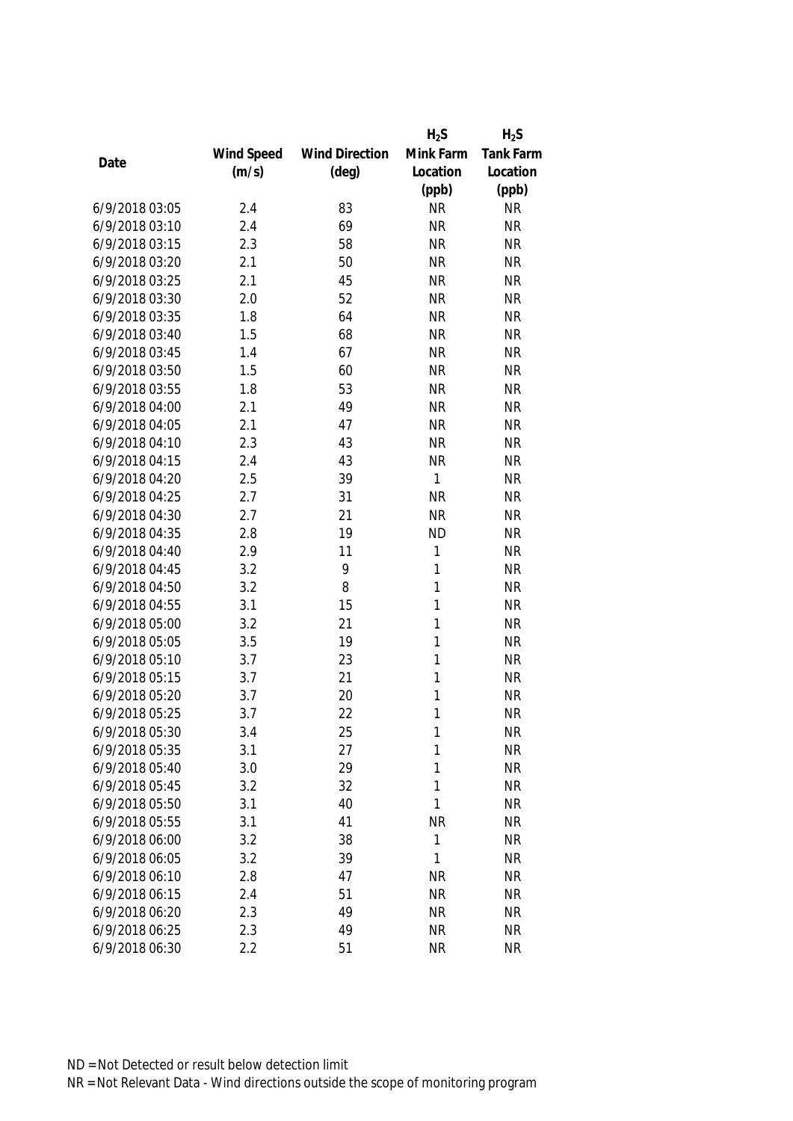|                |            |                       | $H_2S$       | $H_2S$           |
|----------------|------------|-----------------------|--------------|------------------|
|                | Wind Speed | <b>Wind Direction</b> | Mink Farm    | <b>Tank Farm</b> |
| Date           | (m/s)      | $(\text{deg})$        | Location     | Location         |
|                |            |                       | (ppb)        | (ppb)            |
| 6/9/2018 03:05 | 2.4        | 83                    | <b>NR</b>    | <b>NR</b>        |
| 6/9/2018 03:10 | 2.4        | 69                    | <b>NR</b>    | <b>NR</b>        |
| 6/9/2018 03:15 | 2.3        | 58                    | <b>NR</b>    | <b>NR</b>        |
| 6/9/2018 03:20 | 2.1        | 50                    | <b>NR</b>    | <b>NR</b>        |
| 6/9/2018 03:25 | 2.1        | 45                    | <b>NR</b>    | <b>NR</b>        |
| 6/9/2018 03:30 | 2.0        | 52                    | <b>NR</b>    | <b>NR</b>        |
| 6/9/2018 03:35 | 1.8        | 64                    | <b>NR</b>    | <b>NR</b>        |
| 6/9/2018 03:40 | 1.5        | 68                    | <b>NR</b>    | <b>NR</b>        |
| 6/9/2018 03:45 | 1.4        | 67                    | <b>NR</b>    | <b>NR</b>        |
| 6/9/2018 03:50 | 1.5        | 60                    | <b>NR</b>    | <b>NR</b>        |
| 6/9/2018 03:55 | 1.8        | 53                    | <b>NR</b>    | <b>NR</b>        |
| 6/9/2018 04:00 | 2.1        | 49                    | <b>NR</b>    | <b>NR</b>        |
| 6/9/2018 04:05 | 2.1        | 47                    | <b>NR</b>    | <b>NR</b>        |
| 6/9/2018 04:10 | 2.3        | 43                    | <b>NR</b>    | <b>NR</b>        |
| 6/9/2018 04:15 | 2.4        | 43                    | <b>NR</b>    | <b>NR</b>        |
| 6/9/2018 04:20 | 2.5        | 39                    | $\mathbf{1}$ | <b>NR</b>        |
| 6/9/2018 04:25 | 2.7        | 31                    | <b>NR</b>    | <b>NR</b>        |
| 6/9/2018 04:30 | 2.7        | 21                    | <b>NR</b>    | <b>NR</b>        |
| 6/9/2018 04:35 | 2.8        | 19                    | <b>ND</b>    | <b>NR</b>        |
| 6/9/2018 04:40 | 2.9        | 11                    | 1            | <b>NR</b>        |
| 6/9/2018 04:45 | 3.2        | 9                     | 1            | <b>NR</b>        |
| 6/9/2018 04:50 | 3.2        | 8                     | $\mathbf{1}$ | <b>NR</b>        |
| 6/9/2018 04:55 | 3.1        | 15                    | 1            | <b>NR</b>        |
| 6/9/2018 05:00 | 3.2        | 21                    | 1            | <b>NR</b>        |
| 6/9/2018 05:05 | 3.5        | 19                    | 1            | <b>NR</b>        |
| 6/9/2018 05:10 | 3.7        | 23                    | 1            | <b>NR</b>        |
| 6/9/2018 05:15 | 3.7        | 21                    | 1            | <b>NR</b>        |
| 6/9/2018 05:20 | 3.7        | 20                    | 1            | <b>NR</b>        |
| 6/9/2018 05:25 | 3.7        | 22                    | 1            | <b>NR</b>        |
| 6/9/2018 05:30 | 3.4        | 25                    | 1            | <b>NR</b>        |
| 6/9/2018 05:35 | 3.1        | 27                    | 1            | <b>NR</b>        |
| 6/9/2018 05:40 | 3.0        | 29                    | 1            | <b>NR</b>        |
| 6/9/2018 05:45 | 3.2        | 32                    | 1            | <b>NR</b>        |
| 6/9/2018 05:50 | 3.1        | 40                    | 1            | <b>NR</b>        |
| 6/9/2018 05:55 | 3.1        | 41                    | <b>NR</b>    | <b>NR</b>        |
| 6/9/2018 06:00 | 3.2        | 38                    | 1            | <b>NR</b>        |
| 6/9/2018 06:05 | 3.2        | 39                    | 1            | <b>NR</b>        |
| 6/9/2018 06:10 | 2.8        | 47                    | <b>NR</b>    | <b>NR</b>        |
| 6/9/2018 06:15 | 2.4        | 51                    | <b>NR</b>    | <b>NR</b>        |
| 6/9/2018 06:20 | 2.3        | 49                    | <b>NR</b>    | <b>NR</b>        |
| 6/9/2018 06:25 | 2.3        | 49                    | <b>NR</b>    | <b>NR</b>        |
| 6/9/2018 06:30 | 2.2        | 51                    | <b>NR</b>    | <b>NR</b>        |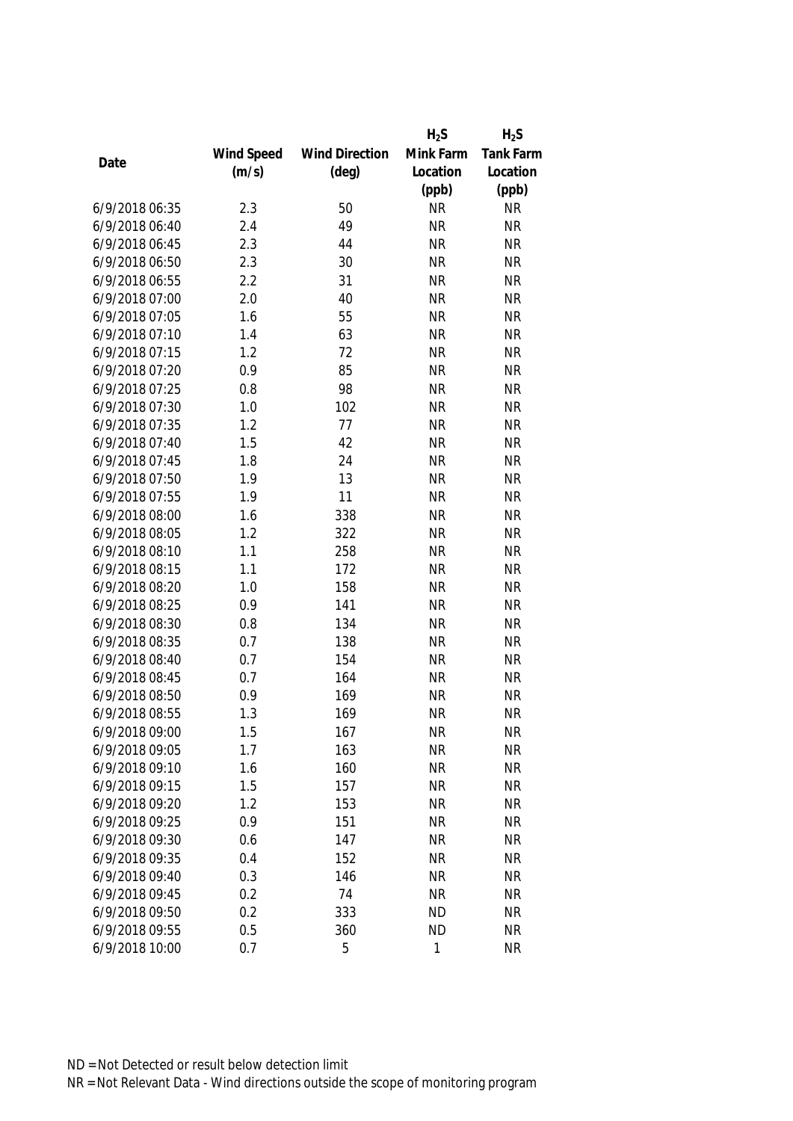|                |            |                       | $H_2S$    | $H_2S$           |
|----------------|------------|-----------------------|-----------|------------------|
|                | Wind Speed | <b>Wind Direction</b> | Mink Farm | <b>Tank Farm</b> |
| Date           | (m/s)      | $(\text{deg})$        | Location  | Location         |
|                |            |                       | (ppb)     | (ppb)            |
| 6/9/2018 06:35 | 2.3        | 50                    | <b>NR</b> | <b>NR</b>        |
| 6/9/2018 06:40 | 2.4        | 49                    | <b>NR</b> | <b>NR</b>        |
| 6/9/2018 06:45 | 2.3        | 44                    | <b>NR</b> | <b>NR</b>        |
| 6/9/2018 06:50 | 2.3        | 30                    | <b>NR</b> | <b>NR</b>        |
| 6/9/2018 06:55 | 2.2        | 31                    | <b>NR</b> | <b>NR</b>        |
| 6/9/2018 07:00 | 2.0        | 40                    | <b>NR</b> | <b>NR</b>        |
| 6/9/2018 07:05 | 1.6        | 55                    | <b>NR</b> | <b>NR</b>        |
| 6/9/2018 07:10 | 1.4        | 63                    | <b>NR</b> | <b>NR</b>        |
| 6/9/2018 07:15 | 1.2        | 72                    | <b>NR</b> | <b>NR</b>        |
| 6/9/2018 07:20 | 0.9        | 85                    | <b>NR</b> | <b>NR</b>        |
| 6/9/2018 07:25 | 0.8        | 98                    | <b>NR</b> | <b>NR</b>        |
| 6/9/2018 07:30 | 1.0        | 102                   | <b>NR</b> | <b>NR</b>        |
| 6/9/2018 07:35 | 1.2        | 77                    | <b>NR</b> | <b>NR</b>        |
| 6/9/2018 07:40 | 1.5        | 42                    | <b>NR</b> | <b>NR</b>        |
| 6/9/2018 07:45 | 1.8        | 24                    | <b>NR</b> | <b>NR</b>        |
| 6/9/2018 07:50 | 1.9        | 13                    | <b>NR</b> | <b>NR</b>        |
| 6/9/2018 07:55 | 1.9        | 11                    | <b>NR</b> | <b>NR</b>        |
| 6/9/2018 08:00 | 1.6        | 338                   | <b>NR</b> | <b>NR</b>        |
| 6/9/2018 08:05 | 1.2        | 322                   | <b>NR</b> | <b>NR</b>        |
| 6/9/2018 08:10 | 1.1        | 258                   | <b>NR</b> | <b>NR</b>        |
| 6/9/2018 08:15 | 1.1        | 172                   | <b>NR</b> | <b>NR</b>        |
| 6/9/2018 08:20 | 1.0        | 158                   | <b>NR</b> | <b>NR</b>        |
| 6/9/2018 08:25 | 0.9        | 141                   | <b>NR</b> | <b>NR</b>        |
| 6/9/2018 08:30 | 0.8        | 134                   | <b>NR</b> | <b>NR</b>        |
| 6/9/2018 08:35 | 0.7        | 138                   | <b>NR</b> | <b>NR</b>        |
| 6/9/2018 08:40 | 0.7        | 154                   | <b>NR</b> | <b>NR</b>        |
| 6/9/2018 08:45 | 0.7        | 164                   | <b>NR</b> | <b>NR</b>        |
| 6/9/2018 08:50 | 0.9        | 169                   | <b>NR</b> | <b>NR</b>        |
| 6/9/2018 08:55 | 1.3        | 169                   | <b>NR</b> | <b>NR</b>        |
| 6/9/2018 09:00 | 1.5        | 167                   | <b>NR</b> | <b>NR</b>        |
| 6/9/2018 09:05 | 1.7        | 163                   | <b>NR</b> | <b>NR</b>        |
| 6/9/2018 09:10 | 1.6        | 160                   | <b>NR</b> | <b>NR</b>        |
| 6/9/2018 09:15 | 1.5        | 157                   | <b>NR</b> | <b>NR</b>        |
| 6/9/2018 09:20 | 1.2        | 153                   | <b>NR</b> | <b>NR</b>        |
| 6/9/2018 09:25 | 0.9        | 151                   | <b>NR</b> | <b>NR</b>        |
| 6/9/2018 09:30 | 0.6        | 147                   | <b>NR</b> | <b>NR</b>        |
| 6/9/2018 09:35 | 0.4        | 152                   | <b>NR</b> | <b>NR</b>        |
| 6/9/2018 09:40 | 0.3        | 146                   | <b>NR</b> | <b>NR</b>        |
| 6/9/2018 09:45 | 0.2        | 74                    | <b>NR</b> | <b>NR</b>        |
| 6/9/2018 09:50 | 0.2        | 333                   | <b>ND</b> | <b>NR</b>        |
| 6/9/2018 09:55 | 0.5        | 360                   | <b>ND</b> | <b>NR</b>        |
| 6/9/2018 10:00 | 0.7        | 5                     | 1         | <b>NR</b>        |
|                |            |                       |           |                  |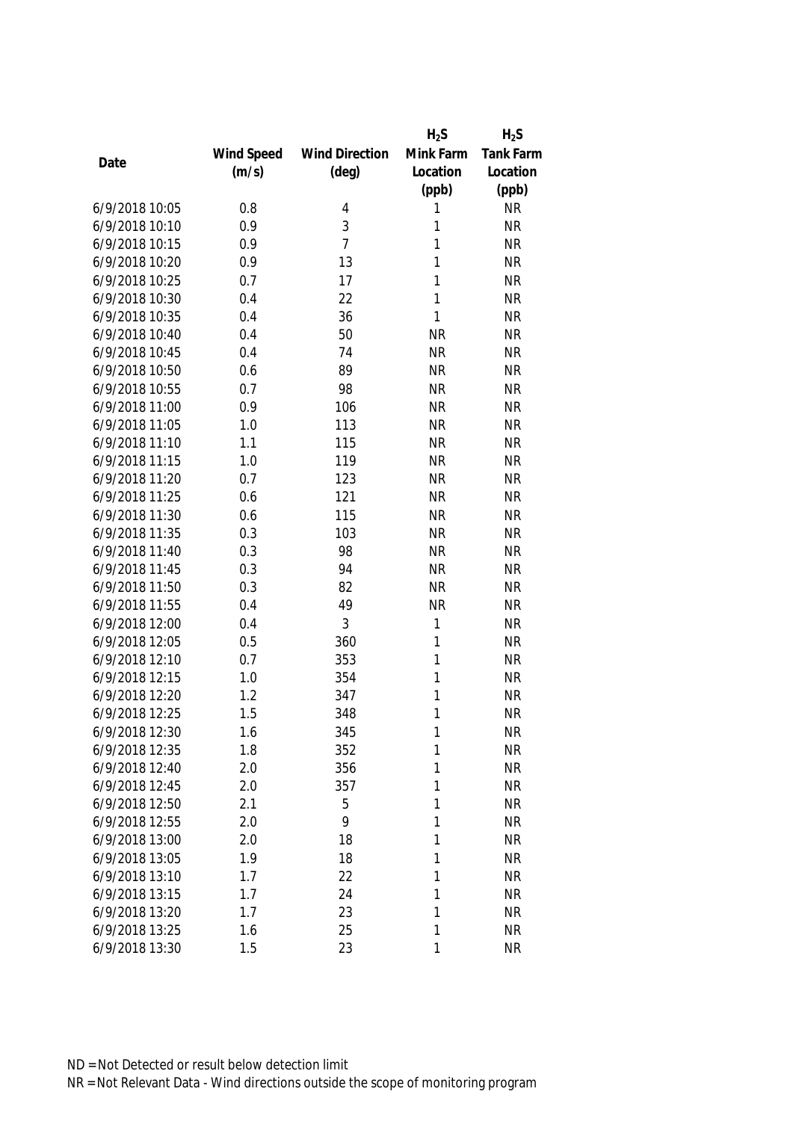|                |            |                       | $H_2S$    | $H_2S$           |
|----------------|------------|-----------------------|-----------|------------------|
|                | Wind Speed | <b>Wind Direction</b> | Mink Farm | <b>Tank Farm</b> |
| Date           | (m/s)      | $(\text{deg})$        | Location  | Location         |
|                |            |                       | (ppb)     | (ppb)            |
| 6/9/2018 10:05 | 0.8        | 4                     | 1         | <b>NR</b>        |
| 6/9/2018 10:10 | 0.9        | 3                     | 1         | <b>NR</b>        |
| 6/9/2018 10:15 | 0.9        | $\overline{7}$        | 1         | <b>NR</b>        |
| 6/9/2018 10:20 | 0.9        | 13                    | 1         | <b>NR</b>        |
| 6/9/2018 10:25 | 0.7        | 17                    | 1         | <b>NR</b>        |
| 6/9/2018 10:30 | 0.4        | 22                    | 1         | <b>NR</b>        |
| 6/9/2018 10:35 | 0.4        | 36                    | 1         | <b>NR</b>        |
| 6/9/2018 10:40 | 0.4        | 50                    | <b>NR</b> | <b>NR</b>        |
| 6/9/2018 10:45 | 0.4        | 74                    | <b>NR</b> | <b>NR</b>        |
| 6/9/2018 10:50 | 0.6        | 89                    | <b>NR</b> | <b>NR</b>        |
| 6/9/2018 10:55 | 0.7        | 98                    | <b>NR</b> | <b>NR</b>        |
| 6/9/2018 11:00 | 0.9        | 106                   | <b>NR</b> | <b>NR</b>        |
| 6/9/2018 11:05 | 1.0        | 113                   | <b>NR</b> | <b>NR</b>        |
| 6/9/2018 11:10 | 1.1        | 115                   | <b>NR</b> | <b>NR</b>        |
| 6/9/2018 11:15 | 1.0        | 119                   | <b>NR</b> | <b>NR</b>        |
| 6/9/2018 11:20 | 0.7        | 123                   | <b>NR</b> | <b>NR</b>        |
| 6/9/2018 11:25 | 0.6        | 121                   | <b>NR</b> | <b>NR</b>        |
| 6/9/2018 11:30 | 0.6        | 115                   | <b>NR</b> | <b>NR</b>        |
| 6/9/2018 11:35 | 0.3        | 103                   | <b>NR</b> | <b>NR</b>        |
| 6/9/2018 11:40 | 0.3        | 98                    | <b>NR</b> | <b>NR</b>        |
| 6/9/2018 11:45 | 0.3        | 94                    | <b>NR</b> | <b>NR</b>        |
| 6/9/2018 11:50 | 0.3        | 82                    | <b>NR</b> | <b>NR</b>        |
| 6/9/2018 11:55 | 0.4        | 49                    | <b>NR</b> | <b>NR</b>        |
| 6/9/2018 12:00 | 0.4        | 3                     | 1         | <b>NR</b>        |
| 6/9/2018 12:05 | 0.5        | 360                   | 1         | <b>NR</b>        |
| 6/9/2018 12:10 | 0.7        | 353                   | 1         | <b>NR</b>        |
| 6/9/2018 12:15 | 1.0        | 354                   | 1         | <b>NR</b>        |
| 6/9/2018 12:20 | 1.2        | 347                   | 1         | <b>NR</b>        |
| 6/9/2018 12:25 | 1.5        | 348                   | 1         | <b>NR</b>        |
| 6/9/2018 12:30 | 1.6        | 345                   | 1         | <b>NR</b>        |
| 6/9/2018 12:35 | 1.8        | 352                   | 1         | <b>NR</b>        |
| 6/9/2018 12:40 | 2.0        | 356                   | 1         | <b>NR</b>        |
| 6/9/2018 12:45 | 2.0        | 357                   | 1         | <b>NR</b>        |
| 6/9/2018 12:50 | 2.1        | 5                     | 1         | <b>NR</b>        |
| 6/9/2018 12:55 | 2.0        | 9                     | 1         | <b>NR</b>        |
| 6/9/2018 13:00 | 2.0        | 18                    | 1         | <b>NR</b>        |
| 6/9/2018 13:05 | 1.9        | 18                    | 1         | <b>NR</b>        |
| 6/9/2018 13:10 | 1.7        | 22                    | 1         | <b>NR</b>        |
| 6/9/2018 13:15 | 1.7        | 24                    | 1         | <b>NR</b>        |
| 6/9/2018 13:20 | 1.7        | 23                    | 1         | <b>NR</b>        |
| 6/9/2018 13:25 | 1.6        | 25                    | 1         | <b>NR</b>        |
| 6/9/2018 13:30 | 1.5        | 23                    | 1         | <b>NR</b>        |
|                |            |                       |           |                  |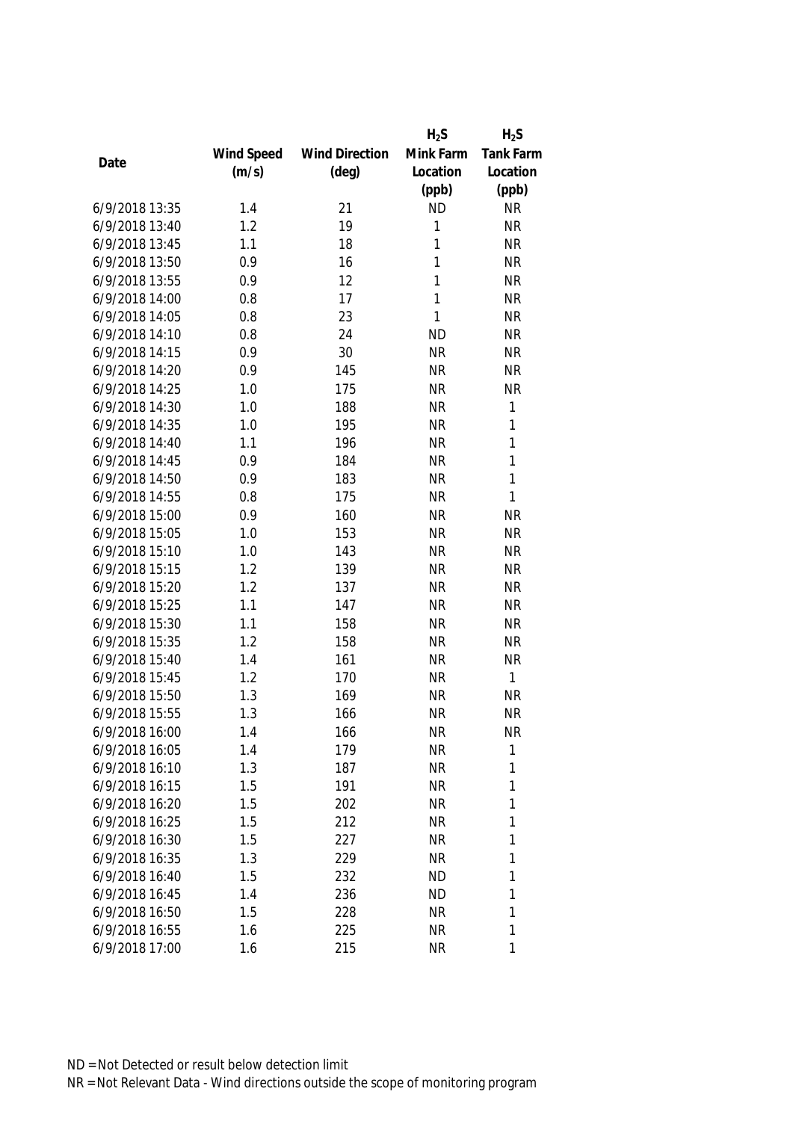|                |            |                       | $H_2S$       | $H_2S$       |
|----------------|------------|-----------------------|--------------|--------------|
|                | Wind Speed | <b>Wind Direction</b> | Mink Farm    | Tank Farm    |
| Date           | (m/s)      | $(\text{deg})$        | Location     | Location     |
|                |            |                       | (ppb)        | (ppb)        |
| 6/9/2018 13:35 | 1.4        | 21                    | <b>ND</b>    | <b>NR</b>    |
| 6/9/2018 13:40 | 1.2        | 19                    | 1            | <b>NR</b>    |
| 6/9/2018 13:45 | 1.1        | 18                    | 1            | <b>NR</b>    |
| 6/9/2018 13:50 | 0.9        | 16                    | 1            | <b>NR</b>    |
| 6/9/2018 13:55 | 0.9        | 12                    | 1            | <b>NR</b>    |
| 6/9/2018 14:00 | 0.8        | 17                    | 1            | <b>NR</b>    |
| 6/9/2018 14:05 | 0.8        | 23                    | $\mathbf{1}$ | <b>NR</b>    |
| 6/9/2018 14:10 | 0.8        | 24                    | <b>ND</b>    | <b>NR</b>    |
| 6/9/2018 14:15 | 0.9        | 30                    | <b>NR</b>    | <b>NR</b>    |
| 6/9/2018 14:20 | 0.9        | 145                   | <b>NR</b>    | <b>NR</b>    |
| 6/9/2018 14:25 | 1.0        | 175                   | <b>NR</b>    | <b>NR</b>    |
| 6/9/2018 14:30 | 1.0        | 188                   | <b>NR</b>    | 1            |
| 6/9/2018 14:35 | 1.0        | 195                   | <b>NR</b>    | 1            |
| 6/9/2018 14:40 | 1.1        | 196                   | <b>NR</b>    | 1            |
| 6/9/2018 14:45 | 0.9        | 184                   | <b>NR</b>    | $\mathbf{1}$ |
| 6/9/2018 14:50 | 0.9        | 183                   | <b>NR</b>    | $\mathbf{1}$ |
| 6/9/2018 14:55 | 0.8        | 175                   | <b>NR</b>    | $\mathbf{1}$ |
| 6/9/2018 15:00 | 0.9        | 160                   | <b>NR</b>    | <b>NR</b>    |
| 6/9/2018 15:05 | 1.0        | 153                   | <b>NR</b>    | <b>NR</b>    |
| 6/9/2018 15:10 | 1.0        | 143                   | <b>NR</b>    | <b>NR</b>    |
| 6/9/2018 15:15 | 1.2        | 139                   | <b>NR</b>    | <b>NR</b>    |
| 6/9/2018 15:20 | 1.2        | 137                   | <b>NR</b>    | <b>NR</b>    |
| 6/9/2018 15:25 | 1.1        | 147                   | <b>NR</b>    | <b>NR</b>    |
| 6/9/2018 15:30 | 1.1        | 158                   | <b>NR</b>    | <b>NR</b>    |
| 6/9/2018 15:35 | 1.2        | 158                   | <b>NR</b>    | <b>NR</b>    |
| 6/9/2018 15:40 | 1.4        | 161                   | <b>NR</b>    | <b>NR</b>    |
| 6/9/2018 15:45 | 1.2        | 170                   | <b>NR</b>    | $\mathbf{1}$ |
| 6/9/2018 15:50 | 1.3        | 169                   | <b>NR</b>    | <b>NR</b>    |
| 6/9/2018 15:55 | 1.3        | 166                   | <b>NR</b>    | <b>NR</b>    |
| 6/9/2018 16:00 | 1.4        | 166                   | <b>NR</b>    | <b>NR</b>    |
| 6/9/2018 16:05 | 1.4        | 179                   | <b>NR</b>    | 1            |
| 6/9/2018 16:10 | 1.3        | 187                   | <b>NR</b>    | 1            |
| 6/9/2018 16:15 | 1.5        | 191                   | <b>NR</b>    | 1            |
| 6/9/2018 16:20 | 1.5        | 202                   | <b>NR</b>    | 1            |
| 6/9/2018 16:25 | 1.5        | 212                   | <b>NR</b>    | 1            |
| 6/9/2018 16:30 | 1.5        | 227                   | <b>NR</b>    | 1            |
| 6/9/2018 16:35 | 1.3        | 229                   | <b>NR</b>    | 1            |
| 6/9/2018 16:40 | 1.5        | 232                   | <b>ND</b>    | 1            |
| 6/9/2018 16:45 | 1.4        | 236                   | <b>ND</b>    | 1            |
| 6/9/2018 16:50 | 1.5        | 228                   | <b>NR</b>    | 1            |
| 6/9/2018 16:55 | 1.6        | 225                   | <b>NR</b>    | 1            |
| 6/9/2018 17:00 | 1.6        | 215                   | <b>NR</b>    | 1            |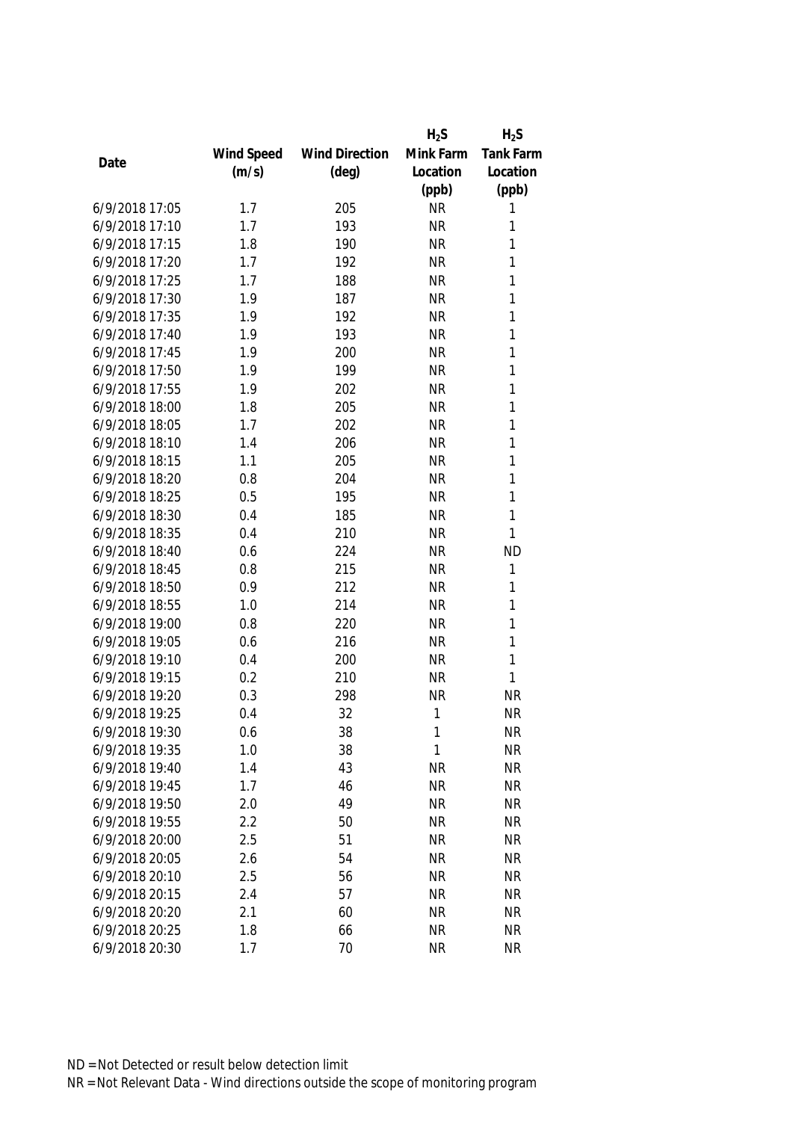|                |            |                       | $H_2S$    | $H_2S$           |
|----------------|------------|-----------------------|-----------|------------------|
|                | Wind Speed | <b>Wind Direction</b> | Mink Farm | <b>Tank Farm</b> |
| Date           | (m/s)      | $(\text{deg})$        | Location  | Location         |
|                |            |                       | (ppb)     | (ppb)            |
| 6/9/2018 17:05 | 1.7        | 205                   | <b>NR</b> | 1                |
| 6/9/2018 17:10 | 1.7        | 193                   | <b>NR</b> | 1                |
| 6/9/2018 17:15 | 1.8        | 190                   | <b>NR</b> | 1                |
| 6/9/2018 17:20 | 1.7        | 192                   | <b>NR</b> | 1                |
| 6/9/2018 17:25 | 1.7        | 188                   | <b>NR</b> | 1                |
| 6/9/2018 17:30 | 1.9        | 187                   | <b>NR</b> | 1                |
| 6/9/2018 17:35 | 1.9        | 192                   | <b>NR</b> | 1                |
| 6/9/2018 17:40 | 1.9        | 193                   | <b>NR</b> | 1                |
| 6/9/2018 17:45 | 1.9        | 200                   | <b>NR</b> | 1                |
| 6/9/2018 17:50 | 1.9        | 199                   | <b>NR</b> | 1                |
| 6/9/2018 17:55 | 1.9        | 202                   | <b>NR</b> | 1                |
| 6/9/2018 18:00 | 1.8        | 205                   | <b>NR</b> | 1                |
| 6/9/2018 18:05 | 1.7        | 202                   | <b>NR</b> | 1                |
| 6/9/2018 18:10 | 1.4        | 206                   | <b>NR</b> | 1                |
| 6/9/2018 18:15 | 1.1        | 205                   | <b>NR</b> | 1                |
| 6/9/2018 18:20 | 0.8        | 204                   | <b>NR</b> | 1                |
| 6/9/2018 18:25 | 0.5        | 195                   | <b>NR</b> | 1                |
| 6/9/2018 18:30 | 0.4        | 185                   | <b>NR</b> | 1                |
| 6/9/2018 18:35 | 0.4        | 210                   | <b>NR</b> | 1                |
| 6/9/2018 18:40 | 0.6        | 224                   | <b>NR</b> | <b>ND</b>        |
| 6/9/2018 18:45 | 0.8        | 215                   | <b>NR</b> | 1                |
| 6/9/2018 18:50 | 0.9        | 212                   | <b>NR</b> | 1                |
| 6/9/2018 18:55 | 1.0        | 214                   | <b>NR</b> | 1                |
| 6/9/2018 19:00 | 0.8        | 220                   | <b>NR</b> | 1                |
| 6/9/2018 19:05 | 0.6        | 216                   | <b>NR</b> | 1                |
| 6/9/2018 19:10 | 0.4        | 200                   | <b>NR</b> | 1                |
| 6/9/2018 19:15 | 0.2        | 210                   | <b>NR</b> | 1                |
| 6/9/2018 19:20 | 0.3        | 298                   | <b>NR</b> | <b>NR</b>        |
| 6/9/2018 19:25 | 0.4        | 32                    | 1         | <b>NR</b>        |
| 6/9/2018 19:30 | 0.6        | 38                    | 1         | <b>NR</b>        |
| 6/9/2018 19:35 | 1.0        | 38                    | 1         | <b>NR</b>        |
| 6/9/2018 19:40 | 1.4        | 43                    | <b>NR</b> | <b>NR</b>        |
| 6/9/2018 19:45 | 1.7        | 46                    | <b>NR</b> | <b>NR</b>        |
| 6/9/2018 19:50 | 2.0        | 49                    | <b>NR</b> | <b>NR</b>        |
| 6/9/2018 19:55 | 2.2        | 50                    | <b>NR</b> | <b>NR</b>        |
| 6/9/2018 20:00 | 2.5        | 51                    | <b>NR</b> | <b>NR</b>        |
| 6/9/2018 20:05 | 2.6        | 54                    | <b>NR</b> | <b>NR</b>        |
| 6/9/2018 20:10 | 2.5        | 56                    | <b>NR</b> | <b>NR</b>        |
| 6/9/2018 20:15 | 2.4        | 57                    | <b>NR</b> | <b>NR</b>        |
| 6/9/2018 20:20 | 2.1        | 60                    | <b>NR</b> | <b>NR</b>        |
| 6/9/2018 20:25 | 1.8        | 66                    | <b>NR</b> | <b>NR</b>        |
| 6/9/2018 20:30 | 1.7        | 70                    | <b>NR</b> | <b>NR</b>        |
|                |            |                       |           |                  |